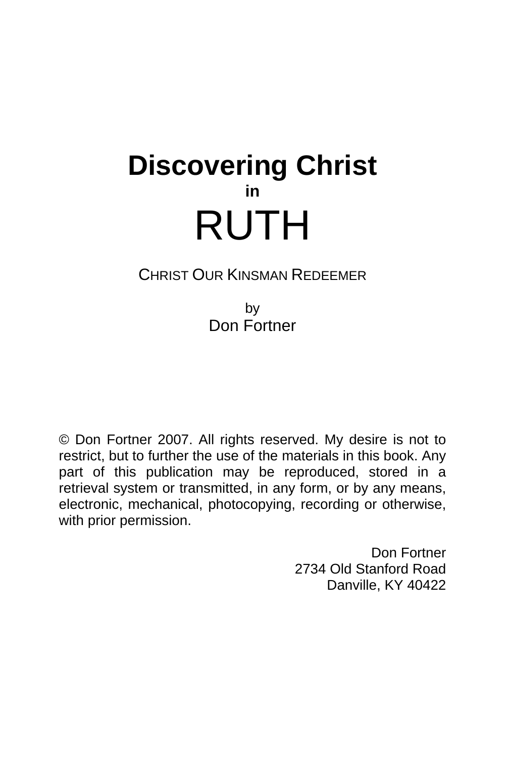# **Discovering Christ in**  RUTH

## CHRIST OUR KINSMAN REDEEMER

by Don Fortner

© Don Fortner 2007. All rights reserved. My desire is not to restrict, but to further the use of the materials in this book. Any part of this publication may be reproduced, stored in a retrieval system or transmitted, in any form, or by any means, electronic, mechanical, photocopying, recording or otherwise, with prior permission.

> Don Fortner 2734 Old Stanford Road Danville, KY 40422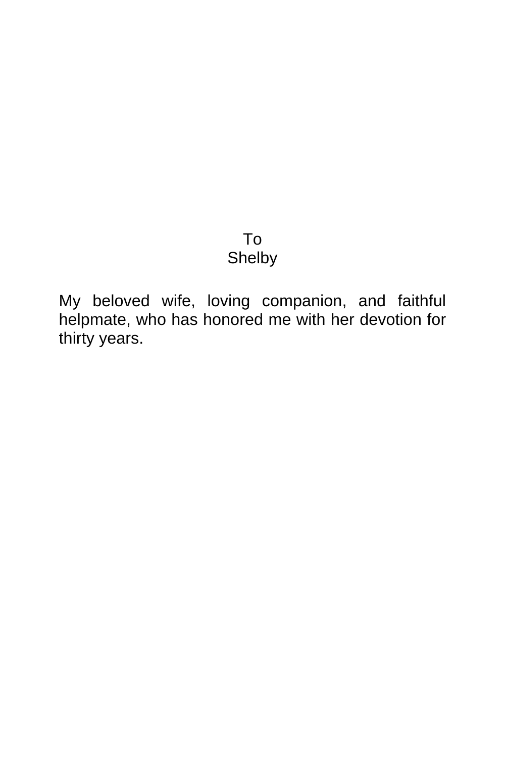# To Shelby

My beloved wife, loving companion, and faithful helpmate, who has honored me with her devotion for thirty years.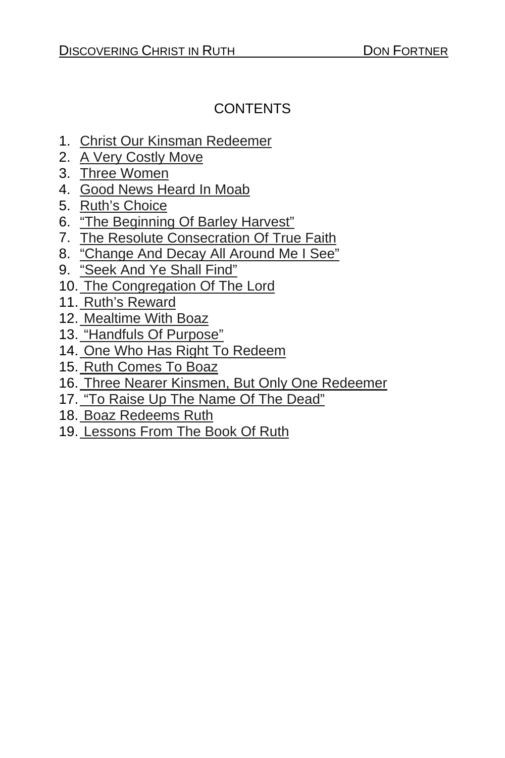## CONTENTS

- 1. Christ Our Kinsman Redeemer
- 2. A Very Costly Move
- 3. Three Women
- 4. Good News Heard In Moab
- 5. Ruth's Choice
- 6. "The Beginning Of Barley Harvest"
- 7. The Resolute Consecration Of True Faith
- 8. "Change And Decay All Around Me I See"
- 9. "Seek And Ye Shall Find"
- 10. The Congregation Of The Lord
- 11. Ruth's Reward
- 12. Mealtime With Boaz
- 13. "Handfuls Of Purpose"
- 14. One Who Has Right To Redeem
- 15. Ruth Comes To Boaz
- 16. Three Nearer Kinsmen, But Only One Redeemer
- 17. "To Raise Up The Name Of The Dead"
- 18. Boaz Redeems Ruth
- 19. Lessons From The Book Of Ruth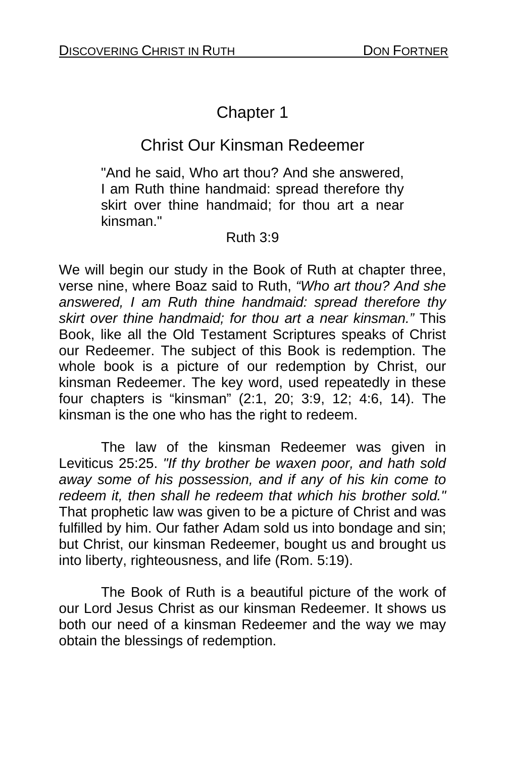# Chapter 1

# Christ Our Kinsman Redeemer

"And he said, Who art thou? And she answered, I am Ruth thine handmaid: spread therefore thy skirt over thine handmaid; for thou art a near kinsman."

#### Ruth 3:9

We will begin our study in the Book of Ruth at chapter three, verse nine, where Boaz said to Ruth, *"Who art thou? And she answered, I am Ruth thine handmaid: spread therefore thy skirt over thine handmaid; for thou art a near kinsman."* This Book, like all the Old Testament Scriptures speaks of Christ our Redeemer. The subject of this Book is redemption. The whole book is a picture of our redemption by Christ, our kinsman Redeemer. The key word, used repeatedly in these four chapters is "kinsman" (2:1, 20; 3:9, 12; 4:6, 14). The kinsman is the one who has the right to redeem.

The law of the kinsman Redeemer was given in Leviticus 25:25. *"If thy brother be waxen poor, and hath sold away some of his possession, and if any of his kin come to redeem it, then shall he redeem that which his brother sold."*  That prophetic law was given to be a picture of Christ and was fulfilled by him. Our father Adam sold us into bondage and sin; but Christ, our kinsman Redeemer, bought us and brought us into liberty, righteousness, and life (Rom. 5:19).

The Book of Ruth is a beautiful picture of the work of our Lord Jesus Christ as our kinsman Redeemer. It shows us both our need of a kinsman Redeemer and the way we may obtain the blessings of redemption.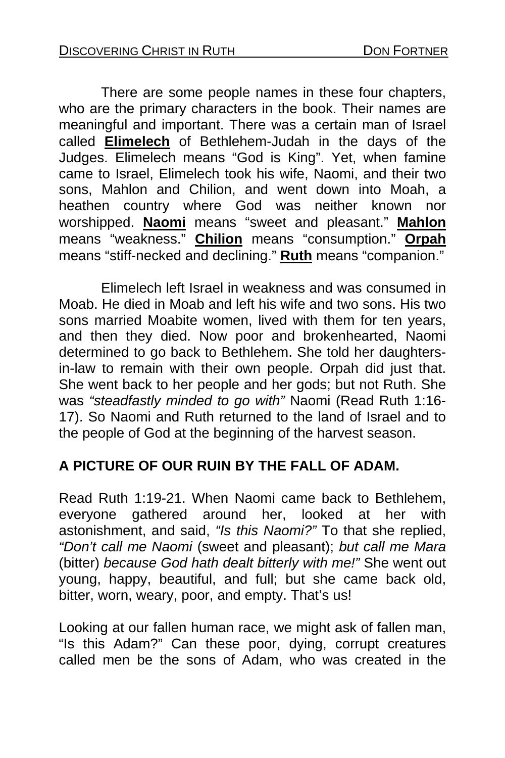There are some people names in these four chapters, who are the primary characters in the book. Their names are meaningful and important. There was a certain man of Israel called **Elimelech** of Bethlehem-Judah in the days of the Judges. Elimelech means "God is King". Yet, when famine came to Israel, Elimelech took his wife, Naomi, and their two sons, Mahlon and Chilion, and went down into Moah, a heathen country where God was neither known nor worshipped. **Naomi** means "sweet and pleasant." **Mahlon** means "weakness." **Chilion** means "consumption." **Orpah** means "stiff-necked and declining." **Ruth** means "companion."

Elimelech left Israel in weakness and was consumed in Moab. He died in Moab and left his wife and two sons. His two sons married Moabite women, lived with them for ten years, and then they died. Now poor and brokenhearted, Naomi determined to go back to Bethlehem. She told her daughtersin-law to remain with their own people. Orpah did just that. She went back to her people and her gods; but not Ruth. She was *"steadfastly minded to go with"* Naomi (Read Ruth 1:16- 17). So Naomi and Ruth returned to the land of Israel and to the people of God at the beginning of the harvest season.

#### **A PICTURE OF OUR RUIN BY THE FALL OF ADAM.**

Read Ruth 1:19-21. When Naomi came back to Bethlehem, everyone gathered around her, looked at her with astonishment, and said, *"Is this Naomi?"* To that she replied, *"Don't call me Naomi* (sweet and pleasant); *but call me Mara*  (bitter) *because God hath dealt bitterly with me!"* She went out young, happy, beautiful, and full; but she came back old, bitter, worn, weary, poor, and empty. That's us!

Looking at our fallen human race, we might ask of fallen man, "Is this Adam?" Can these poor, dying, corrupt creatures called men be the sons of Adam, who was created in the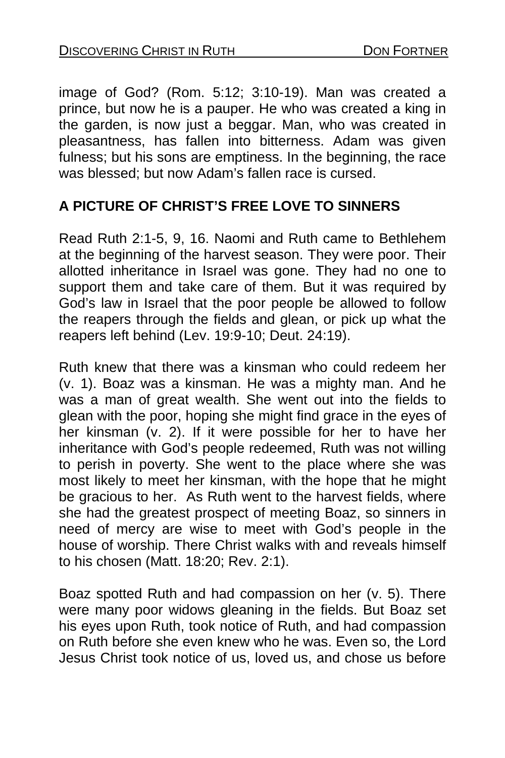image of God? (Rom. 5:12; 3:10-19). Man was created a prince, but now he is a pauper. He who was created a king in the garden, is now just a beggar. Man, who was created in pleasantness, has fallen into bitterness. Adam was given fulness; but his sons are emptiness. In the beginning, the race was blessed; but now Adam's fallen race is cursed.

## **A PICTURE OF CHRIST'S FREE LOVE TO SINNERS**

Read Ruth 2:1-5, 9, 16. Naomi and Ruth came to Bethlehem at the beginning of the harvest season. They were poor. Their allotted inheritance in Israel was gone. They had no one to support them and take care of them. But it was required by God's law in Israel that the poor people be allowed to follow the reapers through the fields and glean, or pick up what the reapers left behind (Lev. 19:9-10; Deut. 24:19).

Ruth knew that there was a kinsman who could redeem her (v. 1). Boaz was a kinsman. He was a mighty man. And he was a man of great wealth. She went out into the fields to glean with the poor, hoping she might find grace in the eyes of her kinsman (v. 2). If it were possible for her to have her inheritance with God's people redeemed, Ruth was not willing to perish in poverty. She went to the place where she was most likely to meet her kinsman, with the hope that he might be gracious to her. As Ruth went to the harvest fields, where she had the greatest prospect of meeting Boaz, so sinners in need of mercy are wise to meet with God's people in the house of worship. There Christ walks with and reveals himself to his chosen (Matt. 18:20; Rev. 2:1).

Boaz spotted Ruth and had compassion on her (v. 5). There were many poor widows gleaning in the fields. But Boaz set his eyes upon Ruth, took notice of Ruth, and had compassion on Ruth before she even knew who he was. Even so, the Lord Jesus Christ took notice of us, loved us, and chose us before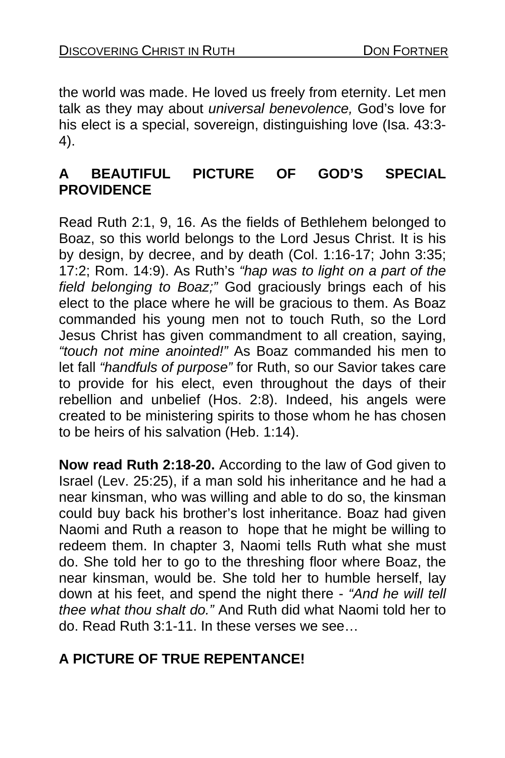the world was made. He loved us freely from eternity. Let men talk as they may about *universal benevolence,* God's love for his elect is a special, sovereign, distinguishing love (Isa. 43:3- 4).

## **A BEAUTIFUL PICTURE OF GOD'S SPECIAL PROVIDENCE**

Read Ruth 2:1, 9, 16. As the fields of Bethlehem belonged to Boaz, so this world belongs to the Lord Jesus Christ. It is his by design, by decree, and by death (Col. 1:16-17; John 3:35; 17:2; Rom. 14:9). As Ruth's *"hap was to light on a part of the field belonging to Boaz;"* God graciously brings each of his elect to the place where he will be gracious to them. As Boaz commanded his young men not to touch Ruth, so the Lord Jesus Christ has given commandment to all creation, saying, *"touch not mine anointed!"* As Boaz commanded his men to let fall *"handfuls of purpose"* for Ruth, so our Savior takes care to provide for his elect, even throughout the days of their rebellion and unbelief (Hos. 2:8). Indeed, his angels were created to be ministering spirits to those whom he has chosen to be heirs of his salvation (Heb. 1:14).

**Now read Ruth 2:18-20.** According to the law of God given to Israel (Lev. 25:25), if a man sold his inheritance and he had a near kinsman, who was willing and able to do so, the kinsman could buy back his brother's lost inheritance. Boaz had given Naomi and Ruth a reason to hope that he might be willing to redeem them. In chapter 3, Naomi tells Ruth what she must do. She told her to go to the threshing floor where Boaz, the near kinsman, would be. She told her to humble herself, lay down at his feet, and spend the night there - *"And he will tell thee what thou shalt do."* And Ruth did what Naomi told her to do. Read Ruth 3:1-11. In these verses we see…

## **A PICTURE OF TRUE REPENTANCE!**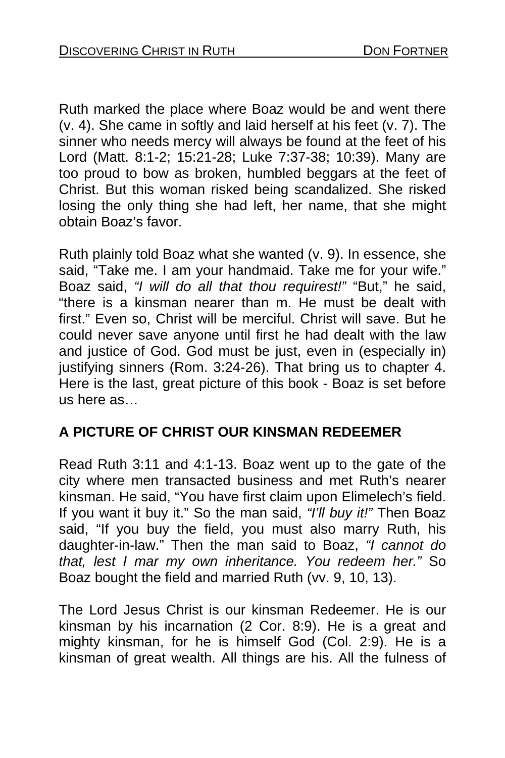Ruth marked the place where Boaz would be and went there (v. 4). She came in softly and laid herself at his feet (v. 7). The sinner who needs mercy will always be found at the feet of his Lord (Matt. 8:1-2; 15:21-28; Luke 7:37-38; 10:39). Many are too proud to bow as broken, humbled beggars at the feet of Christ. But this woman risked being scandalized. She risked losing the only thing she had left, her name, that she might obtain Boaz's favor.

Ruth plainly told Boaz what she wanted (v. 9). In essence, she said, "Take me. I am your handmaid. Take me for your wife." Boaz said, *"I will do all that thou requirest!"* "But," he said, "there is a kinsman nearer than m. He must be dealt with first." Even so, Christ will be merciful. Christ will save. But he could never save anyone until first he had dealt with the law and justice of God. God must be just, even in (especially in) justifying sinners (Rom. 3:24-26). That bring us to chapter 4. Here is the last, great picture of this book - Boaz is set before us here as…

## **A PICTURE OF CHRIST OUR KINSMAN REDEEMER**

Read Ruth 3:11 and 4:1-13. Boaz went up to the gate of the city where men transacted business and met Ruth's nearer kinsman. He said, "You have first claim upon Elimelech's field. If you want it buy it." So the man said, *"I'll buy it!"* Then Boaz said, "If you buy the field, you must also marry Ruth, his daughter-in-law." Then the man said to Boaz, *"I cannot do that, lest I mar my own inheritance. You redeem her."* So Boaz bought the field and married Ruth (vv. 9, 10, 13).

The Lord Jesus Christ is our kinsman Redeemer. He is our kinsman by his incarnation (2 Cor. 8:9). He is a great and mighty kinsman, for he is himself God (Col. 2:9). He is a kinsman of great wealth. All things are his. All the fulness of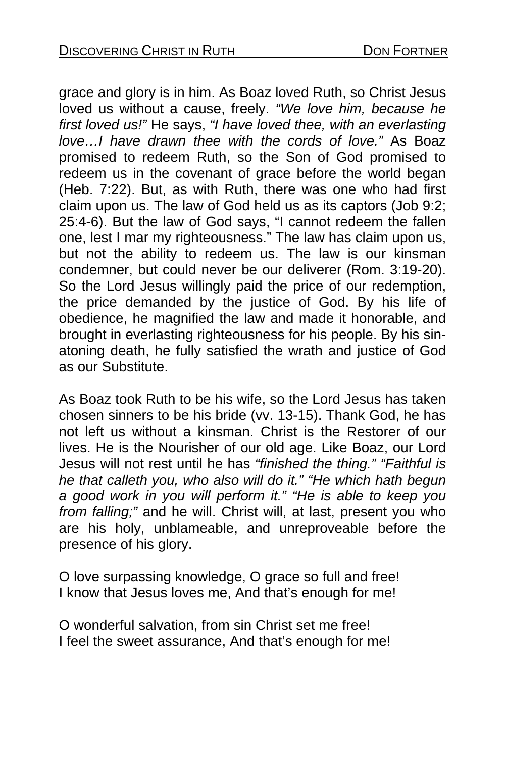grace and glory is in him. As Boaz loved Ruth, so Christ Jesus loved us without a cause, freely. *"We love him, because he first loved us!"* He says, *"I have loved thee, with an everlasting love…I have drawn thee with the cords of love."* As Boaz promised to redeem Ruth, so the Son of God promised to redeem us in the covenant of grace before the world began (Heb. 7:22). But, as with Ruth, there was one who had first claim upon us. The law of God held us as its captors (Job 9:2; 25:4-6). But the law of God says, "I cannot redeem the fallen one, lest I mar my righteousness." The law has claim upon us, but not the ability to redeem us. The law is our kinsman condemner, but could never be our deliverer (Rom. 3:19-20). So the Lord Jesus willingly paid the price of our redemption, the price demanded by the justice of God. By his life of obedience, he magnified the law and made it honorable, and brought in everlasting righteousness for his people. By his sinatoning death, he fully satisfied the wrath and justice of God as our Substitute.

As Boaz took Ruth to be his wife, so the Lord Jesus has taken chosen sinners to be his bride (vv. 13-15). Thank God, he has not left us without a kinsman. Christ is the Restorer of our lives. He is the Nourisher of our old age. Like Boaz, our Lord Jesus will not rest until he has *"finished the thing." "Faithful is he that calleth you, who also will do it." "He which hath begun a good work in you will perform it." "He is able to keep you from falling;"* and he will. Christ will, at last, present you who are his holy, unblameable, and unreproveable before the presence of his glory.

O love surpassing knowledge, O grace so full and free! I know that Jesus loves me, And that's enough for me!

O wonderful salvation, from sin Christ set me free! I feel the sweet assurance, And that's enough for me!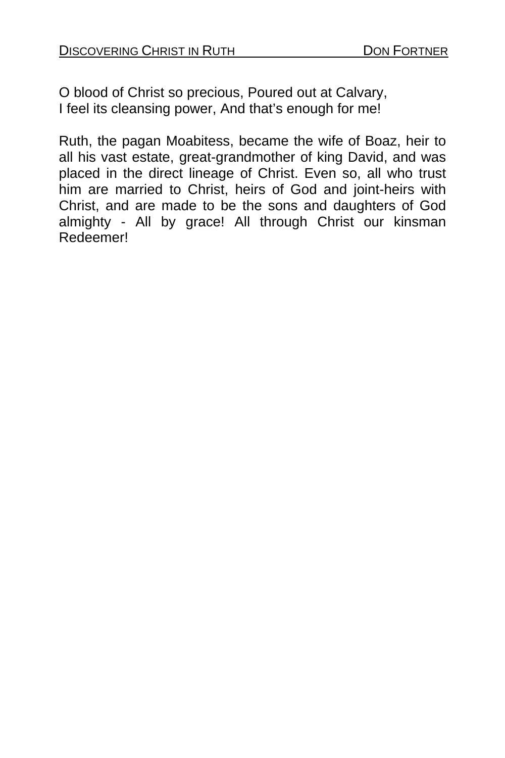O blood of Christ so precious, Poured out at Calvary, I feel its cleansing power, And that's enough for me!

Ruth, the pagan Moabitess, became the wife of Boaz, heir to all his vast estate, great-grandmother of king David, and was placed in the direct lineage of Christ. Even so, all who trust him are married to Christ, heirs of God and joint-heirs with Christ, and are made to be the sons and daughters of God almighty - All by grace! All through Christ our kinsman Redeemer!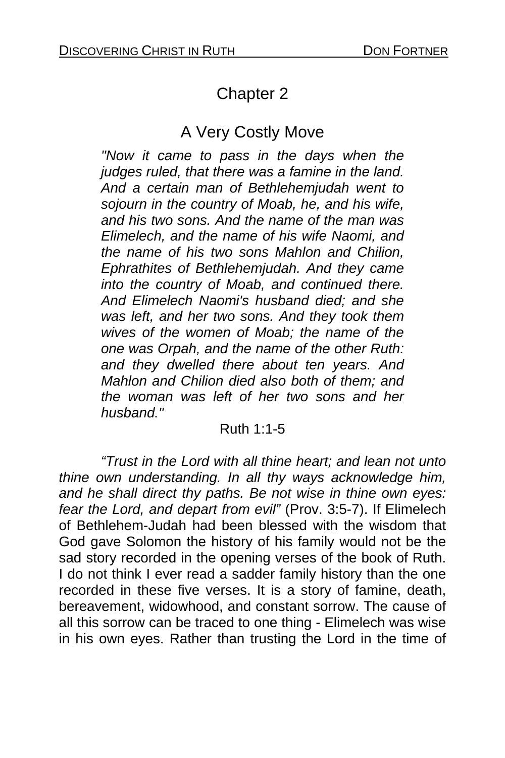# Chapter 2

# A Very Costly Move

*"Now it came to pass in the days when the judges ruled, that there was a famine in the land. And a certain man of Bethlehemjudah went to sojourn in the country of Moab, he, and his wife, and his two sons. And the name of the man was Elimelech, and the name of his wife Naomi, and the name of his two sons Mahlon and Chilion, Ephrathites of Bethlehemjudah. And they came into the country of Moab, and continued there. And Elimelech Naomi's husband died; and she was left, and her two sons. And they took them wives of the women of Moab; the name of the one was Orpah, and the name of the other Ruth: and they dwelled there about ten years. And Mahlon and Chilion died also both of them; and the woman was left of her two sons and her husband."* 

#### Ruth 1:1-5

*"Trust in the Lord with all thine heart; and lean not unto thine own understanding. In all thy ways acknowledge him, and he shall direct thy paths. Be not wise in thine own eyes: fear the Lord, and depart from evil"* (Prov. 3:5-7). If Elimelech of Bethlehem-Judah had been blessed with the wisdom that God gave Solomon the history of his family would not be the sad story recorded in the opening verses of the book of Ruth. I do not think I ever read a sadder family history than the one recorded in these five verses. It is a story of famine, death, bereavement, widowhood, and constant sorrow. The cause of all this sorrow can be traced to one thing - Elimelech was wise in his own eyes. Rather than trusting the Lord in the time of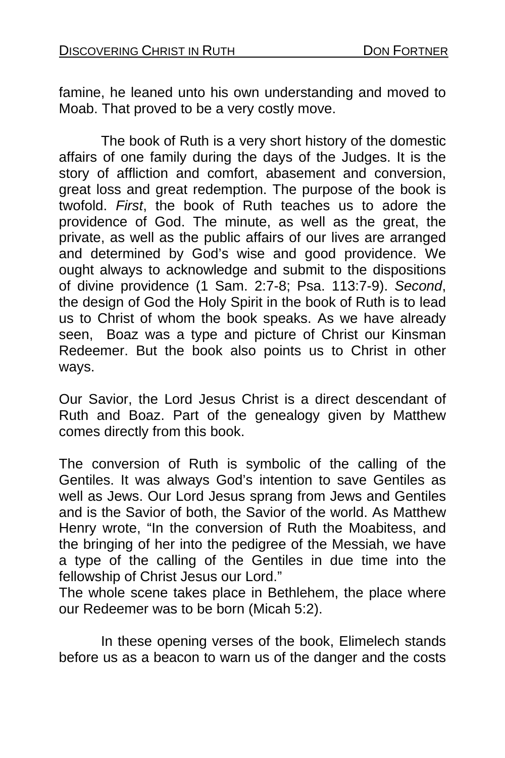famine, he leaned unto his own understanding and moved to Moab. That proved to be a very costly move.

 The book of Ruth is a very short history of the domestic affairs of one family during the days of the Judges. It is the story of affliction and comfort, abasement and conversion, great loss and great redemption. The purpose of the book is twofold. *First*, the book of Ruth teaches us to adore the providence of God. The minute, as well as the great, the private, as well as the public affairs of our lives are arranged and determined by God's wise and good providence. We ought always to acknowledge and submit to the dispositions of divine providence (1 Sam. 2:7-8; Psa. 113:7-9). *Second*, the design of God the Holy Spirit in the book of Ruth is to lead us to Christ of whom the book speaks. As we have already seen, Boaz was a type and picture of Christ our Kinsman Redeemer. But the book also points us to Christ in other ways.

Our Savior, the Lord Jesus Christ is a direct descendant of Ruth and Boaz. Part of the genealogy given by Matthew comes directly from this book.

The conversion of Ruth is symbolic of the calling of the Gentiles. It was always God's intention to save Gentiles as well as Jews. Our Lord Jesus sprang from Jews and Gentiles and is the Savior of both, the Savior of the world. As Matthew Henry wrote, "In the conversion of Ruth the Moabitess, and the bringing of her into the pedigree of the Messiah, we have a type of the calling of the Gentiles in due time into the fellowship of Christ Jesus our Lord."

The whole scene takes place in Bethlehem, the place where our Redeemer was to be born (Micah 5:2).

 In these opening verses of the book, Elimelech stands before us as a beacon to warn us of the danger and the costs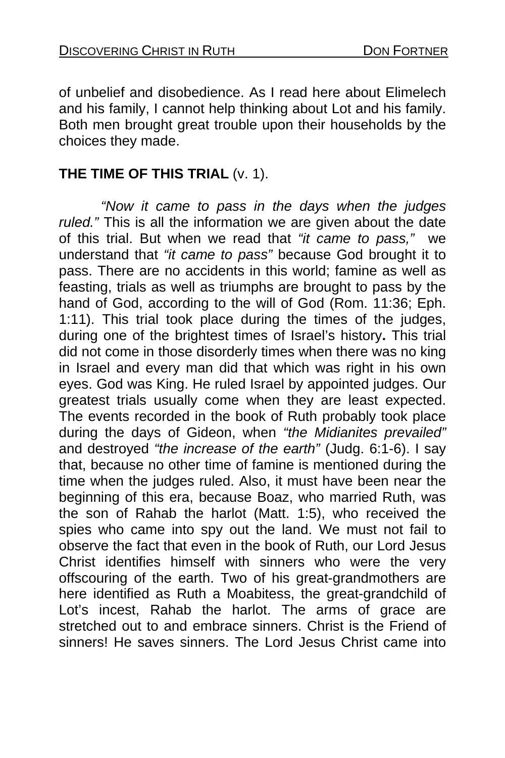of unbelief and disobedience. As I read here about Elimelech and his family, I cannot help thinking about Lot and his family. Both men brought great trouble upon their households by the choices they made.

#### **THE TIME OF THIS TRIAL** (v. 1).

*"Now it came to pass in the days when the judges ruled."* This is all the information we are given about the date of this trial. But when we read that *"it came to pass,"* we understand that *"it came to pass"* because God brought it to pass. There are no accidents in this world; famine as well as feasting, trials as well as triumphs are brought to pass by the hand of God, according to the will of God (Rom. 11:36; Eph. 1:11). This trial took place during the times of the judges, during one of the brightest times of Israel's history**.** This trial did not come in those disorderly times when there was no king in Israel and every man did that which was right in his own eyes. God was King. He ruled Israel by appointed judges. Our greatest trials usually come when they are least expected. The events recorded in the book of Ruth probably took place during the days of Gideon, when *"the Midianites prevailed"*  and destroyed *"the increase of the earth"* (Judg. 6:1-6). I say that, because no other time of famine is mentioned during the time when the judges ruled. Also, it must have been near the beginning of this era, because Boaz, who married Ruth, was the son of Rahab the harlot (Matt. 1:5), who received the spies who came into spy out the land. We must not fail to observe the fact that even in the book of Ruth, our Lord Jesus Christ identifies himself with sinners who were the very offscouring of the earth. Two of his great-grandmothers are here identified as Ruth a Moabitess, the great-grandchild of Lot's incest, Rahab the harlot. The arms of grace are stretched out to and embrace sinners. Christ is the Friend of sinners! He saves sinners. The Lord Jesus Christ came into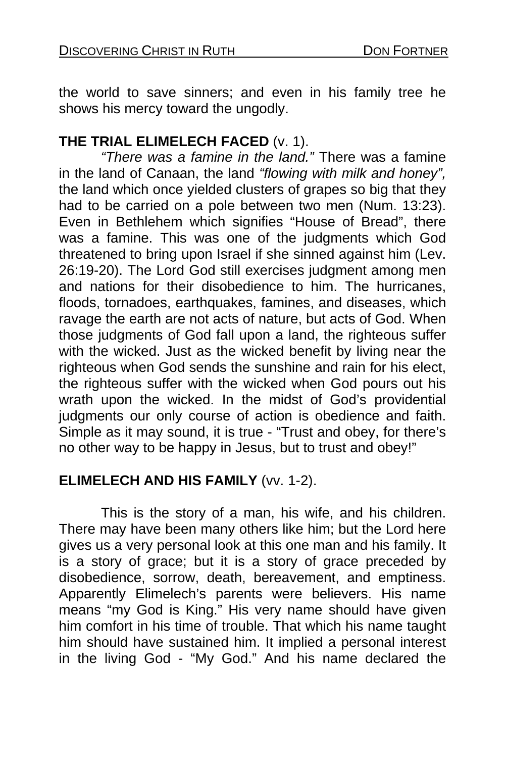the world to save sinners; and even in his family tree he shows his mercy toward the ungodly.

#### **THE TRIAL ELIMELECH FACED** (v. 1).

*"There was a famine in the land."* There was a famine in the land of Canaan, the land *"flowing with milk and honey",*  the land which once yielded clusters of grapes so big that they had to be carried on a pole between two men (Num. 13:23). Even in Bethlehem which signifies "House of Bread", there was a famine. This was one of the judgments which God threatened to bring upon Israel if she sinned against him (Lev. 26:19-20). The Lord God still exercises judgment among men and nations for their disobedience to him. The hurricanes, floods, tornadoes, earthquakes, famines, and diseases, which ravage the earth are not acts of nature, but acts of God. When those judgments of God fall upon a land, the righteous suffer with the wicked. Just as the wicked benefit by living near the righteous when God sends the sunshine and rain for his elect, the righteous suffer with the wicked when God pours out his wrath upon the wicked. In the midst of God's providential judgments our only course of action is obedience and faith. Simple as it may sound, it is true - "Trust and obey, for there's no other way to be happy in Jesus, but to trust and obey!"

## **ELIMELECH AND HIS FAMILY** (vv. 1-2).

 This is the story of a man, his wife, and his children. There may have been many others like him; but the Lord here gives us a very personal look at this one man and his family. It is a story of grace; but it is a story of grace preceded by disobedience, sorrow, death, bereavement, and emptiness. Apparently Elimelech's parents were believers. His name means "my God is King." His very name should have given him comfort in his time of trouble. That which his name taught him should have sustained him. It implied a personal interest in the living God - "My God." And his name declared the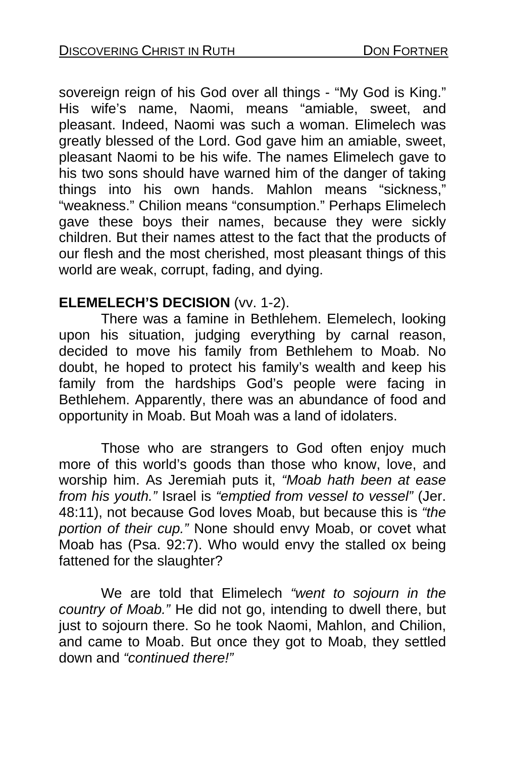sovereign reign of his God over all things - "My God is King." His wife's name, Naomi, means "amiable, sweet, and pleasant. Indeed, Naomi was such a woman. Elimelech was greatly blessed of the Lord. God gave him an amiable, sweet, pleasant Naomi to be his wife. The names Elimelech gave to his two sons should have warned him of the danger of taking things into his own hands. Mahlon means "sickness," "weakness." Chilion means "consumption." Perhaps Elimelech gave these boys their names, because they were sickly children. But their names attest to the fact that the products of our flesh and the most cherished, most pleasant things of this world are weak, corrupt, fading, and dying.

#### **ELEMELECH'S DECISION** (vv. 1-2).

 There was a famine in Bethlehem. Elemelech, looking upon his situation, judging everything by carnal reason, decided to move his family from Bethlehem to Moab. No doubt, he hoped to protect his family's wealth and keep his family from the hardships God's people were facing in Bethlehem. Apparently, there was an abundance of food and opportunity in Moab. But Moah was a land of idolaters.

 Those who are strangers to God often enjoy much more of this world's goods than those who know, love, and worship him. As Jeremiah puts it, *"Moab hath been at ease from his youth."* Israel is *"emptied from vessel to vessel"* (Jer. 48:11), not because God loves Moab, but because this is *"the portion of their cup."* None should envy Moab, or covet what Moab has (Psa. 92:7). Who would envy the stalled ox being fattened for the slaughter?

 We are told that Elimelech *"went to sojourn in the country of Moab."* He did not go, intending to dwell there, but just to sojourn there. So he took Naomi, Mahlon, and Chilion, and came to Moab. But once they got to Moab, they settled down and *"continued there!"*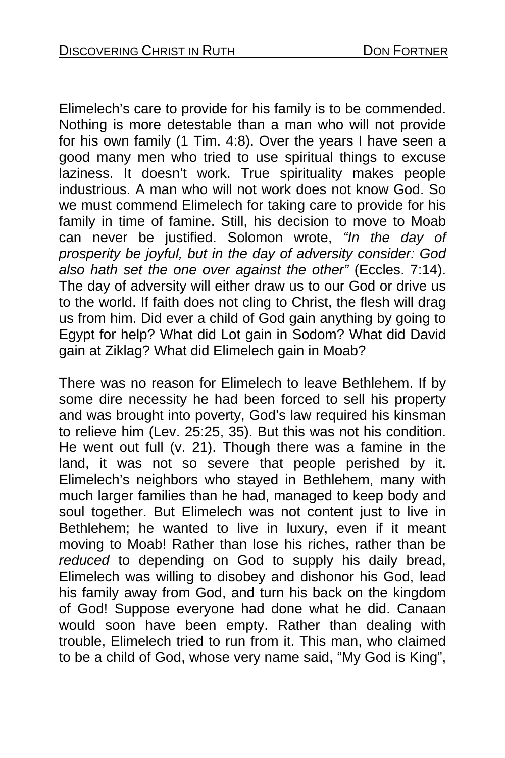Elimelech's care to provide for his family is to be commended. Nothing is more detestable than a man who will not provide for his own family (1 Tim. 4:8). Over the years I have seen a good many men who tried to use spiritual things to excuse laziness. It doesn't work. True spirituality makes people industrious. A man who will not work does not know God. So we must commend Elimelech for taking care to provide for his family in time of famine. Still, his decision to move to Moab can never be justified. Solomon wrote, *"In the day of prosperity be joyful, but in the day of adversity consider: God also hath set the one over against the other"* (Eccles. 7:14). The day of adversity will either draw us to our God or drive us to the world. If faith does not cling to Christ, the flesh will drag us from him. Did ever a child of God gain anything by going to Egypt for help? What did Lot gain in Sodom? What did David gain at Ziklag? What did Elimelech gain in Moab?

There was no reason for Elimelech to leave Bethlehem. If by some dire necessity he had been forced to sell his property and was brought into poverty, God's law required his kinsman to relieve him (Lev. 25:25, 35). But this was not his condition. He went out full (v. 21). Though there was a famine in the land, it was not so severe that people perished by it. Elimelech's neighbors who stayed in Bethlehem, many with much larger families than he had, managed to keep body and soul together. But Elimelech was not content just to live in Bethlehem; he wanted to live in luxury, even if it meant moving to Moab! Rather than lose his riches, rather than be *reduced* to depending on God to supply his daily bread, Elimelech was willing to disobey and dishonor his God, lead his family away from God, and turn his back on the kingdom of God! Suppose everyone had done what he did. Canaan would soon have been empty. Rather than dealing with trouble, Elimelech tried to run from it. This man, who claimed to be a child of God, whose very name said, "My God is King",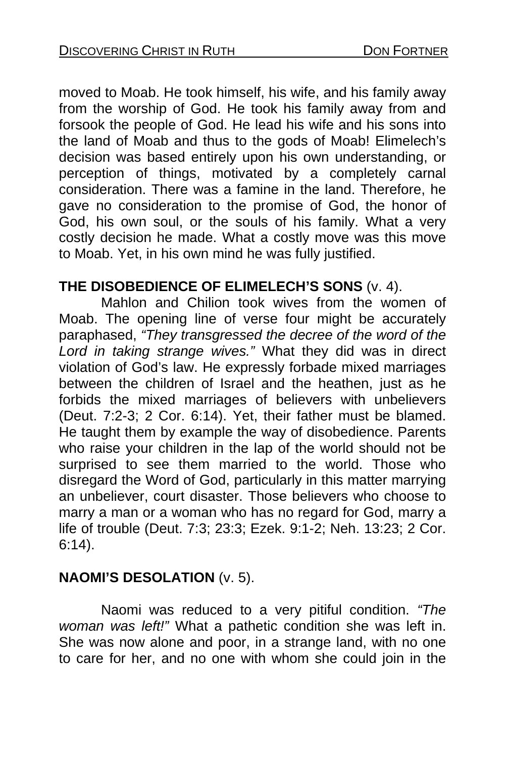moved to Moab. He took himself, his wife, and his family away from the worship of God. He took his family away from and forsook the people of God. He lead his wife and his sons into the land of Moab and thus to the gods of Moab! Elimelech's decision was based entirely upon his own understanding, or perception of things, motivated by a completely carnal consideration. There was a famine in the land. Therefore, he gave no consideration to the promise of God, the honor of God, his own soul, or the souls of his family. What a very costly decision he made. What a costly move was this move to Moab. Yet, in his own mind he was fully justified.

#### **THE DISOBEDIENCE OF ELIMELECH'S SONS** (v. 4).

 Mahlon and Chilion took wives from the women of Moab. The opening line of verse four might be accurately paraphased, *"They transgressed the decree of the word of the Lord in taking strange wives."* What they did was in direct violation of God's law. He expressly forbade mixed marriages between the children of Israel and the heathen, just as he forbids the mixed marriages of believers with unbelievers (Deut. 7:2-3; 2 Cor. 6:14). Yet, their father must be blamed. He taught them by example the way of disobedience. Parents who raise your children in the lap of the world should not be surprised to see them married to the world. Those who disregard the Word of God, particularly in this matter marrying an unbeliever, court disaster. Those believers who choose to marry a man or a woman who has no regard for God, marry a life of trouble (Deut. 7:3; 23:3; Ezek. 9:1-2; Neh. 13:23; 2 Cor. 6:14).

#### **NAOMI'S DESOLATION** (v. 5).

 Naomi was reduced to a very pitiful condition. *"The woman was left!"* What a pathetic condition she was left in. She was now alone and poor, in a strange land, with no one to care for her, and no one with whom she could join in the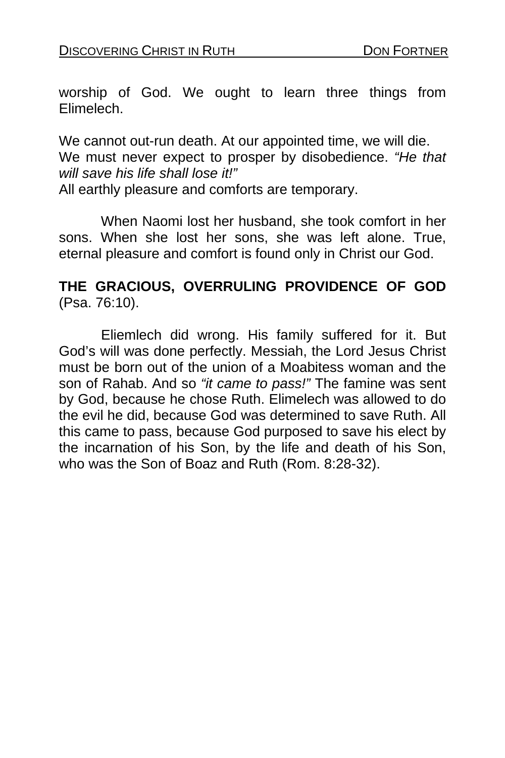worship of God. We ought to learn three things from Elimelech.

We cannot out-run death. At our appointed time, we will die. We must never expect to prosper by disobedience. *"He that will save his life shall lose it!"* All earthly pleasure and comforts are temporary.

When Naomi lost her husband, she took comfort in her sons. When she lost her sons, she was left alone. True, eternal pleasure and comfort is found only in Christ our God.

#### **THE GRACIOUS, OVERRULING PROVIDENCE OF GOD**  (Psa. 76:10).

 Eliemlech did wrong. His family suffered for it. But God's will was done perfectly. Messiah, the Lord Jesus Christ must be born out of the union of a Moabitess woman and the son of Rahab. And so *"it came to pass!"* The famine was sent by God, because he chose Ruth. Elimelech was allowed to do the evil he did, because God was determined to save Ruth. All this came to pass, because God purposed to save his elect by the incarnation of his Son, by the life and death of his Son, who was the Son of Boaz and Ruth (Rom. 8:28-32).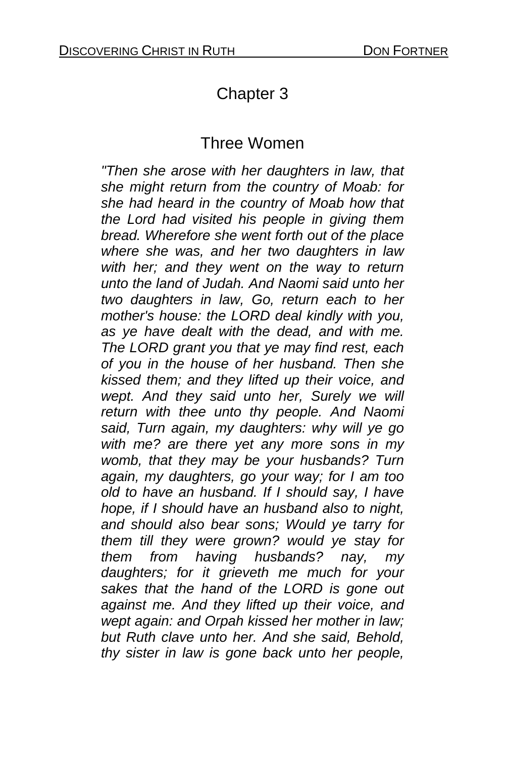# Chapter 3

## Three Women

*"Then she arose with her daughters in law, that she might return from the country of Moab: for she had heard in the country of Moab how that the Lord had visited his people in giving them bread. Wherefore she went forth out of the place where she was, and her two daughters in law with her; and they went on the way to return unto the land of Judah. And Naomi said unto her two daughters in law, Go, return each to her mother's house: the LORD deal kindly with you, as ye have dealt with the dead, and with me. The LORD grant you that ye may find rest, each of you in the house of her husband. Then she kissed them; and they lifted up their voice, and wept. And they said unto her, Surely we will return with thee unto thy people. And Naomi said, Turn again, my daughters: why will ye go with me? are there yet any more sons in my womb, that they may be your husbands? Turn again, my daughters, go your way; for I am too old to have an husband. If I should say, I have hope, if I should have an husband also to night, and should also bear sons; Would ye tarry for them till they were grown? would ye stay for them from having husbands? nay, my daughters; for it grieveth me much for your sakes that the hand of the LORD is gone out against me. And they lifted up their voice, and wept again: and Orpah kissed her mother in law; but Ruth clave unto her. And she said, Behold, thy sister in law is gone back unto her people,*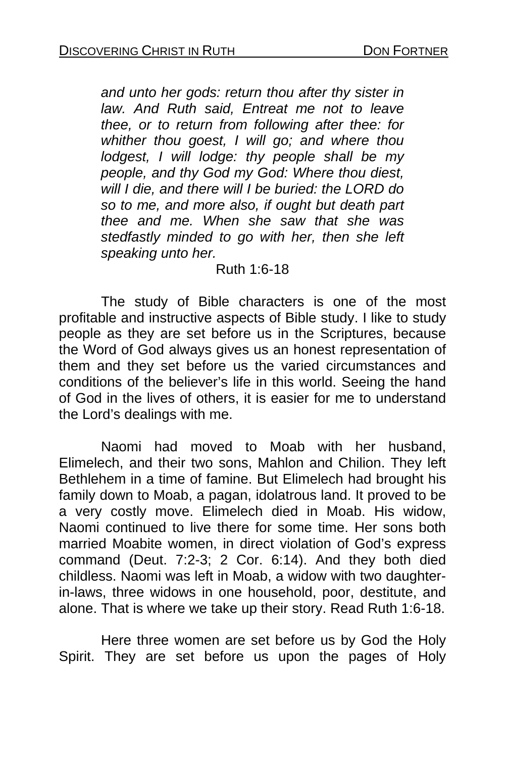*and unto her gods: return thou after thy sister in law. And Ruth said, Entreat me not to leave thee, or to return from following after thee: for whither thou goest, I will go; and where thou lodgest, I will lodge: thy people shall be my people, and thy God my God: Where thou diest, will I die, and there will I be buried: the LORD do so to me, and more also, if ought but death part thee and me. When she saw that she was stedfastly minded to go with her, then she left speaking unto her.* 

#### Ruth 1:6-18

 The study of Bible characters is one of the most profitable and instructive aspects of Bible study. I like to study people as they are set before us in the Scriptures, because the Word of God always gives us an honest representation of them and they set before us the varied circumstances and conditions of the believer's life in this world. Seeing the hand of God in the lives of others, it is easier for me to understand the Lord's dealings with me.

 Naomi had moved to Moab with her husband, Elimelech, and their two sons, Mahlon and Chilion. They left Bethlehem in a time of famine. But Elimelech had brought his family down to Moab, a pagan, idolatrous land. It proved to be a very costly move. Elimelech died in Moab. His widow, Naomi continued to live there for some time. Her sons both married Moabite women, in direct violation of God's express command (Deut. 7:2-3; 2 Cor. 6:14). And they both died childless. Naomi was left in Moab, a widow with two daughterin-laws, three widows in one household, poor, destitute, and alone. That is where we take up their story. Read Ruth 1:6-18.

 Here three women are set before us by God the Holy Spirit. They are set before us upon the pages of Holy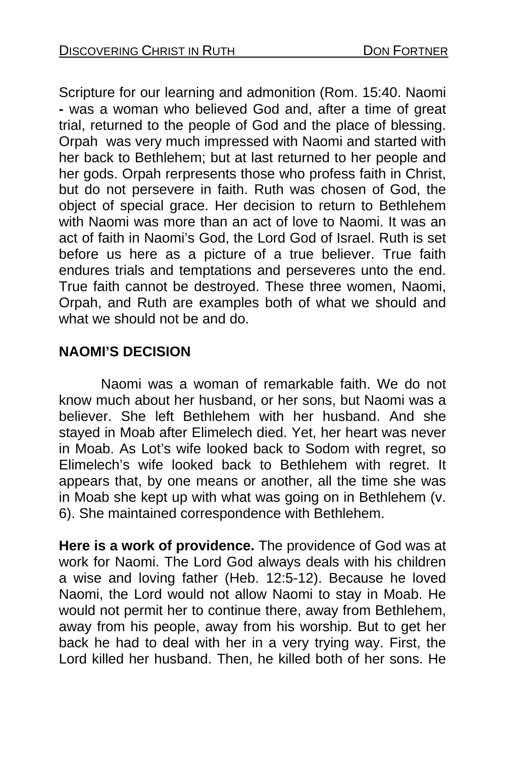Scripture for our learning and admonition (Rom. 15:40. Naomi **-** was a woman who believed God and, after a time of great trial, returned to the people of God and the place of blessing. Orpahwas very much impressed with Naomi and started with her back to Bethlehem; but at last returned to her people and her gods. Orpah rerpresents those who profess faith in Christ, but do not persevere in faith. Ruth was chosen of God, the object of special grace. Her decision to return to Bethlehem with Naomi was more than an act of love to Naomi. It was an act of faith in Naomi's God, the Lord God of Israel. Ruth is set before us here as a picture of a true believer. True faith endures trials and temptations and perseveres unto the end. True faith cannot be destroyed. These three women, Naomi, Orpah, and Ruth are examples both of what we should and what we should not be and do.

## **NAOMI'S DECISION**

Naomi was a woman of remarkable faith. We do not know much about her husband, or her sons, but Naomi was a believer. She left Bethlehem with her husband. And she stayed in Moab after Elimelech died. Yet, her heart was never in Moab. As Lot's wife looked back to Sodom with regret, so Elimelech's wife looked back to Bethlehem with regret. It appears that, by one means or another, all the time she was in Moab she kept up with what was going on in Bethlehem (v. 6). She maintained correspondence with Bethlehem.

**Here is a work of providence.** The providence of God was at work for Naomi. The Lord God always deals with his children a wise and loving father (Heb. 12:5-12). Because he loved Naomi, the Lord would not allow Naomi to stay in Moab. He would not permit her to continue there, away from Bethlehem, away from his people, away from his worship. But to get her back he had to deal with her in a very trying way. First, the Lord killed her husband. Then, he killed both of her sons. He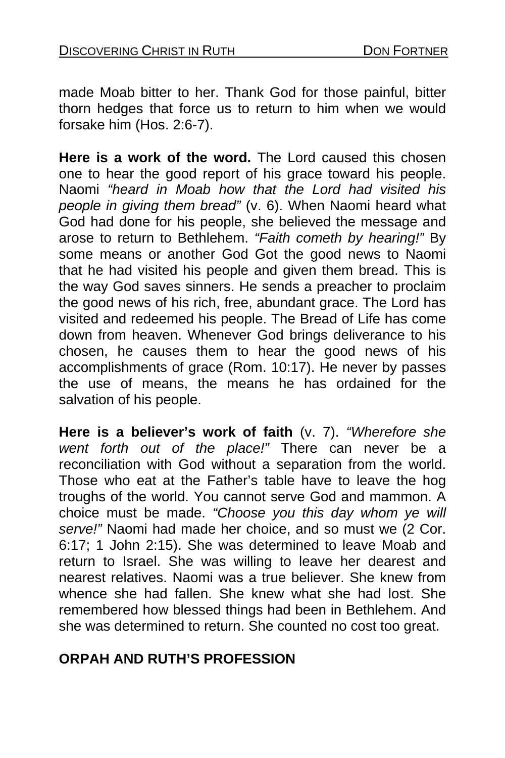made Moab bitter to her. Thank God for those painful, bitter thorn hedges that force us to return to him when we would forsake him (Hos. 2:6-7).

**Here is a work of the word.** The Lord caused this chosen one to hear the good report of his grace toward his people. Naomi *"heard in Moab how that the Lord had visited his people in giving them bread"* (v. 6). When Naomi heard what God had done for his people, she believed the message and arose to return to Bethlehem. *"Faith cometh by hearing!"* By some means or another God Got the good news to Naomi that he had visited his people and given them bread. This is the way God saves sinners. He sends a preacher to proclaim the good news of his rich, free, abundant grace. The Lord has visited and redeemed his people. The Bread of Life has come down from heaven. Whenever God brings deliverance to his chosen, he causes them to hear the good news of his accomplishments of grace (Rom. 10:17). He never by passes the use of means, the means he has ordained for the salvation of his people.

**Here is a believer's work of faith** (v. 7). *"Wherefore she went forth out of the place!"* There can never be a reconciliation with God without a separation from the world. Those who eat at the Father's table have to leave the hog troughs of the world. You cannot serve God and mammon. A choice must be made. *"Choose you this day whom ye will serve!"* Naomi had made her choice, and so must we (2 Cor. 6:17; 1 John 2:15). She was determined to leave Moab and return to Israel. She was willing to leave her dearest and nearest relatives. Naomi was a true believer. She knew from whence she had fallen. She knew what she had lost. She remembered how blessed things had been in Bethlehem. And she was determined to return. She counted no cost too great.

## **ORPAH AND RUTH'S PROFESSION**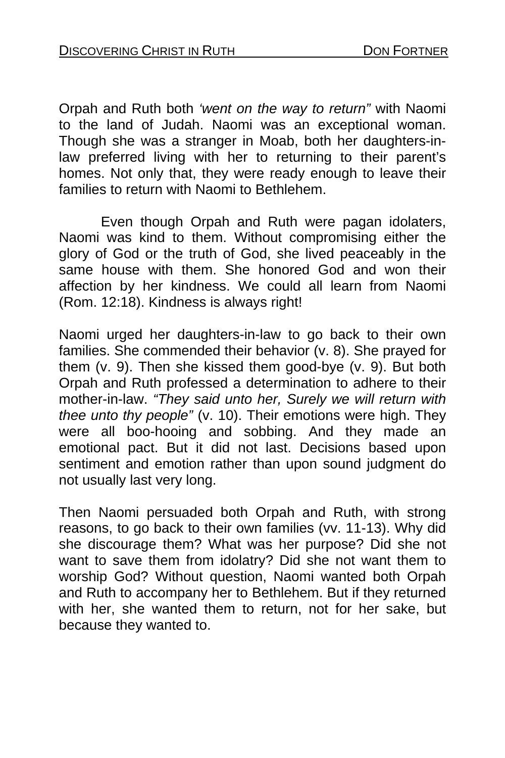Orpah and Ruth both *'went on the way to return"* with Naomi to the land of Judah. Naomi was an exceptional woman. Though she was a stranger in Moab, both her daughters-inlaw preferred living with her to returning to their parent's homes. Not only that, they were ready enough to leave their families to return with Naomi to Bethlehem.

 Even though Orpah and Ruth were pagan idolaters, Naomi was kind to them. Without compromising either the glory of God or the truth of God, she lived peaceably in the same house with them. She honored God and won their affection by her kindness. We could all learn from Naomi (Rom. 12:18). Kindness is always right!

Naomi urged her daughters-in-law to go back to their own families. She commended their behavior (v. 8). She prayed for them (v. 9). Then she kissed them good-bye (v. 9). But both Orpah and Ruth professed a determination to adhere to their mother-in-law. *"They said unto her, Surely we will return with thee unto thy people"* (v. 10). Their emotions were high. They were all boo-hooing and sobbing. And they made an emotional pact. But it did not last. Decisions based upon sentiment and emotion rather than upon sound judgment do not usually last very long.

Then Naomi persuaded both Orpah and Ruth, with strong reasons, to go back to their own families (vv. 11-13). Why did she discourage them? What was her purpose? Did she not want to save them from idolatry? Did she not want them to worship God? Without question, Naomi wanted both Orpah and Ruth to accompany her to Bethlehem. But if they returned with her, she wanted them to return, not for her sake, but because they wanted to.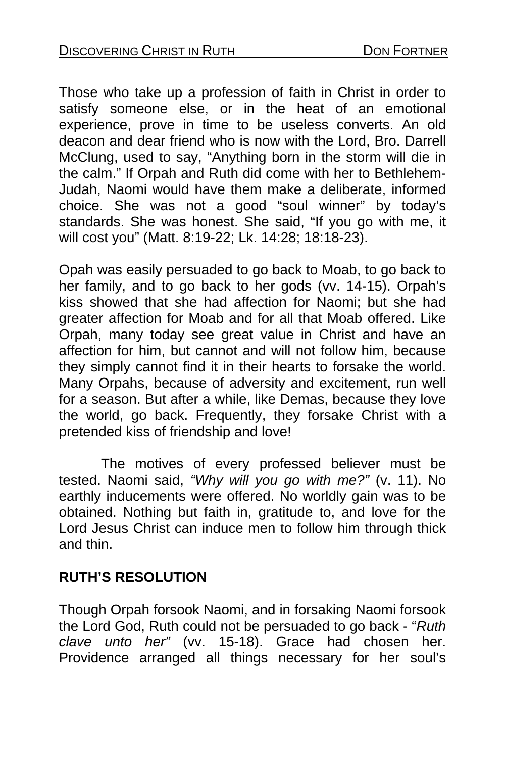Those who take up a profession of faith in Christ in order to satisfy someone else, or in the heat of an emotional experience, prove in time to be useless converts. An old deacon and dear friend who is now with the Lord, Bro. Darrell McClung, used to say, "Anything born in the storm will die in the calm." If Orpah and Ruth did come with her to Bethlehem-Judah, Naomi would have them make a deliberate, informed choice. She was not a good "soul winner" by today's standards. She was honest. She said, "If you go with me, it will cost you" (Matt. 8:19-22; Lk. 14:28; 18:18-23).

Opah was easily persuaded to go back to Moab, to go back to her family, and to go back to her gods (vv. 14-15). Orpah's kiss showed that she had affection for Naomi; but she had greater affection for Moab and for all that Moab offered. Like Orpah, many today see great value in Christ and have an affection for him, but cannot and will not follow him, because they simply cannot find it in their hearts to forsake the world. Many Orpahs, because of adversity and excitement, run well for a season. But after a while, like Demas, because they love the world, go back. Frequently, they forsake Christ with a pretended kiss of friendship and love!

 The motives of every professed believer must be tested. Naomi said, *"Why will you go with me?"* (v. 11). No earthly inducements were offered. No worldly gain was to be obtained. Nothing but faith in, gratitude to, and love for the Lord Jesus Christ can induce men to follow him through thick and thin.

#### **RUTH'S RESOLUTION**

Though Orpah forsook Naomi, and in forsaking Naomi forsook the Lord God, Ruth could not be persuaded to go back - "*Ruth clave unto her"* (vv. 15-18). Grace had chosen her. Providence arranged all things necessary for her soul's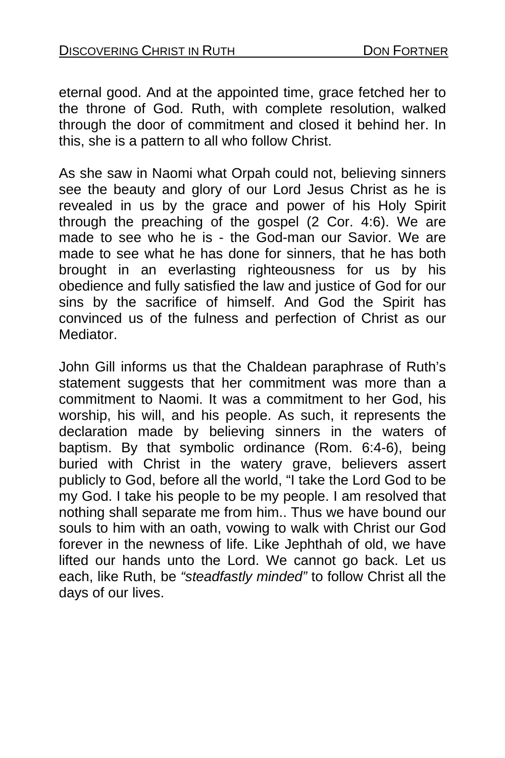eternal good. And at the appointed time, grace fetched her to the throne of God. Ruth, with complete resolution, walked through the door of commitment and closed it behind her. In this, she is a pattern to all who follow Christ.

As she saw in Naomi what Orpah could not, believing sinners see the beauty and glory of our Lord Jesus Christ as he is revealed in us by the grace and power of his Holy Spirit through the preaching of the gospel (2 Cor. 4:6). We are made to see who he is - the God-man our Savior. We are made to see what he has done for sinners, that he has both brought in an everlasting righteousness for us by his obedience and fully satisfied the law and justice of God for our sins by the sacrifice of himself. And God the Spirit has convinced us of the fulness and perfection of Christ as our Mediator.

John Gill informs us that the Chaldean paraphrase of Ruth's statement suggests that her commitment was more than a commitment to Naomi. It was a commitment to her God, his worship, his will, and his people. As such, it represents the declaration made by believing sinners in the waters of baptism. By that symbolic ordinance (Rom. 6:4-6), being buried with Christ in the watery grave, believers assert publicly to God, before all the world, "I take the Lord God to be my God. I take his people to be my people. I am resolved that nothing shall separate me from him.. Thus we have bound our souls to him with an oath, vowing to walk with Christ our God forever in the newness of life. Like Jephthah of old, we have lifted our hands unto the Lord. We cannot go back. Let us each, like Ruth, be *"steadfastly minded"* to follow Christ all the days of our lives.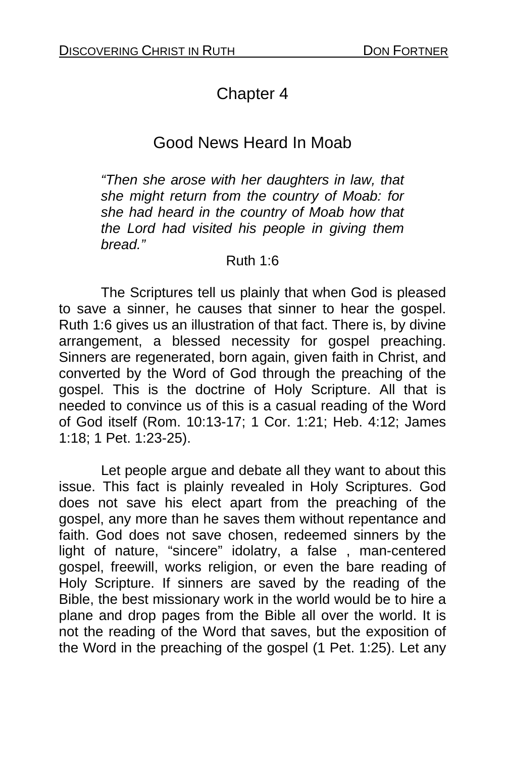# Chapter 4

# Good News Heard In Moab

*"Then she arose with her daughters in law, that she might return from the country of Moab: for she had heard in the country of Moab how that the Lord had visited his people in giving them bread."* 

#### Ruth 1:6

The Scriptures tell us plainly that when God is pleased to save a sinner, he causes that sinner to hear the gospel. Ruth 1:6 gives us an illustration of that fact. There is, by divine arrangement, a blessed necessity for gospel preaching. Sinners are regenerated, born again, given faith in Christ, and converted by the Word of God through the preaching of the gospel. This is the doctrine of Holy Scripture. All that is needed to convince us of this is a casual reading of the Word of God itself (Rom. 10:13-17; 1 Cor. 1:21; Heb. 4:12; James 1:18; 1 Pet. 1:23-25).

 Let people argue and debate all they want to about this issue. This fact is plainly revealed in Holy Scriptures. God does not save his elect apart from the preaching of the gospel, any more than he saves them without repentance and faith. God does not save chosen, redeemed sinners by the light of nature, "sincere" idolatry, a false , man-centered gospel, freewill, works religion, or even the bare reading of Holy Scripture. If sinners are saved by the reading of the Bible, the best missionary work in the world would be to hire a plane and drop pages from the Bible all over the world. It is not the reading of the Word that saves, but the exposition of the Word in the preaching of the gospel (1 Pet. 1:25). Let any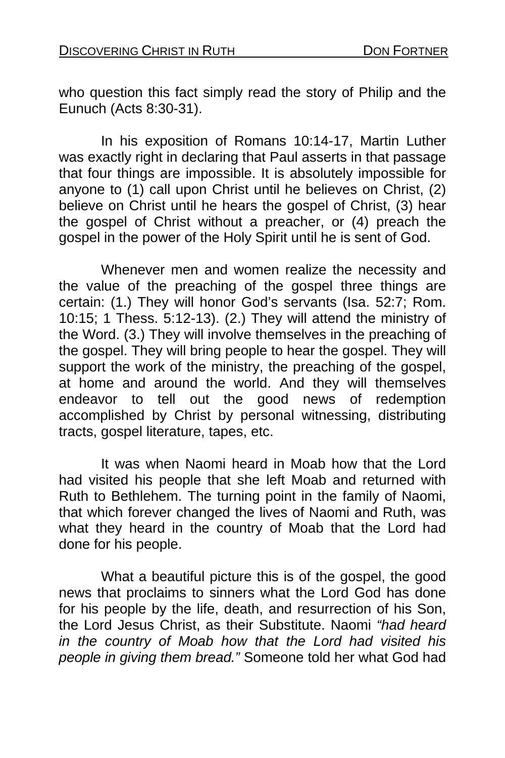who question this fact simply read the story of Philip and the Eunuch (Acts 8:30-31).

 In his exposition of Romans 10:14-17, Martin Luther was exactly right in declaring that Paul asserts in that passage that four things are impossible. It is absolutely impossible for anyone to (1) call upon Christ until he believes on Christ, (2) believe on Christ until he hears the gospel of Christ, (3) hear the gospel of Christ without a preacher, or (4) preach the gospel in the power of the Holy Spirit until he is sent of God.

Whenever men and women realize the necessity and the value of the preaching of the gospel three things are certain: (1.) They will honor God's servants (Isa. 52:7; Rom. 10:15; 1 Thess. 5:12-13). (2.) They will attend the ministry of the Word. (3.) They will involve themselves in the preaching of the gospel. They will bring people to hear the gospel. They will support the work of the ministry, the preaching of the gospel, at home and around the world. And they will themselves endeavor to tell out the good news of redemption accomplished by Christ by personal witnessing, distributing tracts, gospel literature, tapes, etc.

 It was when Naomi heard in Moab how that the Lord had visited his people that she left Moab and returned with Ruth to Bethlehem. The turning point in the family of Naomi, that which forever changed the lives of Naomi and Ruth, was what they heard in the country of Moab that the Lord had done for his people.

 What a beautiful picture this is of the gospel, the good news that proclaims to sinners what the Lord God has done for his people by the life, death, and resurrection of his Son, the Lord Jesus Christ, as their Substitute. Naomi *"had heard in the country of Moab how that the Lord had visited his people in giving them bread."* Someone told her what God had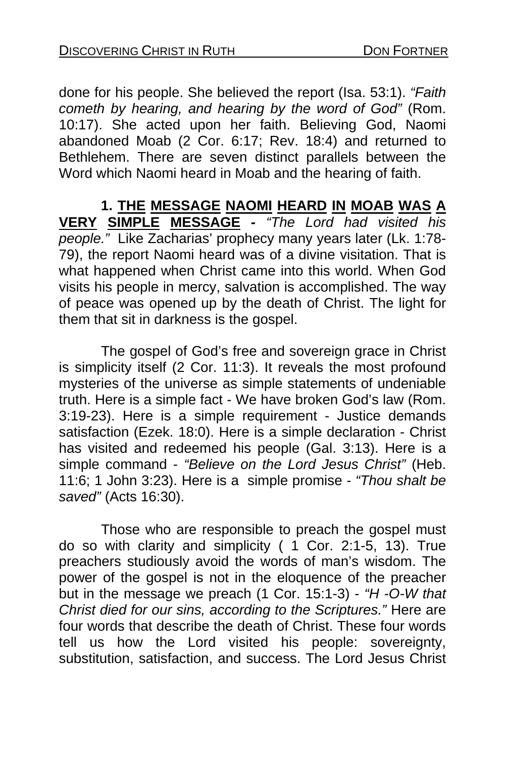done for his people. She believed the report (Isa. 53:1). *"Faith cometh by hearing, and hearing by the word of God"* (Rom. 10:17). She acted upon her faith. Believing God, Naomi abandoned Moab (2 Cor. 6:17; Rev. 18:4) and returned to Bethlehem. There are seven distinct parallels between the Word which Naomi heard in Moab and the hearing of faith.

**1. THE MESSAGE NAOMI HEARD IN MOAB WAS A VERY SIMPLE MESSAGE -** *"The Lord had visited his people."* Like Zacharias' prophecy many years later (Lk. 1:78- 79), the report Naomi heard was of a divine visitation. That is what happened when Christ came into this world. When God visits his people in mercy, salvation is accomplished. The way of peace was opened up by the death of Christ. The light for them that sit in darkness is the gospel.

 The gospel of God's free and sovereign grace in Christ is simplicity itself (2 Cor. 11:3). It reveals the most profound mysteries of the universe as simple statements of undeniable truth. Here is a simple fact - We have broken God's law (Rom. 3:19-23). Here is a simple requirement - Justice demands satisfaction (Ezek. 18:0). Here is a simple declaration - Christ has visited and redeemed his people (Gal. 3:13). Here is a simple command - *"Believe on the Lord Jesus Christ"* (Heb. 11:6; 1 John 3:23). Here is a simple promise - *"Thou shalt be saved"* (Acts 16:30).

Those who are responsible to preach the gospel must do so with clarity and simplicity  $(1 \text{ Cor. } 2:1-5, 13)$ . True preachers studiously avoid the words of man's wisdom. The power of the gospel is not in the eloquence of the preacher but in the message we preach (1 Cor. 15:1-3) - *"H -O-W that Christ died for our sins, according to the Scriptures."* Here are four words that describe the death of Christ. These four words tell us how the Lord visited his people: sovereignty, substitution, satisfaction, and success. The Lord Jesus Christ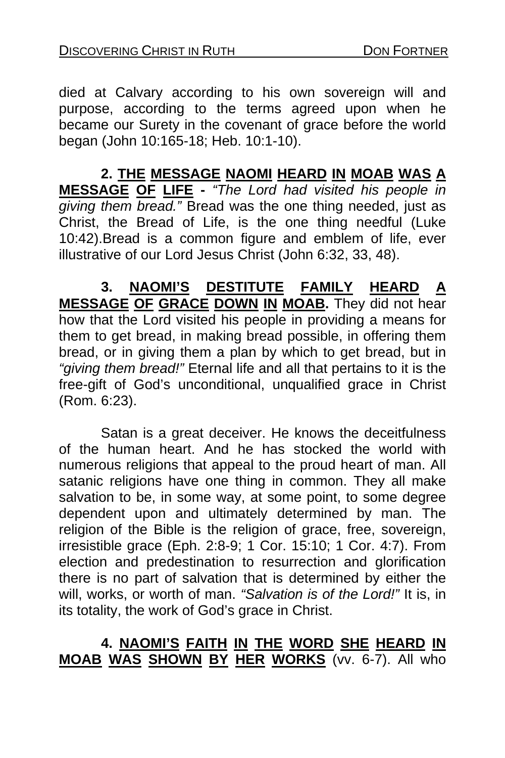died at Calvary according to his own sovereign will and purpose, according to the terms agreed upon when he became our Surety in the covenant of grace before the world began (John 10:165-18; Heb. 10:1-10).

**2. THE MESSAGE NAOMI HEARD IN MOAB WAS A MESSAGE OF LIFE -** *"The Lord had visited his people in giving them bread."* Bread was the one thing needed, just as Christ, the Bread of Life, is the one thing needful (Luke 10:42).Bread is a common figure and emblem of life, ever illustrative of our Lord Jesus Christ (John 6:32, 33, 48).

**3. NAOMI'S DESTITUTE FAMILY HEARD A MESSAGE OF GRACE DOWN IN MOAB.** They did not hear how that the Lord visited his people in providing a means for them to get bread, in making bread possible, in offering them bread, or in giving them a plan by which to get bread, but in *"giving them bread!"* Eternal life and all that pertains to it is the free-gift of God's unconditional, unqualified grace in Christ (Rom. 6:23).

Satan is a great deceiver. He knows the deceitfulness of the human heart. And he has stocked the world with numerous religions that appeal to the proud heart of man. All satanic religions have one thing in common. They all make salvation to be, in some way, at some point, to some degree dependent upon and ultimately determined by man. The religion of the Bible is the religion of grace, free, sovereign, irresistible grace (Eph. 2:8-9; 1 Cor. 15:10; 1 Cor. 4:7). From election and predestination to resurrection and glorification there is no part of salvation that is determined by either the will, works, or worth of man. *"Salvation is of the Lord!"* It is, in its totality, the work of God's grace in Christ.

#### **4. NAOMI'S FAITH IN THE WORD SHE HEARD IN MOAB WAS SHOWN BY HER WORKS** (vv. 6-7). All who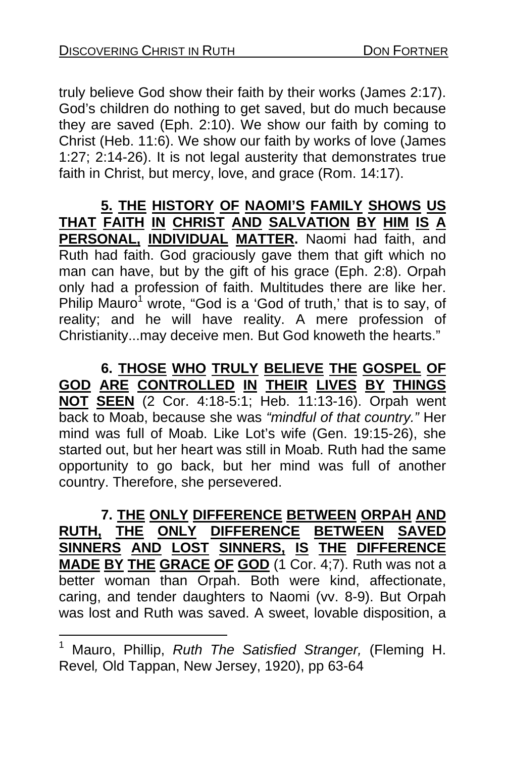truly believe God show their faith by their works (James 2:17). God's children do nothing to get saved, but do much because they are saved (Eph. 2:10). [W](#page-29-0)e show our faith by coming to Christ (Heb. 11:6). We show our faith by works of love (James 1:27; 2:14-26). It is not legal austerity that demonstrates true faith in Christ, but mercy, love, and grace (Rom. 14:17).

**5. THE HISTORY OF NAOMI'S FAMILY SHOWS US THAT FAITH IN CHRIST AND SALVATION BY HIM IS A PERSONAL, INDIVIDUAL MATTER.** Naomi had faith, and Ruth had faith. God graciously gave them that gift which no man can have, but by the gift of his grace (Eph. 2:8). Orpah only had a profession of faith. Multitudes there are like her. Philip Mauro<sup>1</sup> wrote, "God is a 'God of truth,' that is to say, of reality; and he will have reality. A mere profession of Christianity...may deceive men. But God knoweth the hearts."

**6. THOSE WHO TRULY BELIEVE THE GOSPEL OF GOD ARE CONTROLLED IN THEIR LIVES BY THINGS NOT SEEN** (2 Cor. 4:18-5:1; Heb. 11:13-16). Orpah went back to Moab, because she was *"mindful of that country."* Her mind was full of Moab. Like Lot's wife (Gen. 19:15-26), she started out, but her heart was still in Moab. Ruth had the same opportunity to go back, but her mind was full of another country. Therefore, she persevered.

**7. THE ONLY DIFFERENCE BETWEEN ORPAH AND RUTH, THE ONLY DIFFERENCE BETWEEN SAVED SINNERS AND LOST SINNERS, IS THE DIFFERENCE MADE BY THE GRACE OF GOD** (1 Cor. 4;7). Ruth was not a better woman than Orpah. Both were kind, affectionate, caring, and tender daughters to Naomi (vv. 8-9). But Orpah was lost and Ruth was saved. A sweet, lovable disposition, a

l

<span id="page-29-0"></span><sup>1</sup> Mauro, Phillip, *Ruth The Satisfied Stranger,* (Fleming H. Revel*,* Old Tappan, New Jersey, 1920), pp 63-64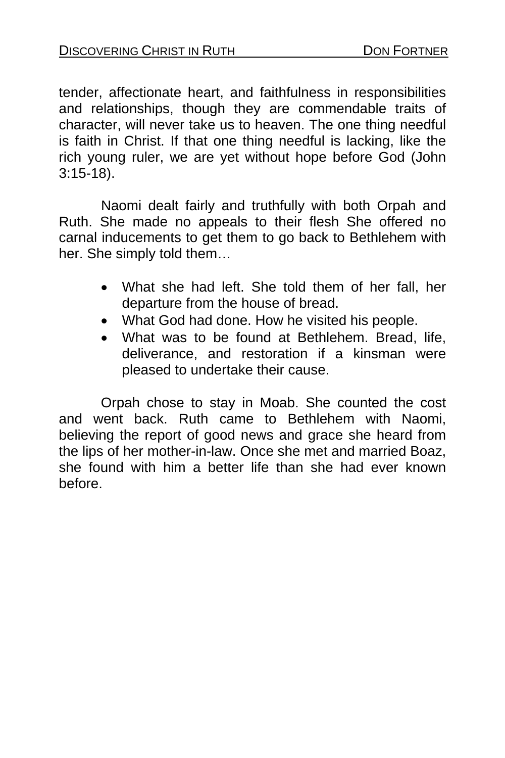tender, affectionate heart, and faithfulness in responsibilities and relationships, though they are commendable traits of character, will never take us to heaven. The one thing needful is faith in Christ. If that one thing needful is lacking, like the rich young ruler, we are yet without hope before God (John 3:15-18).

 Naomi dealt fairly and truthfully with both Orpah and Ruth. She made no appeals to their flesh She offered no carnal inducements to get them to go back to Bethlehem with her. She simply told them…

- What she had left. She told them of her fall, her departure from the house of bread.
- What God had done. How he visited his people.
- What was to be found at Bethlehem. Bread, life, deliverance, and restoration if a kinsman were pleased to undertake their cause.

Orpah chose to stay in Moab. She counted the cost and went back. Ruth came to Bethlehem with Naomi, believing the report of good news and grace she heard from the lips of her mother-in-law. Once she met and married Boaz, she found with him a better life than she had ever known before.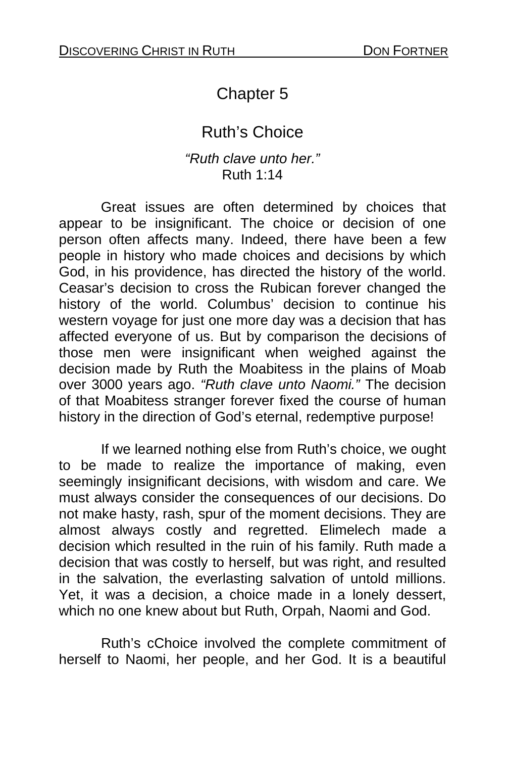# Chapter 5

# Ruth's Choice

#### *"Ruth clave unto her."* Ruth 1:14

 Great issues are often determined by choices that appear to be insignificant. The choice or decision of one person often affects many. Indeed, there have been a few people in history who made choices and decisions by which God, in his providence, has directed the history of the world. Ceasar's decision to cross the Rubican forever changed the history of the world. Columbus' decision to continue his western voyage for just one more day was a decision that has affected everyone of us. But by comparison the decisions of those men were insignificant when weighed against the decision made by Ruth the Moabitess in the plains of Moab over 3000 years ago. *"Ruth clave unto Naomi."* The decision of that Moabitess stranger forever fixed the course of human history in the direction of God's eternal, redemptive purpose!

 If we learned nothing else from Ruth's choice, we ought to be made to realize the importance of making, even seemingly insignificant decisions, with wisdom and care. We must always consider the consequences of our decisions. Do not make hasty, rash, spur of the moment decisions. They are almost always costly and regretted. Elimelech made a decision which resulted in the ruin of his family. Ruth made a decision that was costly to herself, but was right, and resulted in the salvation, the everlasting salvation of untold millions. Yet, it was a decision, a choice made in a lonely dessert, which no one knew about but Ruth, Orpah, Naomi and God.

Ruth's cChoice involved the complete commitment of herself to Naomi, her people, and her God. It is a beautiful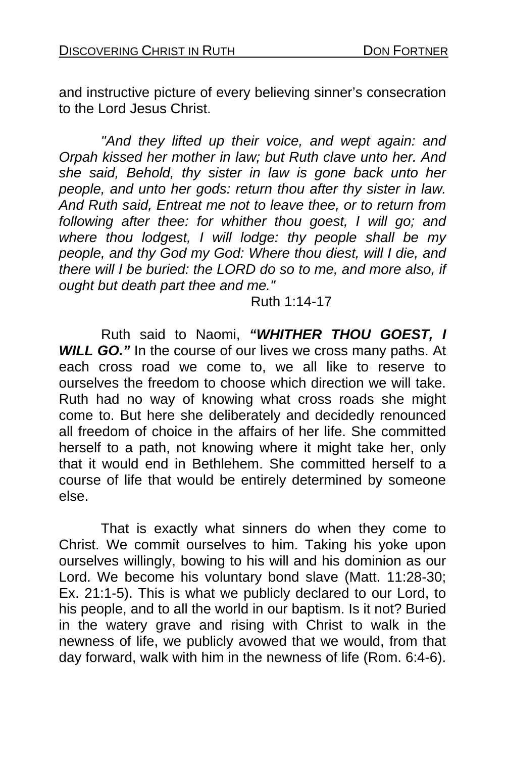and instructive picture of every believing sinner's consecration to the Lord Jesus Christ.

*"And they lifted up their voice, and wept again: and Orpah kissed her mother in law; but Ruth clave unto her. And she said, Behold, thy sister in law is gone back unto her people, and unto her gods: return thou after thy sister in law. And Ruth said, Entreat me not to leave thee, or to return from following after thee: for whither thou goest, I will go; and where thou lodgest, I will lodge: thy people shall be my people, and thy God my God: Where thou diest, will I die, and there will I be buried: the LORD do so to me, and more also, if ought but death part thee and me."* 

Ruth 1:14-17

 Ruth said to Naomi, *"WHITHER THOU GOEST, I*  **WILL GO.**" In the course of our lives we cross many paths. At each cross road we come to, we all like to reserve to ourselves the freedom to choose which direction we will take. Ruth had no way of knowing what cross roads she might come to. But here she deliberately and decidedly renounced all freedom of choice in the affairs of her life. She committed herself to a path, not knowing where it might take her, only that it would end in Bethlehem. She committed herself to a course of life that would be entirely determined by someone else.

 That is exactly what sinners do when they come to Christ. We commit ourselves to him. Taking his yoke upon ourselves willingly, bowing to his will and his dominion as our Lord. We become his voluntary bond slave (Matt. 11:28-30; Ex. 21:1-5). This is what we publicly declared to our Lord, to his people, and to all the world in our baptism. Is it not? Buried in the watery grave and rising with Christ to walk in the newness of life, we publicly avowed that we would, from that day forward, walk with him in the newness of life (Rom. 6:4-6).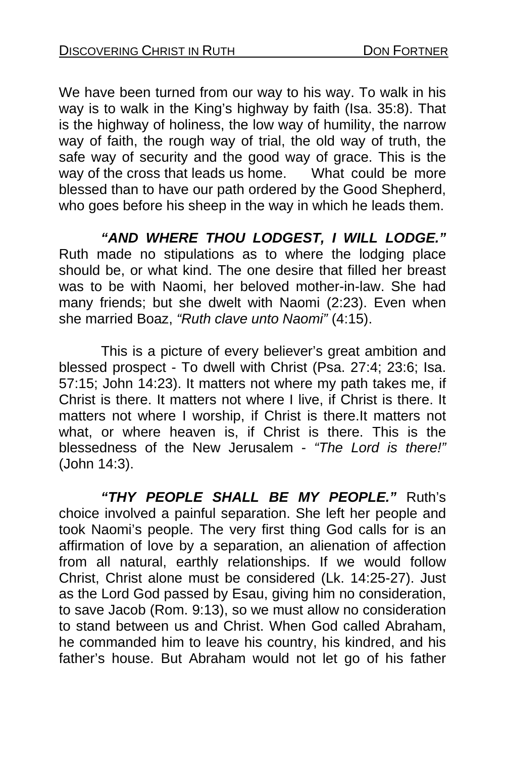We have been turned from our way to his way. To walk in his way is to walk in the King's highway by faith (Isa. 35:8). That is the highway of holiness, the low way of humility, the narrow way of faith, the rough way of trial, the old way of truth, the safe way of security and the good way of grace. This is the way of the cross that leads us home. What could be more blessed than to have our path ordered by the Good Shepherd, who goes before his sheep in the way in which he leads them.

*"AND WHERE THOU LODGEST, I WILL LODGE."*  Ruth made no stipulations as to where the lodging place should be, or what kind. The one desire that filled her breast was to be with Naomi, her beloved mother-in-law. She had many friends; but she dwelt with Naomi (2:23). Even when she married Boaz, *"Ruth clave unto Naomi"* (4:15).

 This is a picture of every believer's great ambition and blessed prospect - To dwell with Christ (Psa. 27:4; 23:6; Isa. 57:15; John 14:23). It matters not where my path takes me, if Christ is there. It matters not where I live, if Christ is there. It matters not where I worship, if Christ is there.It matters not what, or where heaven is, if Christ is there. This is the blessedness of the New Jerusalem - *"The Lord is there!"*  (John 14:3).

*"THY PEOPLE SHALL BE MY PEOPLE."* Ruth's choice involved a painful separation. She left her people and took Naomi's people. The very first thing God calls for is an affirmation of love by a separation, an alienation of affection from all natural, earthly relationships. If we would follow Christ, Christ alone must be considered (Lk. 14:25-27). Just as the Lord God passed by Esau, giving him no consideration, to save Jacob (Rom. 9:13), so we must allow no consideration to stand between us and Christ. When God called Abraham, he commanded him to leave his country, his kindred, and his father's house. But Abraham would not let go of his father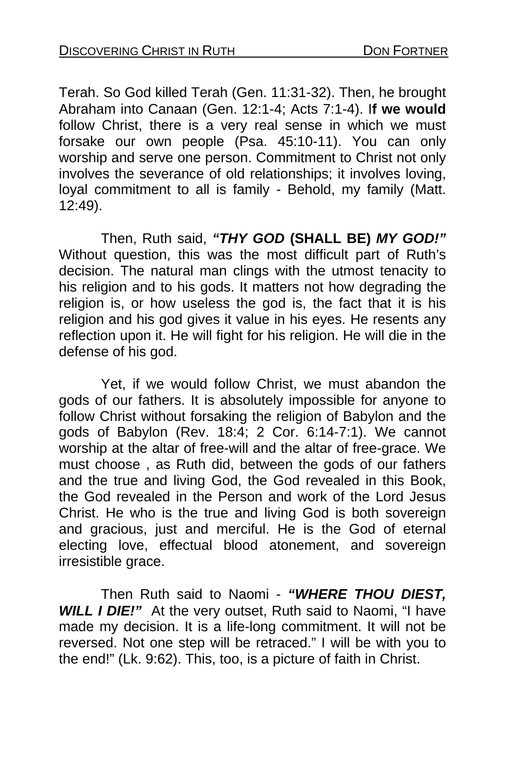Terah. So God killed Terah (Gen. 11:31-32). Then, he brought Abraham into Canaan (Gen. 12:1-4; Acts 7:1-4). I**f we would**  follow Christ, there is a very real sense in which we must forsake our own people (Psa. 45:10-11). You can only worship and serve one person. Commitment to Christ not only involves the severance of old relationships; it involves loving, loyal commitment to all is family - Behold, my family (Matt. 12:49).

Then, Ruth said, *"THY GOD* **(SHALL BE)** *MY GOD!"*  Without question, this was the most difficult part of Ruth's decision. The natural man clings with the utmost tenacity to his religion and to his gods. It matters not how degrading the religion is, or how useless the god is, the fact that it is his religion and his god gives it value in his eyes. He resents any reflection upon it. He will fight for his religion. He will die in the defense of his god.

 Yet, if we would follow Christ, we must abandon the gods of our fathers. It is absolutely impossible for anyone to follow Christ without forsaking the religion of Babylon and the gods of Babylon (Rev. 18:4; 2 Cor. 6:14-7:1). We cannot worship at the altar of free-will and the altar of free-grace. We must choose , as Ruth did, between the gods of our fathers and the true and living God, the God revealed in this Book, the God revealed in the Person and work of the Lord Jesus Christ. He who is the true and living God is both sovereign and gracious, just and merciful. He is the God of eternal electing love, effectual blood atonement, and sovereign irresistible grace.

Then Ruth said to Naomi - *"WHERE THOU DIEST, WILL I DIE!"* At the very outset, Ruth said to Naomi, "I have made my decision. It is a life-long commitment. It will not be reversed. Not one step will be retraced." I will be with you to the end!" (Lk. 9:62). This, too, is a picture of faith in Christ.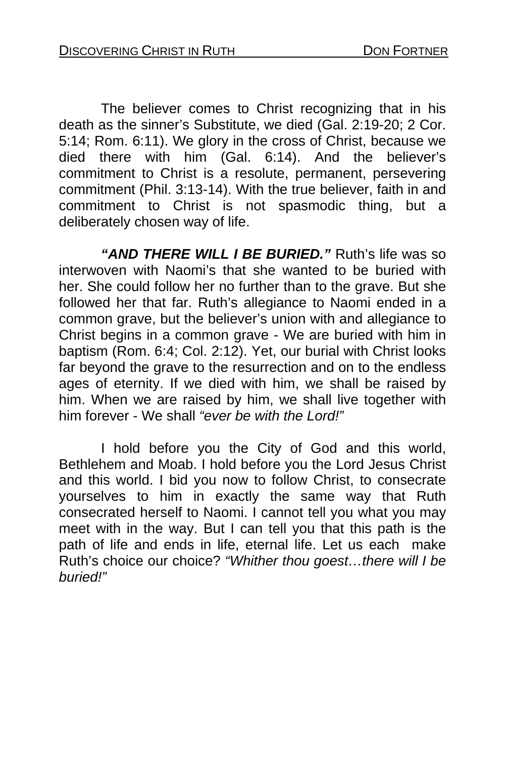The believer comes to Christ recognizing that in his death as the sinner's Substitute, we died (Gal. 2:19-20; 2 Cor. 5:14; Rom. 6:11). We glory in the cross of Christ, because we died there with him (Gal. 6:14). And the believer's commitment to Christ is a resolute, permanent, persevering commitment (Phil. 3:13-14). With the true believer, faith in and commitment to Christ is not spasmodic thing, but a deliberately chosen way of life.

*"AND THERE WILL I BE BURIED."* Ruth's life was so interwoven with Naomi's that she wanted to be buried with her. She could follow her no further than to the grave. But she followed her that far. Ruth's allegiance to Naomi ended in a common grave, but the believer's union with and allegiance to Christ begins in a common grave - We are buried with him in baptism (Rom. 6:4; Col. 2:12). Yet, our burial with Christ looks far beyond the grave to the resurrection and on to the endless ages of eternity. If we died with him, we shall be raised by him. When we are raised by him, we shall live together with him forever - We shall *"ever be with the Lord!"*

 I hold before you the City of God and this world, Bethlehem and Moab. I hold before you the Lord Jesus Christ and this world. I bid you now to follow Christ, to consecrate yourselves to him in exactly the same way that Ruth consecrated herself to Naomi. I cannot tell you what you may meet with in the way. But I can tell you that this path is the path of life and ends in life, eternal life. Let us each make Ruth's choice our choice? *"Whither thou goest…there will I be buried!"*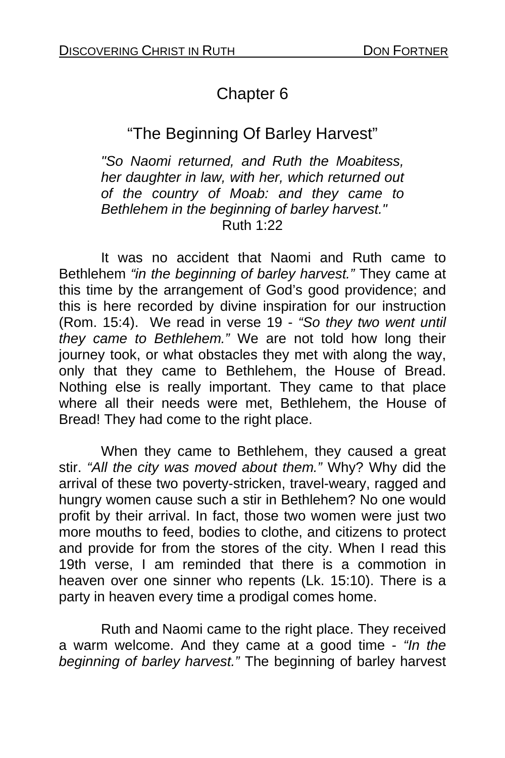## Chapter 6

## "The Beginning Of Barley Harvest"

*"So Naomi returned, and Ruth the Moabitess, her daughter in law, with her, which returned out of the country of Moab: and they came to Bethlehem in the beginning of barley harvest."*  Ruth 1:22

It was no accident that Naomi and Ruth came to Bethlehem *"in the beginning of barley harvest."* They came at this time by the arrangement of God's good providence; and this is here recorded by divine inspiration for our instruction (Rom. 15:4). We read in verse 19 - *"So they two went until they came to Bethlehem."* We are not told how long their journey took, or what obstacles they met with along the way, only that they came to Bethlehem, the House of Bread. Nothing else is really important. They came to that place where all their needs were met, Bethlehem, the House of Bread! They had come to the right place.

 When they came to Bethlehem, they caused a great stir. *"All the city was moved about them."* Why? Why did the arrival of these two poverty-stricken, travel-weary, ragged and hungry women cause such a stir in Bethlehem? No one would profit by their arrival. In fact, those two women were just two more mouths to feed, bodies to clothe, and citizens to protect and provide for from the stores of the city. When I read this 19th verse, I am reminded that there is a commotion in heaven over one sinner who repents (Lk. 15:10). There is a party in heaven every time a prodigal comes home.

 Ruth and Naomi came to the right place. They received a warm welcome. And they came at a good time - *"In the beginning of barley harvest."* The beginning of barley harvest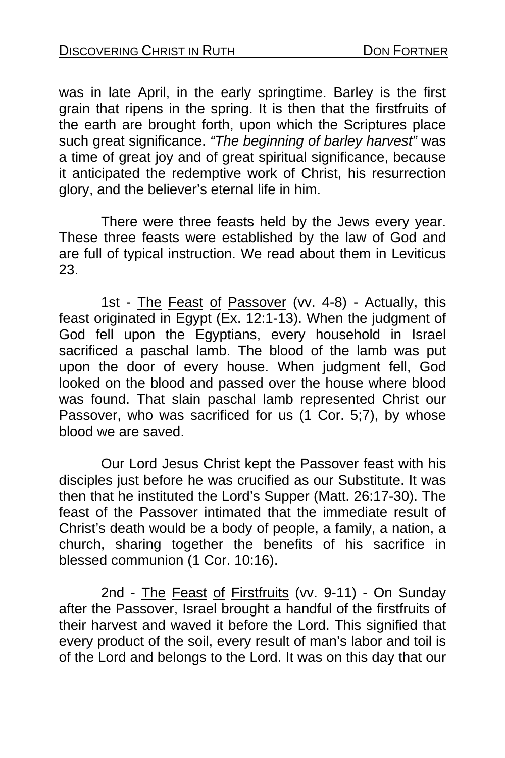was in late April, in the early springtime. Barley is the first grain that ripens in the spring. It is then that the firstfruits of the earth are brought forth, upon which the Scriptures place such great significance. *"The beginning of barley harvest"* was a time of great joy and of great spiritual significance, because it anticipated the redemptive work of Christ, his resurrection glory, and the believer's eternal life in him.

 There were three feasts held by the Jews every year. These three feasts were established by the law of God and are full of typical instruction. We read about them in Leviticus 23.

1st - The Feast of Passover (vv. 4-8) - Actually, this feast originated in Egypt  $(E_{x.} 12:1-13)$ . When the judgment of God fell upon the Egyptians, every household in Israel sacrificed a paschal lamb. The blood of the lamb was put upon the door of every house. When judgment fell, God looked on the blood and passed over the house where blood was found. That slain paschal lamb represented Christ our Passover, who was sacrificed for us (1 Cor. 5;7), by whose blood we are saved.

 Our Lord Jesus Christ kept the Passover feast with his disciples just before he was crucified as our Substitute. It was then that he instituted the Lord's Supper (Matt. 26:17-30). The feast of the Passover intimated that the immediate result of Christ's death would be a body of people, a family, a nation, a church, sharing together the benefits of his sacrifice in blessed communion (1 Cor. 10:16).

2nd - The Feast of Firstfruits (vv. 9-11) - On Sunday after the Passover, Israel brought a handful of the firstfruits of their harvest and waved it before the Lord. This signified that every product of the soil, every result of man's labor and toil is of the Lord and belongs to the Lord. It was on this day that our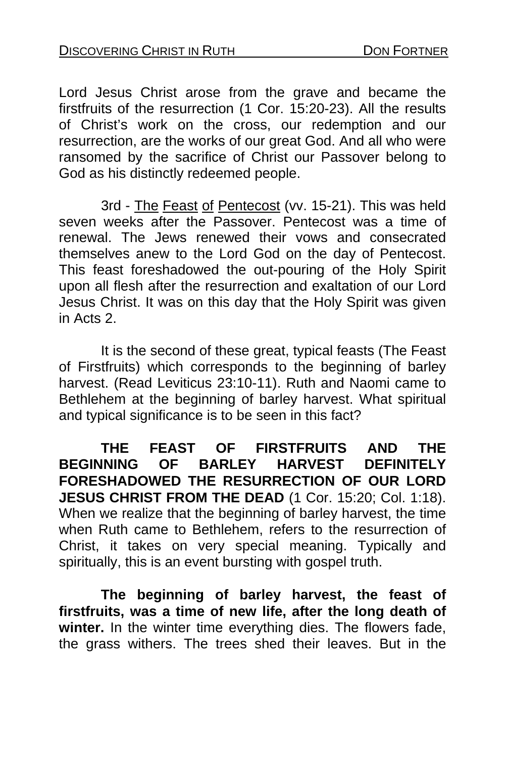Lord Jesus Christ arose from the grave and became the firstfruits of the resurrection (1 Cor. 15:20-23). All the results of Christ's work on the cross, our redemption and our resurrection, are the works of our great God. And all who were ransomed by the sacrifice of Christ our Passover belong to God as his distinctly redeemed people.

3rd - The Feast of Pentecost (vv. 15-21). This was held seven weeks after the Passover. Pentecost was a time of renewal. The Jews renewed their vows and consecrated themselves anew to the Lord God on the day of Pentecost. This feast foreshadowed the out-pouring of the Holy Spirit upon all flesh after the resurrection and exaltation of our Lord Jesus Christ. It was on this day that the Holy Spirit was given in Acts 2.

 It is the second of these great, typical feasts (The Feast of Firstfruits) which corresponds to the beginning of barley harvest. (Read Leviticus 23:10-11). Ruth and Naomi came to Bethlehem at the beginning of barley harvest. What spiritual and typical significance is to be seen in this fact?

**THE FEAST OF FIRSTFRUITS AND THE BEGINNING OF BARLEY HARVEST DEFINITELY FORESHADOWED THE RESURRECTION OF OUR LORD JESUS CHRIST FROM THE DEAD** (1 Cor. 15:20; Col. 1:18). When we realize that the beginning of barley harvest, the time when Ruth came to Bethlehem, refers to the resurrection of Christ, it takes on very special meaning. Typically and spiritually, this is an event bursting with gospel truth.

**The beginning of barley harvest, the feast of firstfruits, was a time of new life, after the long death of winter.** In the winter time everything dies. The flowers fade, the grass withers. The trees shed their leaves. But in the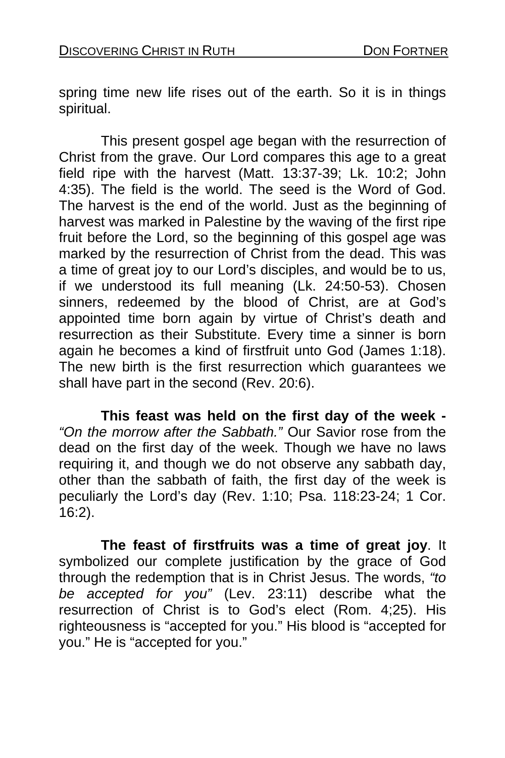spring time new life rises out of the earth. So it is in things spiritual.

This present gospel age began with the resurrection of Christ from the grave. Our Lord compares this age to a great field ripe with the harvest (Matt. 13:37-39; Lk. 10:2; John 4:35). The field is the world. The seed is the Word of God. The harvest is the end of the world. Just as the beginning of harvest was marked in Palestine by the waving of the first ripe fruit before the Lord, so the beginning of this gospel age was marked by the resurrection of Christ from the dead. This was a time of great joy to our Lord's disciples, and would be to us, if we understood its full meaning (Lk. 24:50-53). Chosen sinners, redeemed by the blood of Christ, are at God's appointed time born again by virtue of Christ's death and resurrection as their Substitute. Every time a sinner is born again he becomes a kind of firstfruit unto God (James 1:18). The new birth is the first resurrection which guarantees we shall have part in the second (Rev. 20:6).

**This feast was held on the first day of the week -**  *"On the morrow after the Sabbath."* Our Savior rose from the dead on the first day of the week. Though we have no laws requiring it, and though we do not observe any sabbath day, other than the sabbath of faith, the first day of the week is peculiarly the Lord's day (Rev. 1:10; Psa. 118:23-24; 1 Cor. 16:2).

**The feast of firstfruits was a time of great joy**. It symbolized our complete justification by the grace of God through the redemption that is in Christ Jesus. The words, *"to be accepted for you"* (Lev. 23:11) describe what the resurrection of Christ is to God's elect (Rom. 4;25). His righteousness is "accepted for you." His blood is "accepted for you." He is "accepted for you."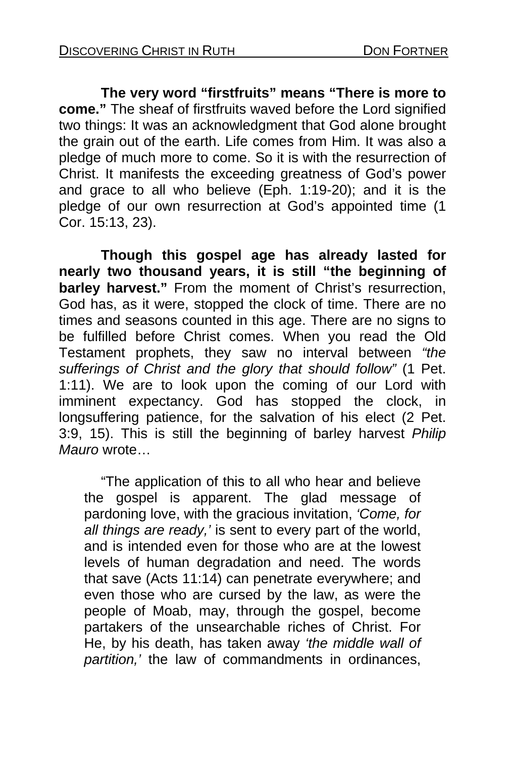**The very word "firstfruits" means "There is more to come."** The sheaf of firstfruits waved before the Lord signified two things: It was an acknowledgment that God alone brought the grain out of the earth. Life comes from Him. It was also a pledge of much more to come. So it is with the resurrection of Christ. It manifests the exceeding greatness of God's power and grace to all who believe (Eph. 1:19-20); and it is the pledge of our own resurrection at God's appointed time (1 Cor. 15:13, 23).

 **Though this gospel age has already lasted for nearly two thousand years, it is still "the beginning of barley harvest."** From the moment of Christ's resurrection, God has, as it were, stopped the clock of time. There are no times and seasons counted in this age. There are no signs to be fulfilled before Christ comes. When you read the Old Testament prophets, they saw no interval between *"the sufferings of Christ and the glory that should follow"* (1 Pet. 1:11). We are to look upon the coming of our Lord with imminent expectancy. God has stopped the clock, in longsuffering patience, for the salvation of his elect (2 Pet. 3:9, 15). This is still the beginning of barley harvest *Philip Mauro* wrote…

 "The application of this to all who hear and believe the gospel is apparent. The glad message of pardoning love, with the gracious invitation, *'Come, for all things are ready,'* is sent to every part of the world, and is intended even for those who are at the lowest levels of human degradation and need. The words that save (Acts 11:14) can penetrate everywhere; and even those who are cursed by the law, as were the people of Moab, may, through the gospel, become partakers of the unsearchable riches of Christ. For He, by his death, has taken away *'the middle wall of partition,'* the law of commandments in ordinances,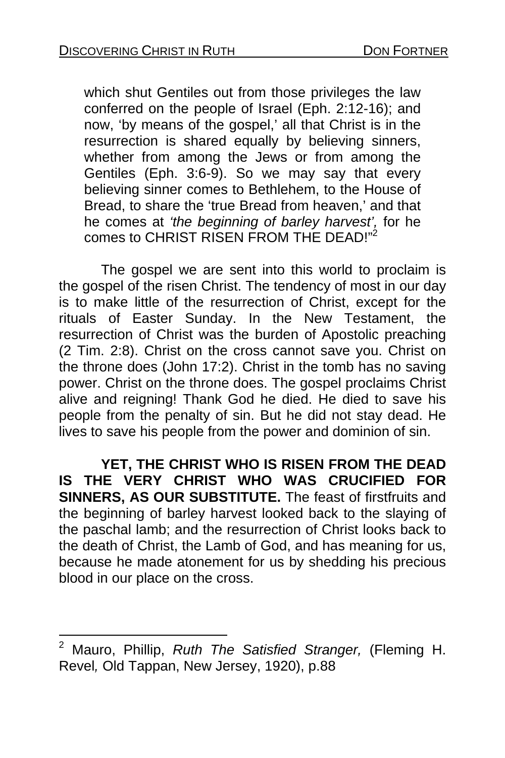which shut Gentiles out from those privileges the law conferred on the people of Israel (Eph. 2:12-16); and now, 'by means of the gospel,' all that Christ is in the resurrection is shared equally by believing sinners, whether from among the Jews or from among the Gentiles (Eph. 3:6-9). So we may say that every believing sinner comes to Bethlehem, to the House of Bread, to share the 'true Bread from heaven,' and that he comes at *'the beginning of barley harvest',* for he comes to CHRIST RISEN FROM THE DEAD!"<sup>2</sup>

 The gospel we are sent into this world to proclaim is the gospel of the risen Christ. The tendency of most in our day is to make little of the resurrection of Christ, except for the rituals of Easter Sunday. In the New Testament, the resurrection of Christ was the burden of Apostolic preaching (2 Tim. 2:8). Christ on the cross cannot save you. Christ on the throne does (John 17:2). Christ in the tomb has no saving power. Christ on the throne does. The gospel proclaims Christ alive and reigning! Thank God he died. He died to save his people from the penalty of sin. But he did not stay dead. He lives to save his people from the power and dominion of sin.

**YET, THE CHRIST WHO IS RISEN FROM THE DEAD IS THE VERY CHRIST WHO WAS CRUCIFIED FOR SINNERS, AS OUR SUBSTITUTE.** The feast of firstfruits and the beginning of barley harvest looked back to the slaying of the paschal lamb; and the resurrection of Christ looks back to the death of Christ, the Lamb of God, and has meaning for us, because he made atonement for us by shedding his precious blood in our place on the cross.

l

<sup>2</sup> Mauro, Phillip, *Ruth The Satisfied Stranger,* (Fleming H. Revel*,* Old Tappan, New Jersey, 1920), p.88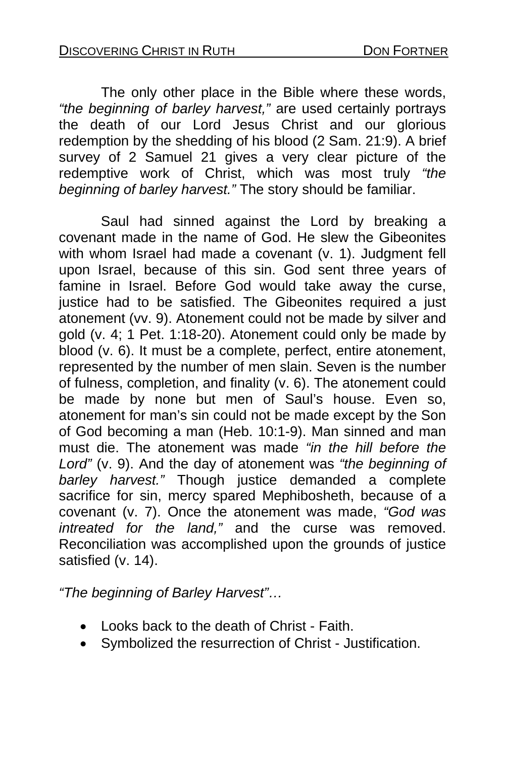The only other place in the Bible where these words, *"the beginning of barley harvest,"* are used certainly portrays the death of our Lord Jesus Christ and our glorious redemption by the shedding of his blood (2 Sam. 21:9). A brief survey of 2 Samuel 21 gives a very clear picture of the redemptive work of Christ, which was most truly *"the beginning of barley harvest."* The story should be familiar.

Saul had sinned against the Lord by breaking a covenant made in the name of God. He slew the Gibeonites with whom Israel had made a covenant (v. 1). Judgment fell upon Israel, because of this sin. God sent three years of famine in Israel. Before God would take away the curse, iustice had to be satisfied. The Gibeonites required a just atonement (vv. 9). Atonement could not be made by silver and gold (v. 4; 1 Pet. 1:18-20). Atonement could only be made by blood (v. 6). It must be a complete, perfect, entire atonement, represented by the number of men slain. Seven is the number of fulness, completion, and finality (v. 6). The atonement could be made by none but men of Saul's house. Even so, atonement for man's sin could not be made except by the Son of God becoming a man (Heb. 10:1-9). Man sinned and man must die. The atonement was made *"in the hill before the Lord"* (v. 9). And the day of atonement was *"the beginning of barley harvest."* Though justice demanded a complete sacrifice for sin, mercy spared Mephibosheth, because of a covenant (v. 7). Once the atonement was made, *"God was intreated for the land,"* and the curse was removed. Reconciliation was accomplished upon the grounds of justice satisfied (v. 14).

*"The beginning of Barley Harvest"…* 

- Looks back to the death of Christ Faith.
- Symbolized the resurrection of Christ Justification.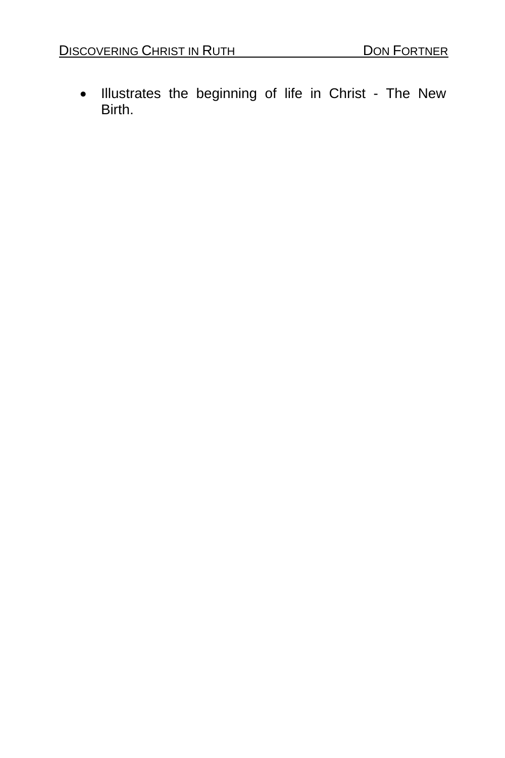• Illustrates the beginning of life in Christ - The New Birth.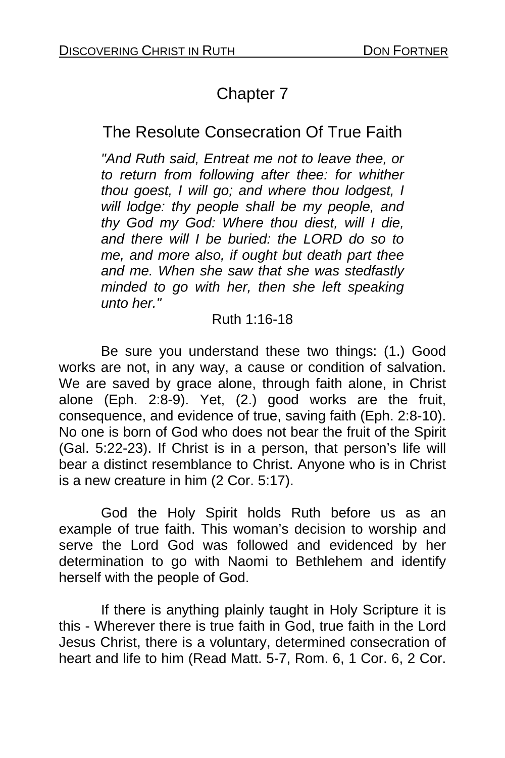# Chapter 7

## The Resolute Consecration Of True Faith

*"And Ruth said, Entreat me not to leave thee, or to return from following after thee: for whither thou goest, I will go; and where thou lodgest, I will lodge: thy people shall be my people, and thy God my God: Where thou diest, will I die, and there will I be buried: the LORD do so to me, and more also, if ought but death part thee and me. When she saw that she was stedfastly minded to go with her, then she left speaking unto her."* 

#### Ruth 1:16-18

 Be sure you understand these two things: (1.) Good works are not, in any way, a cause or condition of salvation. We are saved by grace alone, through faith alone, in Christ alone (Eph. 2:8-9). Yet, (2.) good works are the fruit, consequence, and evidence of true, saving faith (Eph. 2:8-10). No one is born of God who does not bear the fruit of the Spirit (Gal. 5:22-23). If Christ is in a person, that person's life will bear a distinct resemblance to Christ. Anyone who is in Christ is a new creature in him (2 Cor. 5:17).

 God the Holy Spirit holds Ruth before us as an example of true faith. This woman's decision to worship and serve the Lord God was followed and evidenced by her determination to go with Naomi to Bethlehem and identify herself with the people of God.

If there is anything plainly taught in Holy Scripture it is this - Wherever there is true faith in God, true faith in the Lord Jesus Christ, there is a voluntary, determined consecration of heart and life to him (Read Matt. 5-7, Rom. 6, 1 Cor. 6, 2 Cor.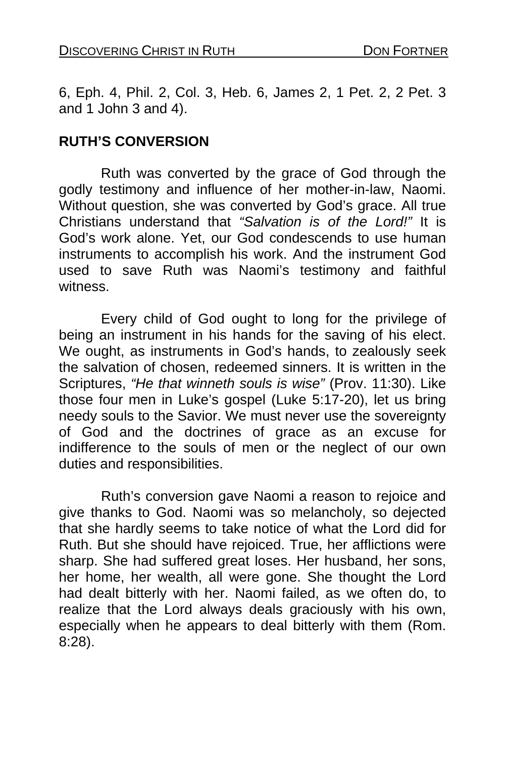6, Eph. 4, Phil. 2, Col. 3, Heb. 6, James 2, 1 Pet. 2, 2 Pet. 3 and 1 John 3 and 4).

#### **RUTH'S CONVERSION**

Ruth was converted by the grace of God through the godly testimony and influence of her mother-in-law, Naomi. Without question, she was converted by God's grace. All true Christians understand that *"Salvation is of the Lord!"* It is God's work alone. Yet, our God condescends to use human instruments to accomplish his work. And the instrument God used to save Ruth was Naomi's testimony and faithful witness.

 Every child of God ought to long for the privilege of being an instrument in his hands for the saving of his elect. We ought, as instruments in God's hands, to zealously seek the salvation of chosen, redeemed sinners. It is written in the Scriptures, *"He that winneth souls is wise"* (Prov. 11:30). Like those four men in Luke's gospel (Luke 5:17-20), let us bring needy souls to the Savior. We must never use the sovereignty of God and the doctrines of grace as an excuse for indifference to the souls of men or the neglect of our own duties and responsibilities.

Ruth's conversion gave Naomi a reason to rejoice and give thanks to God. Naomi was so melancholy, so dejected that she hardly seems to take notice of what the Lord did for Ruth. But she should have rejoiced. True, her afflictions were sharp. She had suffered great loses. Her husband, her sons, her home, her wealth, all were gone. She thought the Lord had dealt bitterly with her. Naomi failed, as we often do, to realize that the Lord always deals graciously with his own, especially when he appears to deal bitterly with them (Rom. 8:28).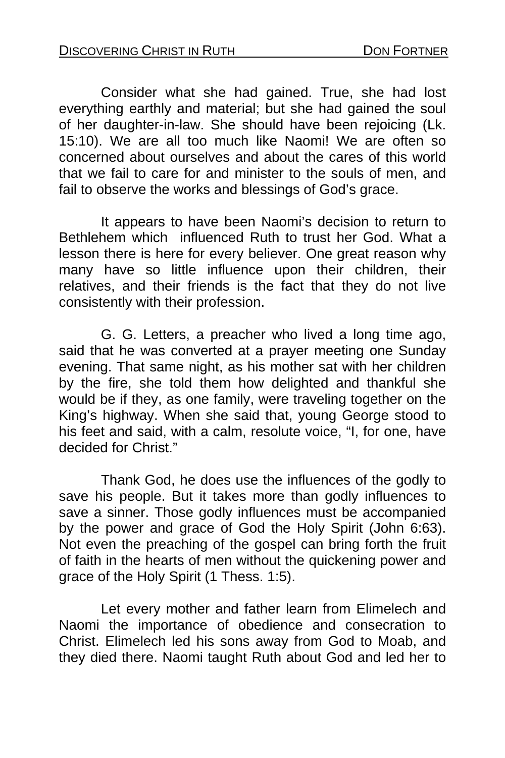Consider what she had gained. True, she had lost everything earthly and material; but she had gained the soul of her daughter-in-law. She should have been rejoicing (Lk. 15:10). We are all too much like Naomi! We are often so concerned about ourselves and about the cares of this world that we fail to care for and minister to the souls of men, and fail to observe the works and blessings of God's grace.

It appears to have been Naomi's decision to return to Bethlehem which influenced Ruth to trust her God. What a lesson there is here for every believer. One great reason why many have so little influence upon their children, their relatives, and their friends is the fact that they do not live consistently with their profession.

G. G. Letters, a preacher who lived a long time ago, said that he was converted at a prayer meeting one Sunday evening. That same night, as his mother sat with her children by the fire, she told them how delighted and thankful she would be if they, as one family, were traveling together on the King's highway. When she said that, young George stood to his feet and said, with a calm, resolute voice, "I, for one, have decided for Christ."

 Thank God, he does use the influences of the godly to save his people. But it takes more than godly influences to save a sinner. Those godly influences must be accompanied by the power and grace of God the Holy Spirit (John 6:63). Not even the preaching of the gospel can bring forth the fruit of faith in the hearts of men without the quickening power and grace of the Holy Spirit (1 Thess. 1:5).

Let every mother and father learn from Elimelech and Naomi the importance of obedience and consecration to Christ. Elimelech led his sons away from God to Moab, and they died there. Naomi taught Ruth about God and led her to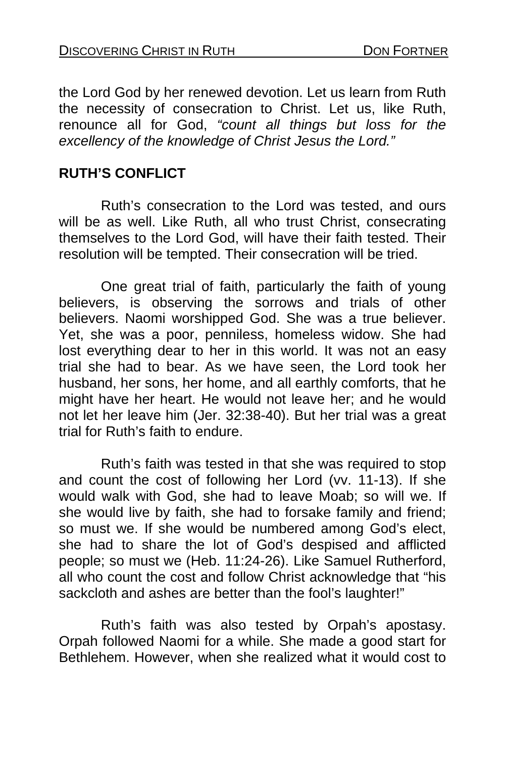the Lord God by her renewed devotion. Let us learn from Ruth the necessity of consecration to Christ. Let us, like Ruth, renounce all for God, *"count all things but loss for the excellency of the knowledge of Christ Jesus the Lord."* 

#### **RUTH'S CONFLICT**

Ruth's consecration to the Lord was tested, and ours will be as well. Like Ruth, all who trust Christ, consecrating themselves to the Lord God, will have their faith tested. Their resolution will be tempted. Their consecration will be tried.

One great trial of faith, particularly the faith of young believers, is observing the sorrows and trials of other believers. Naomi worshipped God. She was a true believer. Yet, she was a poor, penniless, homeless widow. She had lost everything dear to her in this world. It was not an easy trial she had to bear. As we have seen, the Lord took her husband, her sons, her home, and all earthly comforts, that he might have her heart. He would not leave her; and he would not let her leave him (Jer. 32:38-40). But her trial was a great trial for Ruth's faith to endure.

Ruth's faith was tested in that she was required to stop and count the cost of following her Lord (vv. 11-13). If she would walk with God, she had to leave Moab; so will we. If she would live by faith, she had to forsake family and friend; so must we. If she would be numbered among God's elect, she had to share the lot of God's despised and afflicted people; so must we (Heb. 11:24-26). Like Samuel Rutherford, all who count the cost and follow Christ acknowledge that "his sackcloth and ashes are better than the fool's laughter!"

Ruth's faith was also tested by Orpah's apostasy. Orpah followed Naomi for a while. She made a good start for Bethlehem. However, when she realized what it would cost to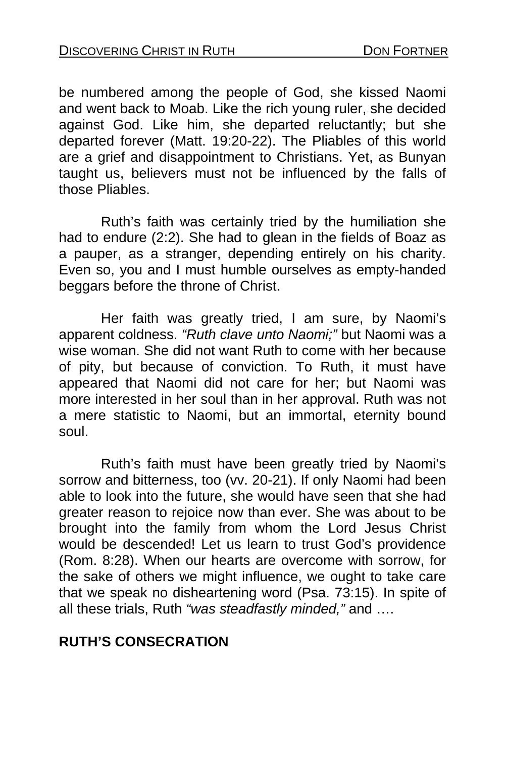be numbered among the people of God, she kissed Naomi and went back to Moab. Like the rich young ruler, she decided against God. Like him, she departed reluctantly; but she departed forever (Matt. 19:20-22). The Pliables of this world are a grief and disappointment to Christians. Yet, as Bunyan taught us, believers must not be influenced by the falls of those Pliables.

Ruth's faith was certainly tried by the humiliation she had to endure (2:2). She had to glean in the fields of Boaz as a pauper, as a stranger, depending entirely on his charity. Even so, you and I must humble ourselves as empty-handed beggars before the throne of Christ.

Her faith was greatly tried, I am sure, by Naomi's apparent coldness. *"Ruth clave unto Naomi;"* but Naomi was a wise woman. She did not want Ruth to come with her because of pity, but because of conviction. To Ruth, it must have appeared that Naomi did not care for her; but Naomi was more interested in her soul than in her approval. Ruth was not a mere statistic to Naomi, but an immortal, eternity bound soul.

Ruth's faith must have been greatly tried by Naomi's sorrow and bitterness, too (vv. 20-21). If only Naomi had been able to look into the future, she would have seen that she had greater reason to rejoice now than ever. She was about to be brought into the family from whom the Lord Jesus Christ would be descended! Let us learn to trust God's providence (Rom. 8:28). When our hearts are overcome with sorrow, for the sake of others we might influence, we ought to take care that we speak no disheartening word (Psa. 73:15). In spite of all these trials, Ruth *"was steadfastly minded,"* and ….

### **RUTH'S CONSECRATION**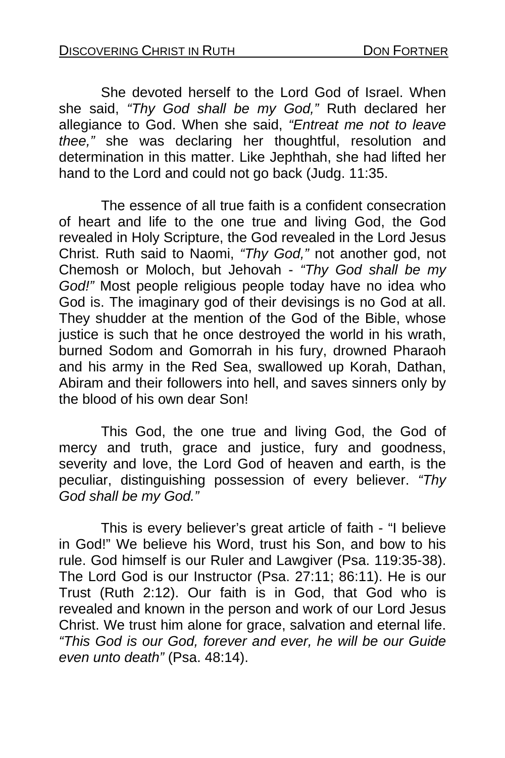She devoted herself to the Lord God of Israel. When she said, *"Thy God shall be my God,"* Ruth declared her allegiance to God. When she said, *"Entreat me not to leave thee,"* she was declaring her thoughtful, resolution and determination in this matter. Like Jephthah, she had lifted her hand to the Lord and could not go back (Judg. 11:35.

 The essence of all true faith is a confident consecration of heart and life to the one true and living God, the God revealed in Holy Scripture, the God revealed in the Lord Jesus Christ. Ruth said to Naomi, *"Thy God,"* not another god, not Chemosh or Moloch, but Jehovah - *"Thy God shall be my God!"* Most people religious people today have no idea who God is. The imaginary god of their devisings is no God at all. They shudder at the mention of the God of the Bible, whose justice is such that he once destroyed the world in his wrath, burned Sodom and Gomorrah in his fury, drowned Pharaoh and his army in the Red Sea, swallowed up Korah, Dathan, Abiram and their followers into hell, and saves sinners only by the blood of his own dear Son!

This God, the one true and living God, the God of mercy and truth, grace and justice, fury and goodness, severity and love, the Lord God of heaven and earth, is the peculiar, distinguishing possession of every believer. *"Thy God shall be my God."* 

This is every believer's great article of faith - "I believe in God!" We believe his Word, trust his Son, and bow to his rule. God himself is our Ruler and Lawgiver (Psa. 119:35-38). The Lord God is our Instructor (Psa. 27:11; 86:11). He is our Trust (Ruth 2:12). Our faith is in God, that God who is revealed and known in the person and work of our Lord Jesus Christ. We trust him alone for grace, salvation and eternal life. *"This God is our God, forever and ever, he will be our Guide even unto death"* (Psa. 48:14).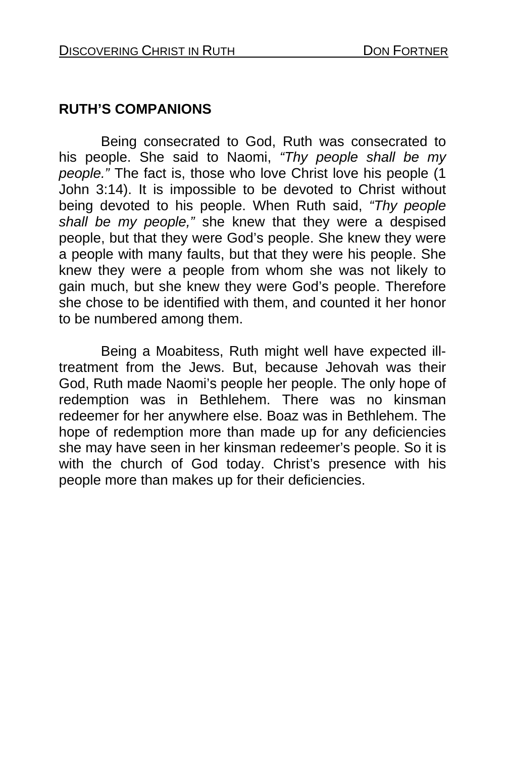### **RUTH'S COMPANIONS**

Being consecrated to God, Ruth was consecrated to his people. She said to Naomi, *"Thy people shall be my people."* The fact is, those who love Christ love his people (1 John 3:14). It is impossible to be devoted to Christ without being devoted to his people. When Ruth said, *"Thy people shall be my people,"* she knew that they were a despised people, but that they were God's people. She knew they were a people with many faults, but that they were his people. She knew they were a people from whom she was not likely to gain much, but she knew they were God's people. Therefore she chose to be identified with them, and counted it her honor to be numbered among them.

Being a Moabitess, Ruth might well have expected illtreatment from the Jews. But, because Jehovah was their God, Ruth made Naomi's people her people. The only hope of redemption was in Bethlehem. There was no kinsman redeemer for her anywhere else. Boaz was in Bethlehem. The hope of redemption more than made up for any deficiencies she may have seen in her kinsman redeemer's people. So it is with the church of God today. Christ's presence with his people more than makes up for their deficiencies.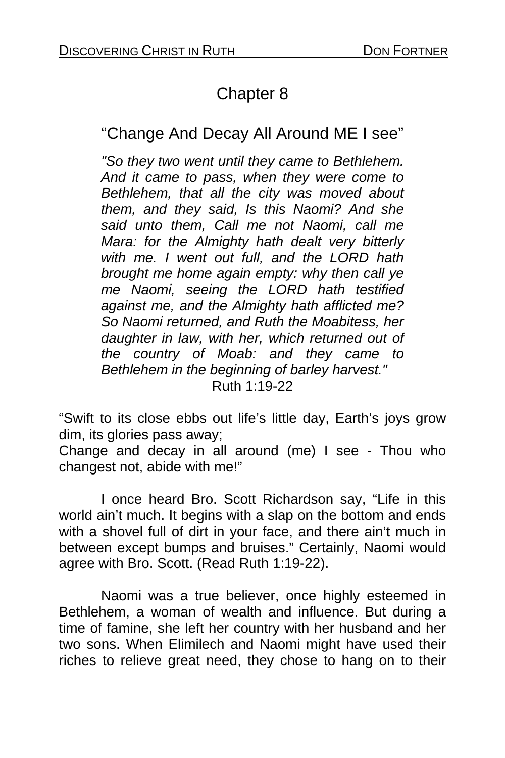# Chapter 8

## "Change And Decay All Around ME I see"

*"So they two went until they came to Bethlehem. And it came to pass, when they were come to Bethlehem, that all the city was moved about them, and they said, Is this Naomi? And she said unto them, Call me not Naomi, call me Mara: for the Almighty hath dealt very bitterly with me. I went out full, and the LORD hath brought me home again empty: why then call ye me Naomi, seeing the LORD hath testified against me, and the Almighty hath afflicted me? So Naomi returned, and Ruth the Moabitess, her daughter in law, with her, which returned out of the country of Moab: and they came to Bethlehem in the beginning of barley harvest."*  Ruth 1:19-22

"Swift to its close ebbs out life's little day, Earth's joys grow dim, its glories pass away;

Change and decay in all around (me) I see - Thou who changest not, abide with me!"

 I once heard Bro. Scott Richardson say, "Life in this world ain't much. It begins with a slap on the bottom and ends with a shovel full of dirt in your face, and there ain't much in between except bumps and bruises." Certainly, Naomi would agree with Bro. Scott. (Read Ruth 1:19-22).

 Naomi was a true believer, once highly esteemed in Bethlehem, a woman of wealth and influence. But during a time of famine, she left her country with her husband and her two sons. When Elimilech and Naomi might have used their riches to relieve great need, they chose to hang on to their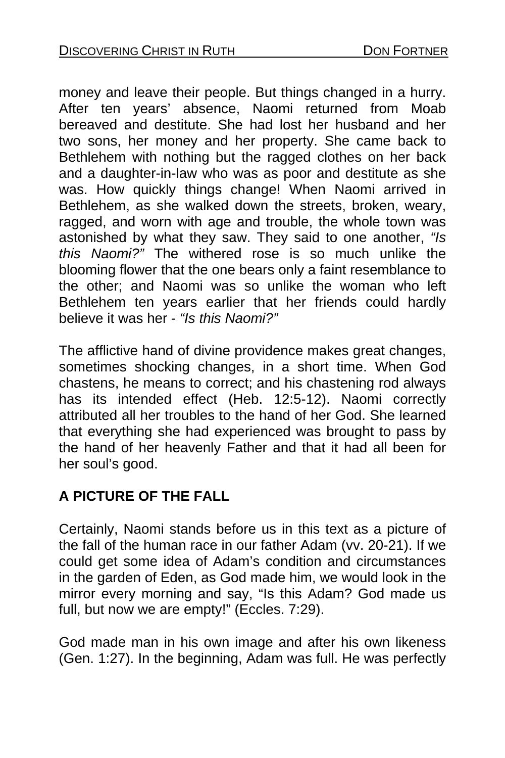money and leave their people. But things changed in a hurry. After ten years' absence, Naomi returned from Moab bereaved and destitute. She had lost her husband and her two sons, her money and her property. She came back to Bethlehem with nothing but the ragged clothes on her back and a daughter-in-law who was as poor and destitute as she was. How quickly things change! When Naomi arrived in Bethlehem, as she walked down the streets, broken, weary, ragged, and worn with age and trouble, the whole town was astonished by what they saw. They said to one another, *"Is this Naomi?"* The withered rose is so much unlike the blooming flower that the one bears only a faint resemblance to the other; and Naomi was so unlike the woman who left Bethlehem ten years earlier that her friends could hardly believe it was her - *"Is this Naomi?"* 

The afflictive hand of divine providence makes great changes, sometimes shocking changes, in a short time. When God chastens, he means to correct; and his chastening rod always has its intended effect (Heb. 12:5-12). Naomi correctly attributed all her troubles to the hand of her God. She learned that everything she had experienced was brought to pass by the hand of her heavenly Father and that it had all been for her soul's good.

## **A PICTURE OF THE FALL**

Certainly, Naomi stands before us in this text as a picture of the fall of the human race in our father Adam (vv. 20-21). If we could get some idea of Adam's condition and circumstances in the garden of Eden, as God made him, we would look in the mirror every morning and say, "Is this Adam? God made us full, but now we are empty!" (Eccles. 7:29).

God made man in his own image and after his own likeness (Gen. 1:27). In the beginning, Adam was full. He was perfectly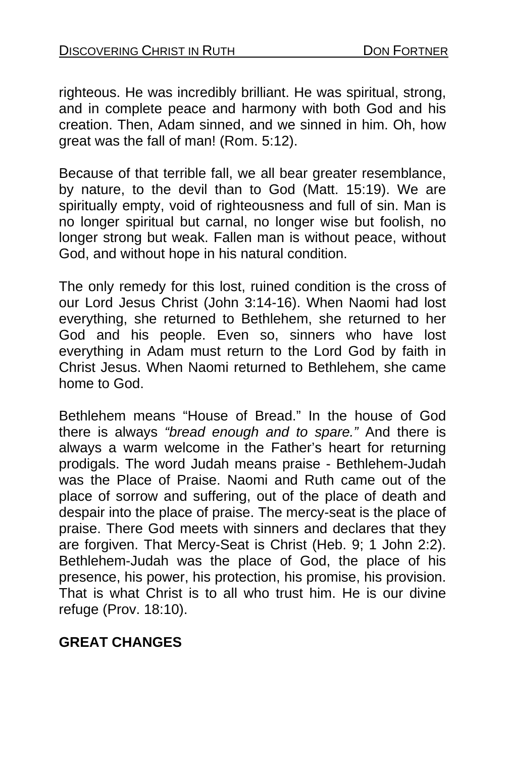righteous. He was incredibly brilliant. He was spiritual, strong, and in complete peace and harmony with both God and his creation. Then, Adam sinned, and we sinned in him. Oh, how great was the fall of man! (Rom. 5:12).

Because of that terrible fall, we all bear greater resemblance, by nature, to the devil than to God (Matt. 15:19). We are spiritually empty, void of righteousness and full of sin. Man is no longer spiritual but carnal, no longer wise but foolish, no longer strong but weak. Fallen man is without peace, without God, and without hope in his natural condition.

The only remedy for this lost, ruined condition is the cross of our Lord Jesus Christ (John 3:14-16). When Naomi had lost everything, she returned to Bethlehem, she returned to her God and his people. Even so, sinners who have lost everything in Adam must return to the Lord God by faith in Christ Jesus. When Naomi returned to Bethlehem, she came home to God.

Bethlehem means "House of Bread." In the house of God there is always *"bread enough and to spare."* And there is always a warm welcome in the Father's heart for returning prodigals. The word Judah means praise - Bethlehem-Judah was the Place of Praise. Naomi and Ruth came out of the place of sorrow and suffering, out of the place of death and despair into the place of praise. The mercy-seat is the place of praise. There God meets with sinners and declares that they are forgiven. That Mercy-Seat is Christ (Heb. 9; 1 John 2:2). Bethlehem-Judah was the place of God, the place of his presence, his power, his protection, his promise, his provision. That is what Christ is to all who trust him. He is our divine refuge (Prov. 18:10).

### **GREAT CHANGES**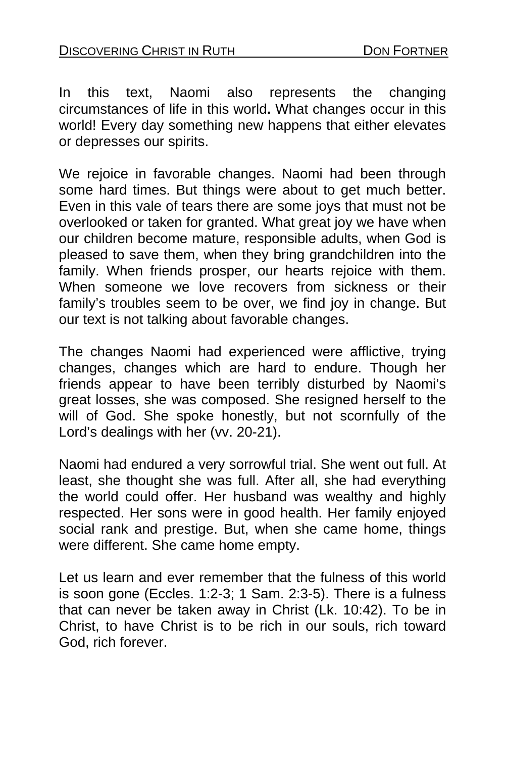In this text, Naomi also represents the changing circumstances of life in this world**.** What changes occur in this world! Every day something new happens that either elevates or depresses our spirits.

We rejoice in favorable changes. Naomi had been through some hard times. But things were about to get much better. Even in this vale of tears there are some joys that must not be overlooked or taken for granted. What great joy we have when our children become mature, responsible adults, when God is pleased to save them, when they bring grandchildren into the family. When friends prosper, our hearts rejoice with them. When someone we love recovers from sickness or their family's troubles seem to be over, we find joy in change. But our text is not talking about favorable changes.

The changes Naomi had experienced were afflictive, trying changes, changes which are hard to endure. Though her friends appear to have been terribly disturbed by Naomi's great losses, she was composed. She resigned herself to the will of God. She spoke honestly, but not scornfully of the Lord's dealings with her (vv. 20-21).

Naomi had endured a very sorrowful trial. She went out full. At least, she thought she was full. After all, she had everything the world could offer. Her husband was wealthy and highly respected. Her sons were in good health. Her family enjoyed social rank and prestige. But, when she came home, things were different. She came home empty.

Let us learn and ever remember that the fulness of this world is soon gone (Eccles. 1:2-3; 1 Sam. 2:3-5). There is a fulness that can never be taken away in Christ (Lk. 10:42). To be in Christ, to have Christ is to be rich in our souls, rich toward God, rich forever.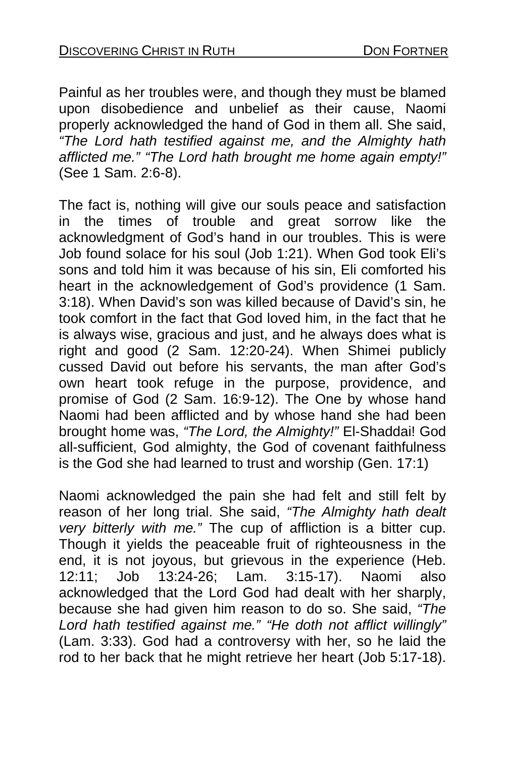Painful as her troubles were, and though they must be blamed upon disobedience and unbelief as their cause, Naomi properly acknowledged the hand of God in them all. She said, *"The Lord hath testified against me, and the Almighty hath afflicted me." "The Lord hath brought me home again empty!"*  (See 1 Sam. 2:6-8).

The fact is, nothing will give our souls peace and satisfaction in the times of trouble and great sorrow like the acknowledgment of God's hand in our troubles. This is were Job found solace for his soul (Job 1:21). When God took Eli's sons and told him it was because of his sin, Eli comforted his heart in the acknowledgement of God's providence (1 Sam. 3:18). When David's son was killed because of David's sin, he took comfort in the fact that God loved him, in the fact that he is always wise, gracious and just, and he always does what is right and good (2 Sam. 12:20-24). When Shimei publicly cussed David out before his servants, the man after God's own heart took refuge in the purpose, providence, and promise of God (2 Sam. 16:9-12). The One by whose hand Naomi had been afflicted and by whose hand she had been brought home was, *"The Lord, the Almighty!"* El-Shaddai! God all-sufficient, God almighty, the God of covenant faithfulness is the God she had learned to trust and worship (Gen. 17:1)

Naomi acknowledged the pain she had felt and still felt by reason of her long trial. She said, *"The Almighty hath dealt very bitterly with me."* The cup of affliction is a bitter cup. Though it yields the peaceable fruit of righteousness in the end, it is not joyous, but grievous in the experience (Heb. 12:11; Job 13:24-26; Lam. 3:15-17). Naomi also acknowledged that the Lord God had dealt with her sharply, because she had given him reason to do so. She said, *"The Lord hath testified against me." "He doth not afflict willingly"*  (Lam. 3:33). God had a controversy with her, so he laid the rod to her back that he might retrieve her heart (Job 5:17-18).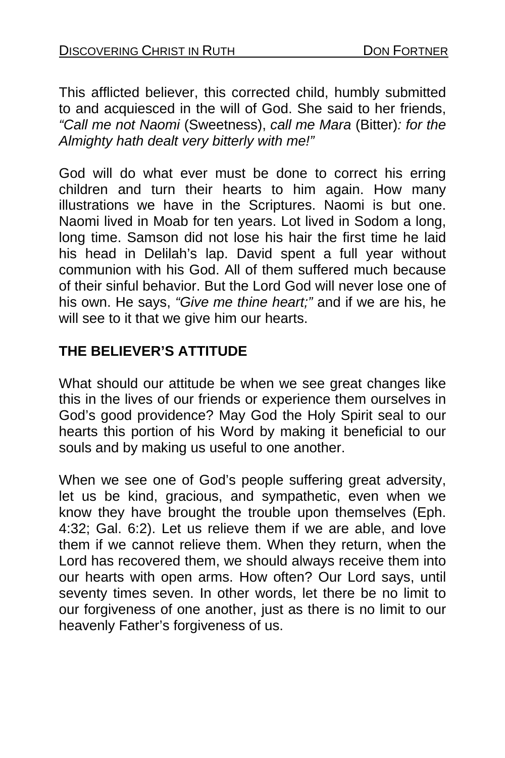This afflicted believer, this corrected child, humbly submitted to and acquiesced in the will of God. She said to her friends, *"Call me not Naomi* (Sweetness), *call me Mara* (Bitter)*: for the Almighty hath dealt very bitterly with me!"* 

God will do what ever must be done to correct his erring children and turn their hearts to him again. How many illustrations we have in the Scriptures. Naomi is but one. Naomi lived in Moab for ten years. Lot lived in Sodom a long, long time. Samson did not lose his hair the first time he laid his head in Delilah's lap. David spent a full year without communion with his God. All of them suffered much because of their sinful behavior. But the Lord God will never lose one of his own. He says, *"Give me thine heart;"* and if we are his, he will see to it that we give him our hearts.

## **THE BELIEVER'S ATTITUDE**

What should our attitude be when we see great changes like this in the lives of our friends or experience them ourselves in God's good providence? May God the Holy Spirit seal to our hearts this portion of his Word by making it beneficial to our souls and by making us useful to one another.

When we see one of God's people suffering great adversity, let us be kind, gracious, and sympathetic, even when we know they have brought the trouble upon themselves (Eph. 4:32; Gal. 6:2). Let us relieve them if we are able, and love them if we cannot relieve them. When they return, when the Lord has recovered them, we should always receive them into our hearts with open arms. How often? Our Lord says, until seventy times seven. In other words, let there be no limit to our forgiveness of one another, just as there is no limit to our heavenly Father's forgiveness of us.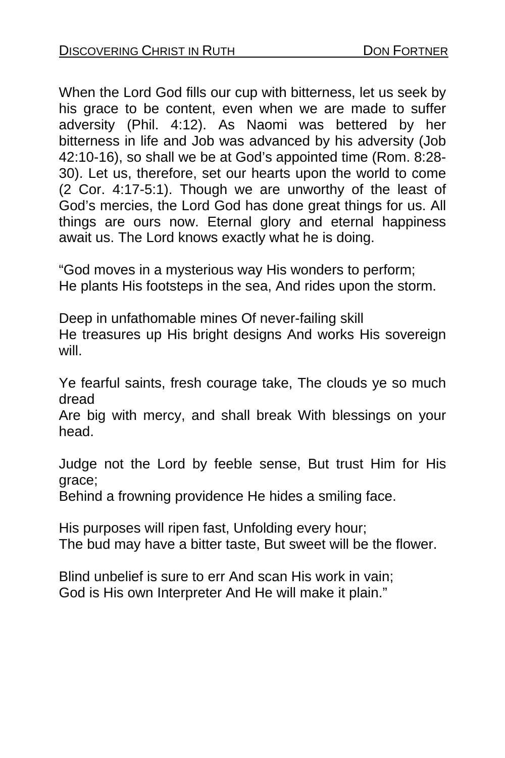When the Lord God fills our cup with bitterness, let us seek by his grace to be content, even when we are made to suffer adversity (Phil. 4:12). As Naomi was bettered by her bitterness in life and Job was advanced by his adversity (Job 42:10-16), so shall we be at God's appointed time (Rom. 8:28- 30). Let us, therefore, set our hearts upon the world to come (2 Cor. 4:17-5:1). Though we are unworthy of the least of God's mercies, the Lord God has done great things for us. All things are ours now. Eternal glory and eternal happiness await us. The Lord knows exactly what he is doing.

"God moves in a mysterious way His wonders to perform; He plants His footsteps in the sea, And rides upon the storm.

Deep in unfathomable mines Of never-failing skill He treasures up His bright designs And works His sovereign will.

Ye fearful saints, fresh courage take, The clouds ye so much dread

Are big with mercy, and shall break With blessings on your head.

Judge not the Lord by feeble sense, But trust Him for His grace;

Behind a frowning providence He hides a smiling face.

His purposes will ripen fast, Unfolding every hour; The bud may have a bitter taste, But sweet will be the flower.

Blind unbelief is sure to err And scan His work in vain; God is His own Interpreter And He will make it plain."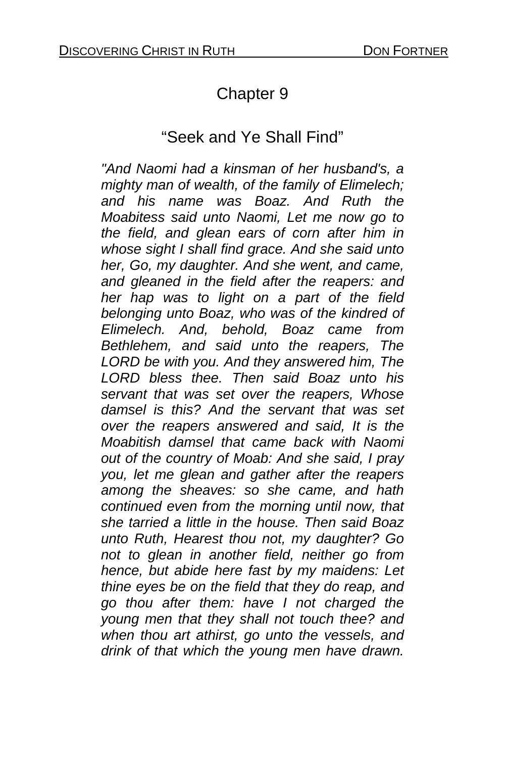# Chapter 9

## "Seek and Ye Shall Find"

*"And Naomi had a kinsman of her husband's, a mighty man of wealth, of the family of Elimelech; and his name was Boaz. And Ruth the Moabitess said unto Naomi, Let me now go to the field, and glean ears of corn after him in whose sight I shall find grace. And she said unto her, Go, my daughter. And she went, and came, and gleaned in the field after the reapers: and her hap was to light on a part of the field belonging unto Boaz, who was of the kindred of Elimelech. And, behold, Boaz came from Bethlehem, and said unto the reapers, The LORD be with you. And they answered him, The LORD bless thee. Then said Boaz unto his servant that was set over the reapers, Whose damsel is this? And the servant that was set over the reapers answered and said, It is the Moabitish damsel that came back with Naomi out of the country of Moab: And she said, I pray you, let me glean and gather after the reapers among the sheaves: so she came, and hath continued even from the morning until now, that she tarried a little in the house. Then said Boaz unto Ruth, Hearest thou not, my daughter? Go not to glean in another field, neither go from hence, but abide here fast by my maidens: Let thine eyes be on the field that they do reap, and go thou after them: have I not charged the young men that they shall not touch thee? and when thou art athirst, go unto the vessels, and drink of that which the young men have drawn.*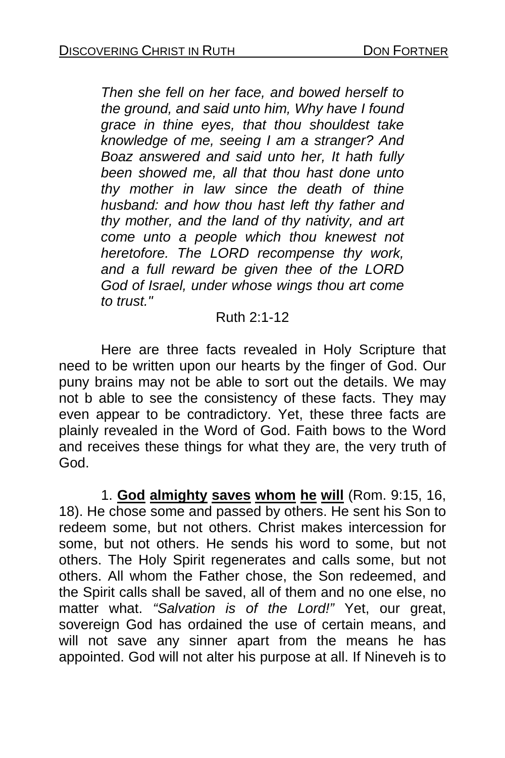*Then she fell on her face, and bowed herself to the ground, and said unto him, Why have I found grace in thine eyes, that thou shouldest take knowledge of me, seeing I am a stranger? And Boaz answered and said unto her, It hath fully been showed me, all that thou hast done unto thy mother in law since the death of thine husband: and how thou hast left thy father and thy mother, and the land of thy nativity, and art come unto a people which thou knewest not heretofore. The LORD recompense thy work, and a full reward be given thee of the LORD God of Israel, under whose wings thou art come to trust."* 

#### Ruth 2:1-12

 Here are three facts revealed in Holy Scripture that need to be written upon our hearts by the finger of God. Our puny brains may not be able to sort out the details. We may not b able to see the consistency of these facts. They may even appear to be contradictory. Yet, these three facts are plainly revealed in the Word of God. Faith bows to the Word and receives these things for what they are, the very truth of God.

 1. **God almighty saves whom he will** (Rom. 9:15, 16, 18). He chose some and passed by others. He sent his Son to redeem some, but not others. Christ makes intercession for some, but not others. He sends his word to some, but not others. The Holy Spirit regenerates and calls some, but not others. All whom the Father chose, the Son redeemed, and the Spirit calls shall be saved, all of them and no one else, no matter what. *"Salvation is of the Lord!"* Yet, our great, sovereign God has ordained the use of certain means, and will not save any sinner apart from the means he has appointed. God will not alter his purpose at all. If Nineveh is to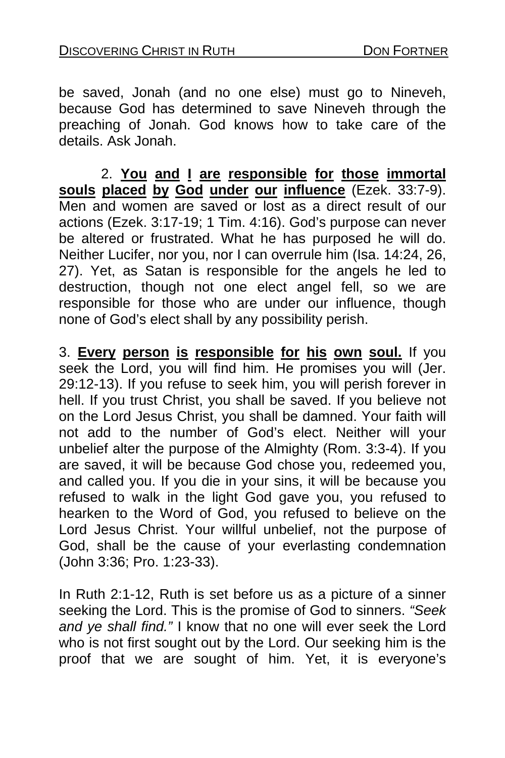be saved, Jonah (and no one else) must go to Nineveh, because God has determined to save Nineveh through the preaching of Jonah. God knows how to take care of the details. Ask Jonah.

 2. **You and I are responsible for those immortal souls placed by God under our influence** (Ezek. 33:7-9). Men and women are saved or lost as a direct result of our actions (Ezek. 3:17-19; 1 Tim. 4:16). God's purpose can never be altered or frustrated. What he has purposed he will do. Neither Lucifer, nor you, nor I can overrule him (Isa. 14:24, 26, 27). Yet, as Satan is responsible for the angels he led to destruction, though not one elect angel fell, so we are responsible for those who are under our influence, though none of God's elect shall by any possibility perish.

3. **Every person is responsible for his own soul.** If you seek the Lord, you will find him. He promises you will (Jer. 29:12-13). If you refuse to seek him, you will perish forever in hell. If you trust Christ, you shall be saved. If you believe not on the Lord Jesus Christ, you shall be damned. Your faith will not add to the number of God's elect. Neither will your unbelief alter the purpose of the Almighty (Rom. 3:3-4). If you are saved, it will be because God chose you, redeemed you, and called you. If you die in your sins, it will be because you refused to walk in the light God gave you, you refused to hearken to the Word of God, you refused to believe on the Lord Jesus Christ. Your willful unbelief, not the purpose of God, shall be the cause of your everlasting condemnation (John 3:36; Pro. 1:23-33).

In Ruth 2:1-12, Ruth is set before us as a picture of a sinner seeking the Lord. This is the promise of God to sinners. *"Seek and ye shall find."* I know that no one will ever seek the Lord who is not first sought out by the Lord. Our seeking him is the proof that we are sought of him. Yet, it is everyone's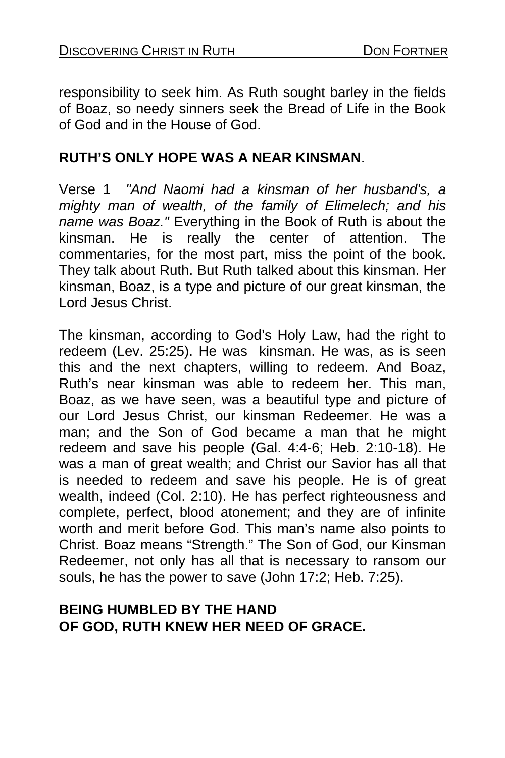responsibility to seek him. As Ruth sought barley in the fields of Boaz, so needy sinners seek the Bread of Life in the Book of God and in the House of God.

## **RUTH'S ONLY HOPE WAS A NEAR KINSMAN**.

Verse 1 *"And Naomi had a kinsman of her husband's, a mighty man of wealth, of the family of Elimelech; and his name was Boaz."* Everything in the Book of Ruth is about the kinsman. He is really the center of attention. The commentaries, for the most part, miss the point of the book. They talk about Ruth. But Ruth talked about this kinsman. Her kinsman, Boaz, is a type and picture of our great kinsman, the Lord Jesus Christ.

The kinsman, according to God's Holy Law, had the right to redeem (Lev. 25:25). He was kinsman. He was, as is seen this and the next chapters, willing to redeem. And Boaz, Ruth's near kinsman was able to redeem her. This man, Boaz, as we have seen, was a beautiful type and picture of our Lord Jesus Christ, our kinsman Redeemer. He was a man; and the Son of God became a man that he might redeem and save his people (Gal. 4:4-6; Heb. 2:10-18). He was a man of great wealth; and Christ our Savior has all that is needed to redeem and save his people. He is of great wealth, indeed (Col. 2:10). He has perfect righteousness and complete, perfect, blood atonement; and they are of infinite worth and merit before God. This man's name also points to Christ. Boaz means "Strength." The Son of God, our Kinsman Redeemer, not only has all that is necessary to ransom our souls, he has the power to save (John 17:2; Heb. 7:25).

#### **BEING HUMBLED BY THE HAND OF GOD, RUTH KNEW HER NEED OF GRACE.**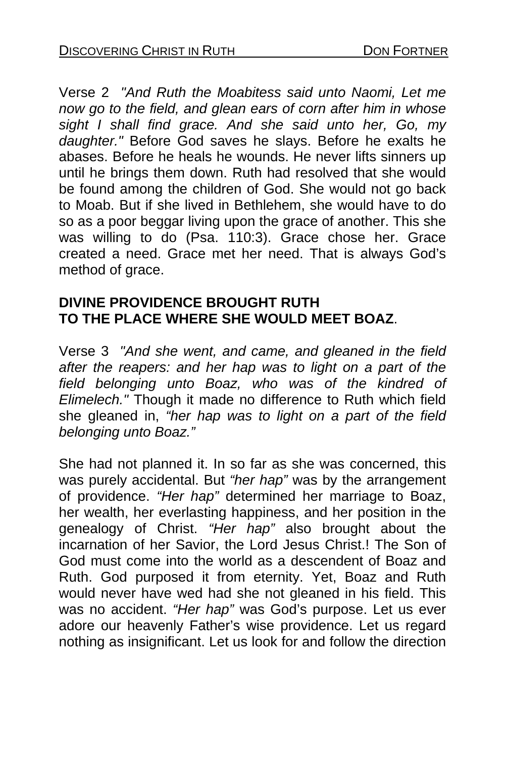Verse 2 *"And Ruth the Moabitess said unto Naomi, Let me now go to the field, and glean ears of corn after him in whose sight I shall find grace. And she said unto her, Go, my daughter."* Before God saves he slays. Before he exalts he abases. Before he heals he wounds. He never lifts sinners up until he brings them down. Ruth had resolved that she would be found among the children of God. She would not go back to Moab. But if she lived in Bethlehem, she would have to do so as a poor beggar living upon the grace of another. This she was willing to do (Psa. 110:3). Grace chose her. Grace created a need. Grace met her need. That is always God's method of grace.

## **DIVINE PROVIDENCE BROUGHT RUTH TO THE PLACE WHERE SHE WOULD MEET BOAZ**.

Verse 3 *"And she went, and came, and gleaned in the field after the reapers: and her hap was to light on a part of the field belonging unto Boaz, who was of the kindred of Elimelech."* Though it made no difference to Ruth which field she gleaned in, *"her hap was to light on a part of the field belonging unto Boaz."* 

She had not planned it. In so far as she was concerned, this was purely accidental. But *"her hap"* was by the arrangement of providence. *"Her hap"* determined her marriage to Boaz, her wealth, her everlasting happiness, and her position in the genealogy of Christ. *"Her hap"* also brought about the incarnation of her Savior, the Lord Jesus Christ.! The Son of God must come into the world as a descendent of Boaz and Ruth. God purposed it from eternity. Yet, Boaz and Ruth would never have wed had she not gleaned in his field. This was no accident. *"Her hap"* was God's purpose. Let us ever adore our heavenly Father's wise providence. Let us regard nothing as insignificant. Let us look for and follow the direction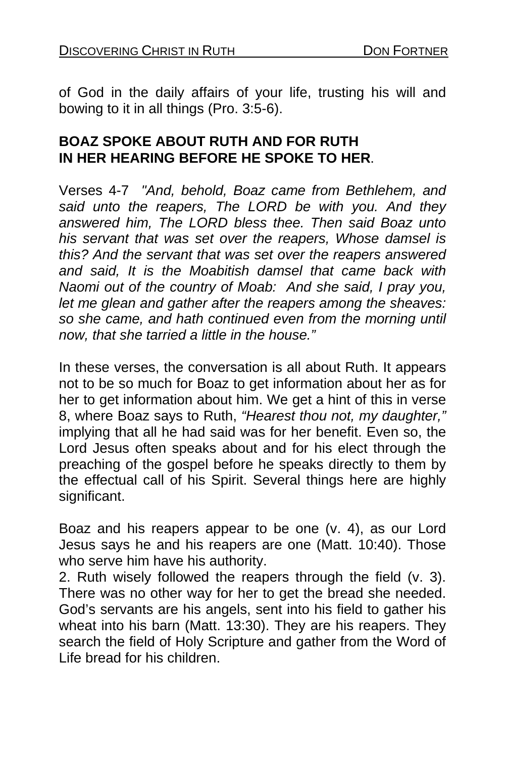of God in the daily affairs of your life, trusting his will and bowing to it in all things (Pro. 3:5-6).

### **BOAZ SPOKE ABOUT RUTH AND FOR RUTH IN HER HEARING BEFORE HE SPOKE TO HER**.

Verses 4-7 *"And, behold, Boaz came from Bethlehem, and said unto the reapers, The LORD be with you. And they answered him, The LORD bless thee. Then said Boaz unto his servant that was set over the reapers, Whose damsel is this? And the servant that was set over the reapers answered and said, It is the Moabitish damsel that came back with Naomi out of the country of Moab: And she said, I pray you, let me glean and gather after the reapers among the sheaves: so she came, and hath continued even from the morning until now, that she tarried a little in the house."* 

In these verses, the conversation is all about Ruth. It appears not to be so much for Boaz to get information about her as for her to get information about him. We get a hint of this in verse 8, where Boaz says to Ruth, *"Hearest thou not, my daughter,"*  implying that all he had said was for her benefit. Even so, the Lord Jesus often speaks about and for his elect through the preaching of the gospel before he speaks directly to them by the effectual call of his Spirit. Several things here are highly significant.

Boaz and his reapers appear to be one (v. 4), as our Lord Jesus says he and his reapers are one (Matt. 10:40). Those who serve him have his authority.

2. Ruth wisely followed the reapers through the field (v. 3). There was no other way for her to get the bread she needed. God's servants are his angels, sent into his field to gather his wheat into his barn (Matt. 13:30). They are his reapers. They search the field of Holy Scripture and gather from the Word of Life bread for his children.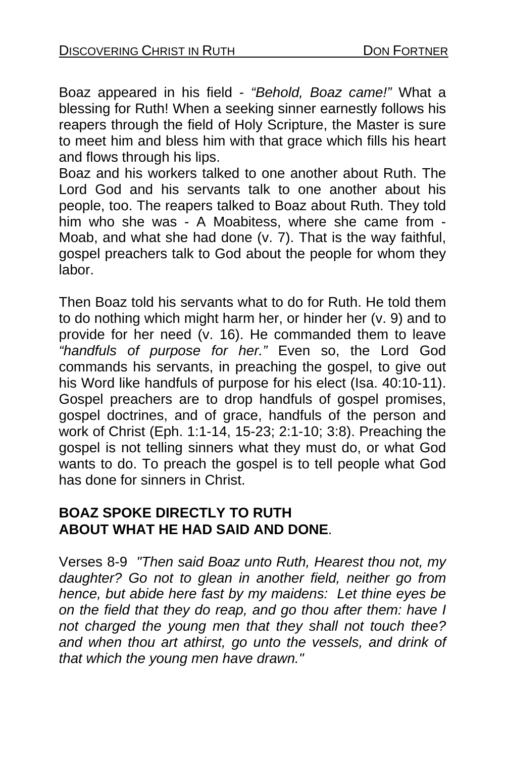Boaz appeared in his field - *"Behold, Boaz came!"* What a blessing for Ruth! When a seeking sinner earnestly follows his reapers through the field of Holy Scripture, the Master is sure to meet him and bless him with that grace which fills his heart and flows through his lips.

Boaz and his workers talked to one another about Ruth. The Lord God and his servants talk to one another about his people, too. The reapers talked to Boaz about Ruth. They told him who she was - A Moabitess, where she came from - Moab, and what she had done (v. 7). That is the way faithful, gospel preachers talk to God about the people for whom they labor.

Then Boaz told his servants what to do for Ruth. He told them to do nothing which might harm her, or hinder her (v. 9) and to provide for her need (v. 16). He commanded them to leave *"handfuls of purpose for her."* Even so, the Lord God commands his servants, in preaching the gospel, to give out his Word like handfuls of purpose for his elect (Isa. 40:10-11). Gospel preachers are to drop handfuls of gospel promises, gospel doctrines, and of grace, handfuls of the person and work of Christ (Eph. 1:1-14, 15-23; 2:1-10; 3:8). Preaching the gospel is not telling sinners what they must do, or what God wants to do. To preach the gospel is to tell people what God has done for sinners in Christ.

### **BOAZ SPOKE DIRECTLY TO RUTH ABOUT WHAT HE HAD SAID AND DONE**.

Verses 8-9 *"Then said Boaz unto Ruth, Hearest thou not, my daughter? Go not to glean in another field, neither go from hence, but abide here fast by my maidens: Let thine eyes be on the field that they do reap, and go thou after them: have I not charged the young men that they shall not touch thee? and when thou art athirst, go unto the vessels, and drink of that which the young men have drawn."*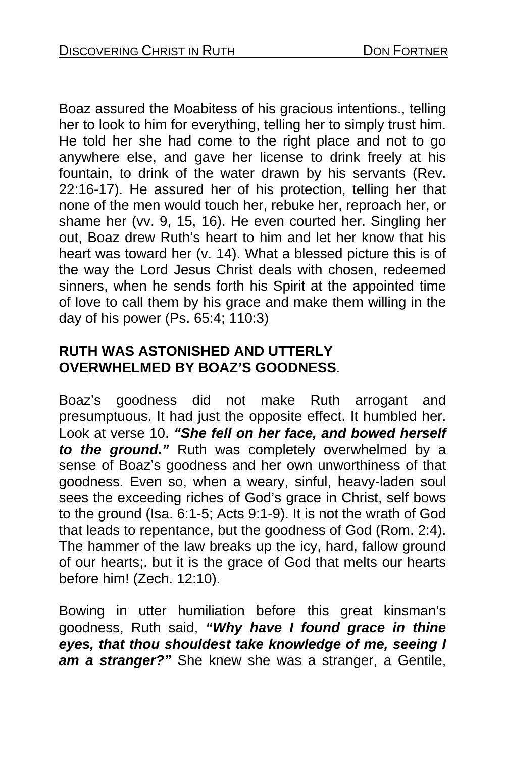Boaz assured the Moabitess of his gracious intentions., telling her to look to him for everything, telling her to simply trust him. He told her she had come to the right place and not to go anywhere else, and gave her license to drink freely at his fountain, to drink of the water drawn by his servants (Rev. 22:16-17). He assured her of his protection, telling her that none of the men would touch her, rebuke her, reproach her, or shame her (vv. 9, 15, 16). He even courted her. Singling her out, Boaz drew Ruth's heart to him and let her know that his heart was toward her (v. 14). What a blessed picture this is of the way the Lord Jesus Christ deals with chosen, redeemed sinners, when he sends forth his Spirit at the appointed time of love to call them by his grace and make them willing in the day of his power (Ps. 65:4; 110:3)

## **RUTH WAS ASTONISHED AND UTTERLY OVERWHELMED BY BOAZ'S GOODNESS**.

Boaz's goodness did not make Ruth arrogant and presumptuous. It had just the opposite effect. It humbled her. Look at verse 10. *"She fell on her face, and bowed herself to the ground."* Ruth was completely overwhelmed by a sense of Boaz's goodness and her own unworthiness of that goodness. Even so, when a weary, sinful, heavy-laden soul sees the exceeding riches of God's grace in Christ, self bows to the ground (Isa. 6:1-5; Acts 9:1-9). It is not the wrath of God that leads to repentance, but the goodness of God (Rom. 2:4). The hammer of the law breaks up the icy, hard, fallow ground of our hearts;. but it is the grace of God that melts our hearts before him! (Zech. 12:10).

Bowing in utter humiliation before this great kinsman's goodness, Ruth said, *"Why have I found grace in thine eyes, that thou shouldest take knowledge of me, seeing I am a stranger?"* She knew she was a stranger, a Gentile,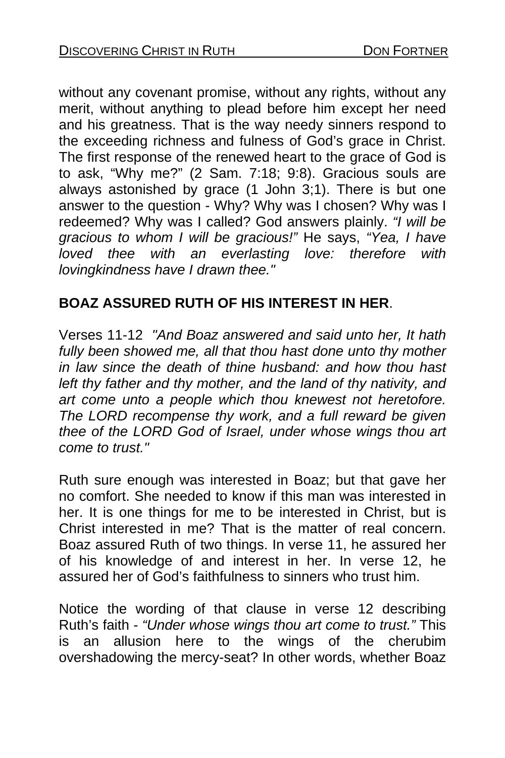without any covenant promise, without any rights, without any merit, without anything to plead before him except her need and his greatness. That is the way needy sinners respond to the exceeding richness and fulness of God's grace in Christ. The first response of the renewed heart to the grace of God is to ask, "Why me?" (2 Sam. 7:18; 9:8). Gracious souls are always astonished by grace (1 John  $3:1$ ). There is but one answer to the question - Why? Why was I chosen? Why was I redeemed? Why was I called? God answers plainly. *"I will be gracious to whom I will be gracious!"* He says, *"Yea, I have loved thee with an everlasting love: therefore with lovingkindness have I drawn thee."* 

## **BOAZ ASSURED RUTH OF HIS INTEREST IN HER**.

Verses 11-12 *"And Boaz answered and said unto her, It hath fully been showed me, all that thou hast done unto thy mother in law since the death of thine husband: and how thou hast left thy father and thy mother, and the land of thy nativity, and art come unto a people which thou knewest not heretofore. The LORD recompense thy work, and a full reward be given thee of the LORD God of Israel, under whose wings thou art come to trust."* 

Ruth sure enough was interested in Boaz; but that gave her no comfort. She needed to know if this man was interested in her. It is one things for me to be interested in Christ, but is Christ interested in me? That is the matter of real concern. Boaz assured Ruth of two things. In verse 11, he assured her of his knowledge of and interest in her. In verse 12, he assured her of God's faithfulness to sinners who trust him.

Notice the wording of that clause in verse 12 describing Ruth's faith - *"Under whose wings thou art come to trust."* This is an allusion here to the wings of the cherubim overshadowing the mercy-seat? In other words, whether Boaz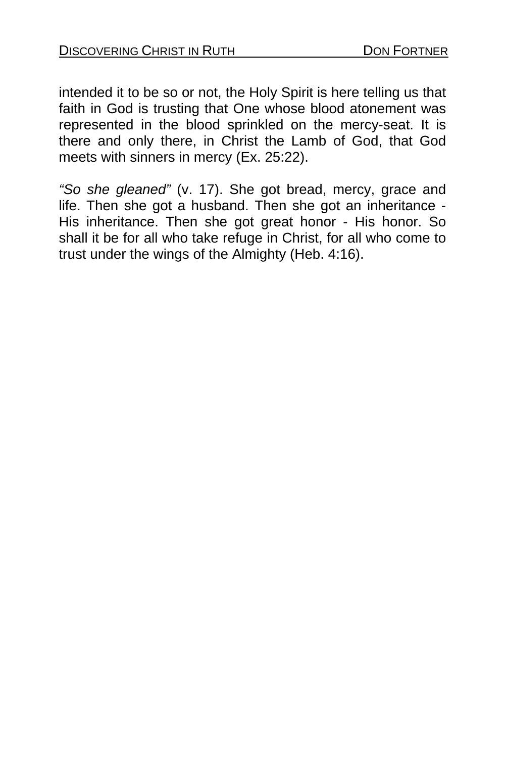intended it to be so or not, the Holy Spirit is here telling us that faith in God is trusting that One whose blood atonement was represented in the blood sprinkled on the mercy-seat. It is there and only there, in Christ the Lamb of God, that God meets with sinners in mercy (Ex. 25:22).

*"So she gleaned"* (v. 17). She got bread, mercy, grace and life. Then she got a husband. Then she got an inheritance - His inheritance. Then she got great honor - His honor. So shall it be for all who take refuge in Christ, for all who come to trust under the wings of the Almighty (Heb. 4:16).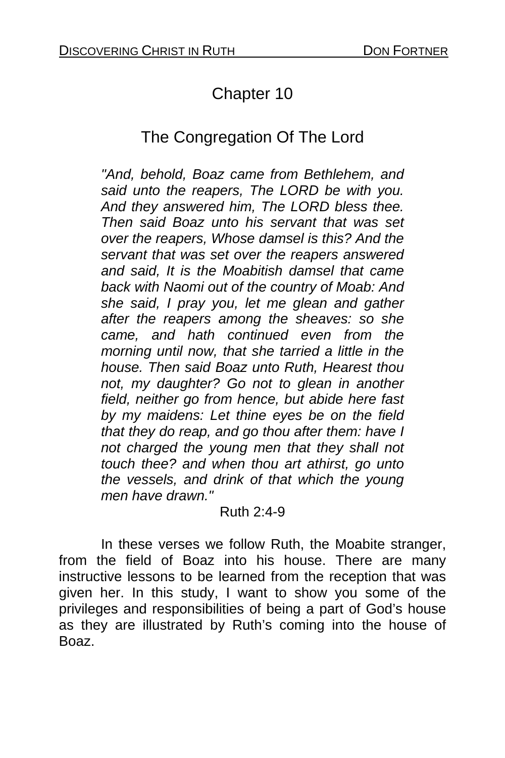# Chapter 10

# The Congregation Of The Lord

*"And, behold, Boaz came from Bethlehem, and said unto the reapers, The LORD be with you. And they answered him, The LORD bless thee. Then said Boaz unto his servant that was set over the reapers, Whose damsel is this? And the servant that was set over the reapers answered and said, It is the Moabitish damsel that came back with Naomi out of the country of Moab: And she said, I pray you, let me glean and gather after the reapers among the sheaves: so she came, and hath continued even from the morning until now, that she tarried a little in the house. Then said Boaz unto Ruth, Hearest thou not, my daughter? Go not to glean in another field, neither go from hence, but abide here fast by my maidens: Let thine eyes be on the field that they do reap, and go thou after them: have I not charged the young men that they shall not touch thee? and when thou art athirst, go unto the vessels, and drink of that which the young men have drawn."* 

#### Ruth 2:4-9

 In these verses we follow Ruth, the Moabite stranger, from the field of Boaz into his house. There are many instructive lessons to be learned from the reception that was given her. In this study, I want to show you some of the privileges and responsibilities of being a part of God's house as they are illustrated by Ruth's coming into the house of Boaz.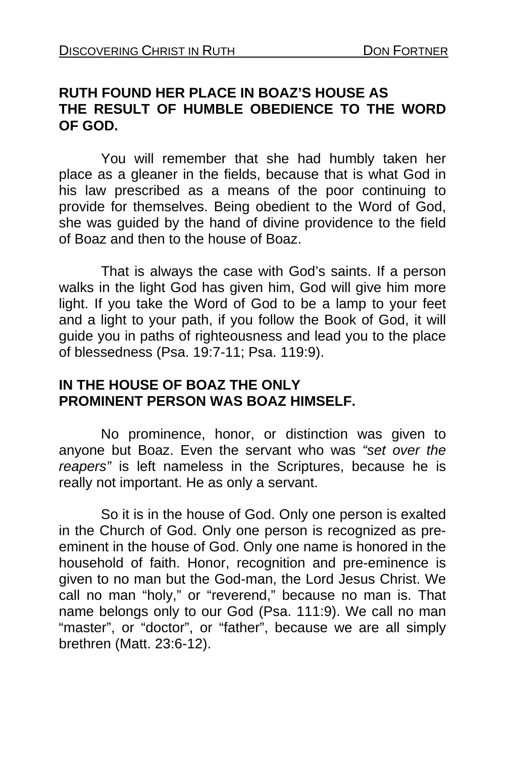### **RUTH FOUND HER PLACE IN BOAZ'S HOUSE AS THE RESULT OF HUMBLE OBEDIENCE TO THE WORD OF GOD.**

You will remember that she had humbly taken her place as a gleaner in the fields, because that is what God in his law prescribed as a means of the poor continuing to provide for themselves. Being obedient to the Word of God, she was guided by the hand of divine providence to the field of Boaz and then to the house of Boaz.

 That is always the case with God's saints. If a person walks in the light God has given him, God will give him more light. If you take the Word of God to be a lamp to your feet and a light to your path, if you follow the Book of God, it will guide you in paths of righteousness and lead you to the place of blessedness (Psa. 19:7-11; Psa. 119:9).

## **IN THE HOUSE OF BOAZ THE ONLY PROMINENT PERSON WAS BOAZ HIMSELF.**

No prominence, honor, or distinction was given to anyone but Boaz. Even the servant who was *"set over the reapers"* is left nameless in the Scriptures, because he is really not important. He as only a servant.

 So it is in the house of God. Only one person is exalted in the Church of God. Only one person is recognized as preeminent in the house of God. Only one name is honored in the household of faith. Honor, recognition and pre-eminence is given to no man but the God-man, the Lord Jesus Christ. We call no man "holy," or "reverend," because no man is. That name belongs only to our God (Psa. 111:9). We call no man "master", or "doctor", or "father", because we are all simply brethren (Matt. 23:6-12).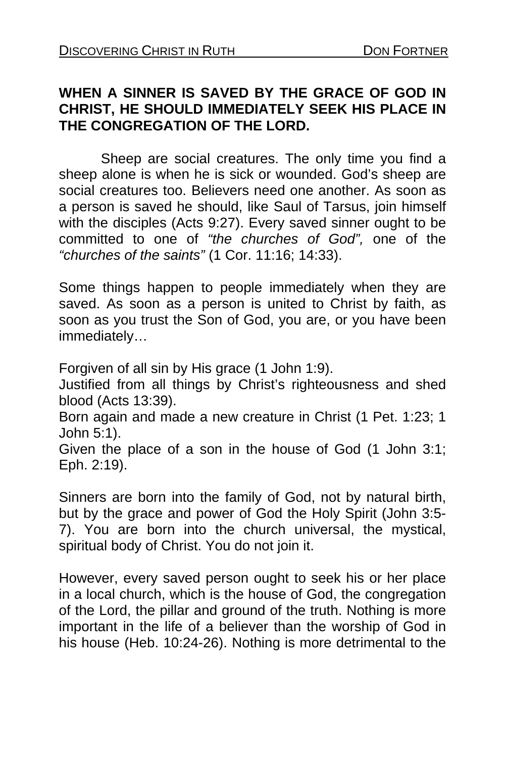## **WHEN A SINNER IS SAVED BY THE GRACE OF GOD IN CHRIST, HE SHOULD IMMEDIATELY SEEK HIS PLACE IN THE CONGREGATION OF THE LORD.**

Sheep are social creatures. The only time you find a sheep alone is when he is sick or wounded. God's sheep are social creatures too. Believers need one another. As soon as a person is saved he should, like Saul of Tarsus, join himself with the disciples (Acts 9:27). Every saved sinner ought to be committed to one of *"the churches of God",* one of the *"churches of the saints"* (1 Cor. 11:16; 14:33).

Some things happen to people immediately when they are saved. As soon as a person is united to Christ by faith, as soon as you trust the Son of God, you are, or you have been immediately…

Forgiven of all sin by His grace (1 John 1:9).

Justified from all things by Christ's righteousness and shed blood (Acts 13:39).

Born again and made a new creature in Christ (1 Pet. 1:23; 1 John 5:1).

Given the place of a son in the house of God (1 John 3:1; Eph. 2:19).

Sinners are born into the family of God, not by natural birth, but by the grace and power of God the Holy Spirit (John 3:5- 7). You are born into the church universal, the mystical, spiritual body of Christ. You do not join it.

However, every saved person ought to seek his or her place in a local church, which is the house of God, the congregation of the Lord, the pillar and ground of the truth. Nothing is more important in the life of a believer than the worship of God in his house (Heb. 10:24-26). Nothing is more detrimental to the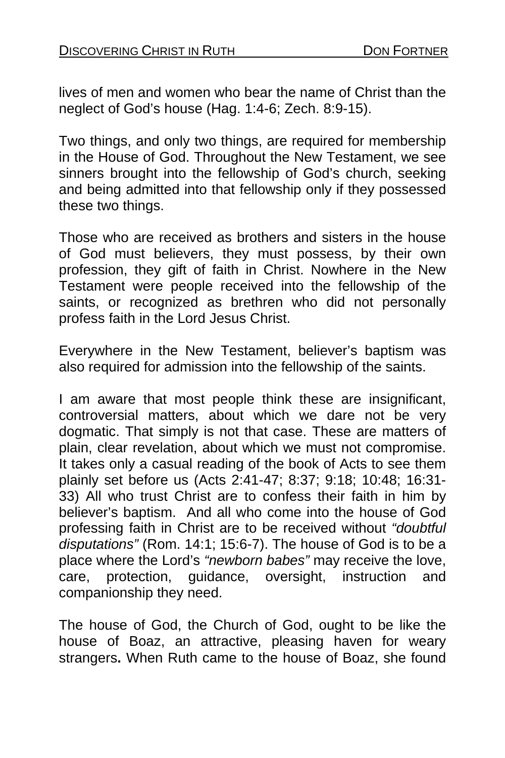lives of men and women who bear the name of Christ than the neglect of God's house (Hag. 1:4-6; Zech. 8:9-15).

Two things, and only two things, are required for membership in the House of God. Throughout the New Testament, we see sinners brought into the fellowship of God's church, seeking and being admitted into that fellowship only if they possessed these two things.

Those who are received as brothers and sisters in the house of God must believers, they must possess, by their own profession, they gift of faith in Christ. Nowhere in the New Testament were people received into the fellowship of the saints, or recognized as brethren who did not personally profess faith in the Lord Jesus Christ.

Everywhere in the New Testament, believer's baptism was also required for admission into the fellowship of the saints.

I am aware that most people think these are insignificant, controversial matters, about which we dare not be very dogmatic. That simply is not that case. These are matters of plain, clear revelation, about which we must not compromise. It takes only a casual reading of the book of Acts to see them plainly set before us (Acts 2:41-47; 8:37; 9:18; 10:48; 16:31- 33) All who trust Christ are to confess their faith in him by believer's baptism. And all who come into the house of God professing faith in Christ are to be received without *"doubtful disputations"* (Rom. 14:1; 15:6-7). The house of God is to be a place where the Lord's *"newborn babes"* may receive the love, care, protection, guidance, oversight, instruction and companionship they need.

The house of God, the Church of God, ought to be like the house of Boaz, an attractive, pleasing haven for weary strangers**.** When Ruth came to the house of Boaz, she found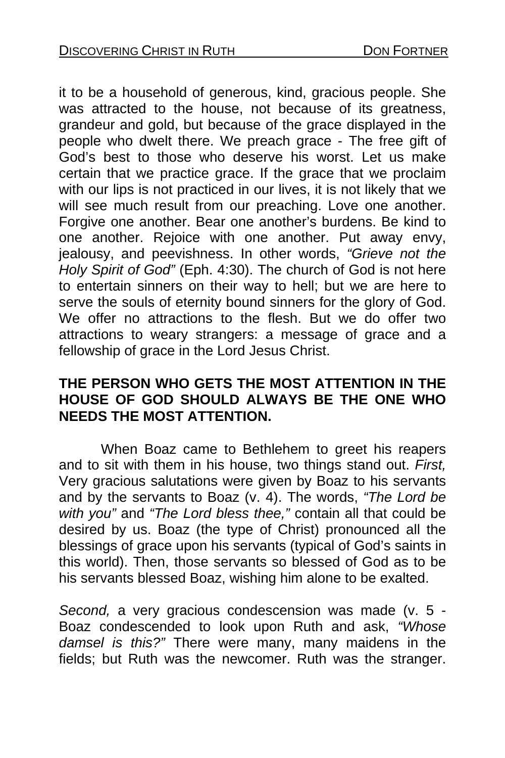it to be a household of generous, kind, gracious people. She was attracted to the house, not because of its greatness, grandeur and gold, but because of the grace displayed in the people who dwelt there. We preach grace - The free gift of God's best to those who deserve his worst. Let us make certain that we practice grace. If the grace that we proclaim with our lips is not practiced in our lives, it is not likely that we will see much result from our preaching. Love one another. Forgive one another. Bear one another's burdens. Be kind to one another. Rejoice with one another. Put away envy, jealousy, and peevishness. In other words, *"Grieve not the Holy Spirit of God"* (Eph. 4:30). The church of God is not here to entertain sinners on their way to hell; but we are here to serve the souls of eternity bound sinners for the glory of God. We offer no attractions to the flesh. But we do offer two attractions to weary strangers: a message of grace and a fellowship of grace in the Lord Jesus Christ.

### **THE PERSON WHO GETS THE MOST ATTENTION IN THE HOUSE OF GOD SHOULD ALWAYS BE THE ONE WHO NEEDS THE MOST ATTENTION.**

When Boaz came to Bethlehem to greet his reapers and to sit with them in his house, two things stand out. *First,*  Very gracious salutations were given by Boaz to his servants and by the servants to Boaz (v. 4). The words, *"The Lord be with you"* and *"The Lord bless thee,"* contain all that could be desired by us. Boaz (the type of Christ) pronounced all the blessings of grace upon his servants (typical of God's saints in this world). Then, those servants so blessed of God as to be his servants blessed Boaz, wishing him alone to be exalted.

*Second,* a very gracious condescension was made (v. 5 - Boaz condescended to look upon Ruth and ask, *"Whose damsel is this?"* There were many, many maidens in the fields; but Ruth was the newcomer. Ruth was the stranger.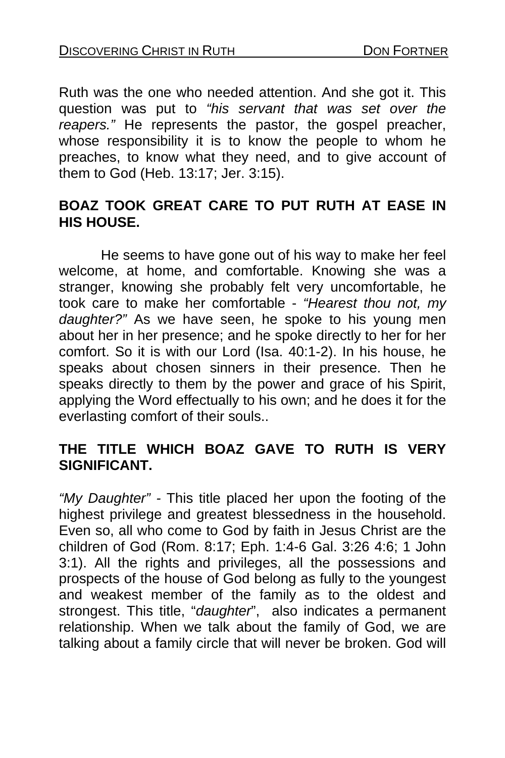Ruth was the one who needed attention. And she got it. This question was put to *"his servant that was set over the reapers."* He represents the pastor, the gospel preacher, whose responsibility it is to know the people to whom he preaches, to know what they need, and to give account of them to God (Heb. 13:17; Jer. 3:15).

### **BOAZ TOOK GREAT CARE TO PUT RUTH AT EASE IN HIS HOUSE.**

He seems to have gone out of his way to make her feel welcome, at home, and comfortable. Knowing she was a stranger, knowing she probably felt very uncomfortable, he took care to make her comfortable - *"Hearest thou not, my daughter?"* As we have seen, he spoke to his young men about her in her presence; and he spoke directly to her for her comfort. So it is with our Lord (Isa. 40:1-2). In his house, he speaks about chosen sinners in their presence. Then he speaks directly to them by the power and grace of his Spirit, applying the Word effectually to his own; and he does it for the everlasting comfort of their souls..

### **THE TITLE WHICH BOAZ GAVE TO RUTH IS VERY SIGNIFICANT.**

*"My Daughter" -* This title placed her upon the footing of the highest privilege and greatest blessedness in the household. Even so, all who come to God by faith in Jesus Christ are the children of God (Rom. 8:17; Eph. 1:4-6 Gal. 3:26 4:6; 1 John 3:1). All the rights and privileges, all the possessions and prospects of the house of God belong as fully to the youngest and weakest member of the family as to the oldest and strongest. This title, "*daughter*", also indicates a permanent relationship. When we talk about the family of God, we are talking about a family circle that will never be broken. God will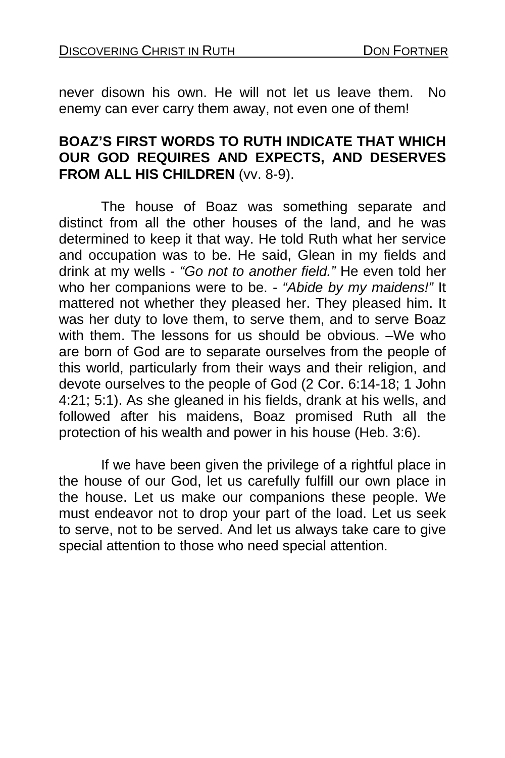never disown his own. He will not let us leave them. No enemy can ever carry them away, not even one of them!

#### **BOAZ'S FIRST WORDS TO RUTH INDICATE THAT WHICH OUR GOD REQUIRES AND EXPECTS, AND DESERVES FROM ALL HIS CHILDREN** (vv. 8-9).

 The house of Boaz was something separate and distinct from all the other houses of the land, and he was determined to keep it that way. He told Ruth what her service and occupation was to be. He said, Glean in my fields and drink at my wells - *"Go not to another field."* He even told her who her companions were to be. - *"Abide by my maidens!"* It mattered not whether they pleased her. They pleased him. It was her duty to love them, to serve them, and to serve Boaz with them. The lessons for us should be obvious. –We who are born of God are to separate ourselves from the people of this world, particularly from their ways and their religion, and devote ourselves to the people of God (2 Cor. 6:14-18; 1 John 4:21; 5:1). As she gleaned in his fields, drank at his wells, and followed after his maidens, Boaz promised Ruth all the protection of his wealth and power in his house (Heb. 3:6).

If we have been given the privilege of a rightful place in the house of our God, let us carefully fulfill our own place in the house. Let us make our companions these people. We must endeavor not to drop your part of the load. Let us seek to serve, not to be served. And let us always take care to give special attention to those who need special attention.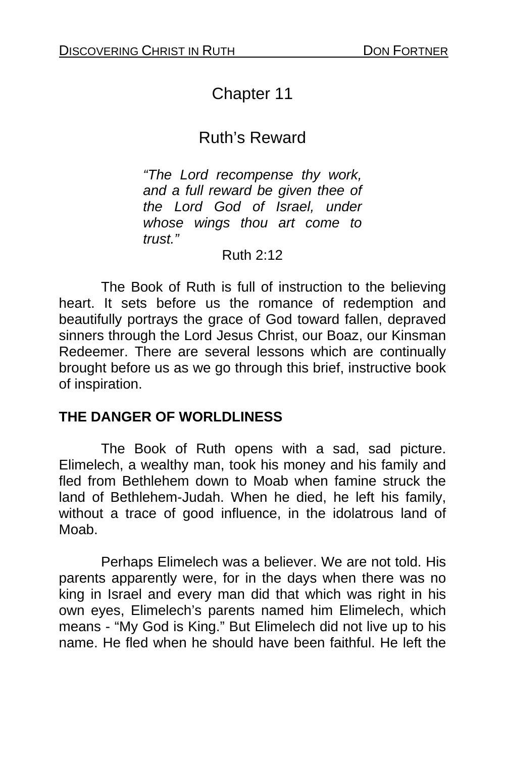# Chapter 11

## Ruth's Reward

*"The Lord recompense thy work, and a full reward be given thee of the Lord God of Israel, under whose wings thou art come to trust."* 

#### Ruth 2:12

The Book of Ruth is full of instruction to the believing heart. It sets before us the romance of redemption and beautifully portrays the grace of God toward fallen, depraved sinners through the Lord Jesus Christ, our Boaz, our Kinsman Redeemer. There are several lessons which are continually brought before us as we go through this brief, instructive book of inspiration.

### **THE DANGER OF WORLDLINESS**

 The Book of Ruth opens with a sad, sad picture. Elimelech, a wealthy man, took his money and his family and fled from Bethlehem down to Moab when famine struck the land of Bethlehem-Judah. When he died, he left his family, without a trace of good influence, in the idolatrous land of Moab.

 Perhaps Elimelech was a believer. We are not told. His parents apparently were, for in the days when there was no king in Israel and every man did that which was right in his own eyes, Elimelech's parents named him Elimelech, which means - "My God is King." But Elimelech did not live up to his name. He fled when he should have been faithful. He left the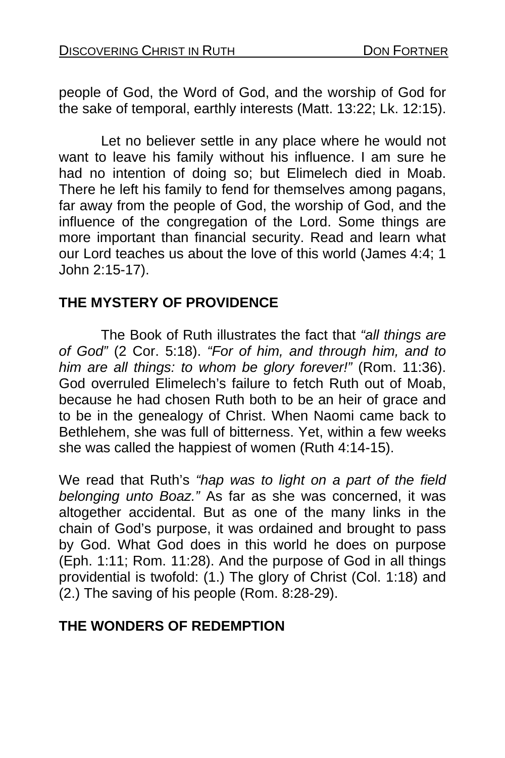people of God, the Word of God, and the worship of God for the sake of temporal, earthly interests (Matt. 13:22; Lk. 12:15).

 Let no believer settle in any place where he would not want to leave his family without his influence. I am sure he had no intention of doing so; but Elimelech died in Moab. There he left his family to fend for themselves among pagans, far away from the people of God, the worship of God, and the influence of the congregation of the Lord. Some things are more important than financial security. Read and learn what our Lord teaches us about the love of this world (James 4:4; 1 John 2:15-17).

### **THE MYSTERY OF PROVIDENCE**

The Book of Ruth illustrates the fact that *"all things are of God"* (2 Cor. 5:18). *"For of him, and through him, and to him are all things: to whom be glory forever!"* (Rom. 11:36). God overruled Elimelech's failure to fetch Ruth out of Moab, because he had chosen Ruth both to be an heir of grace and to be in the genealogy of Christ. When Naomi came back to Bethlehem, she was full of bitterness. Yet, within a few weeks she was called the happiest of women (Ruth 4:14-15).

We read that Ruth's *"hap was to light on a part of the field belonging unto Boaz."* As far as she was concerned, it was altogether accidental. But as one of the many links in the chain of God's purpose, it was ordained and brought to pass by God. What God does in this world he does on purpose (Eph. 1:11; Rom. 11:28). And the purpose of God in all things providential is twofold: (1.) The glory of Christ (Col. 1:18) and (2.) The saving of his people (Rom. 8:28-29).

### **THE WONDERS OF REDEMPTION**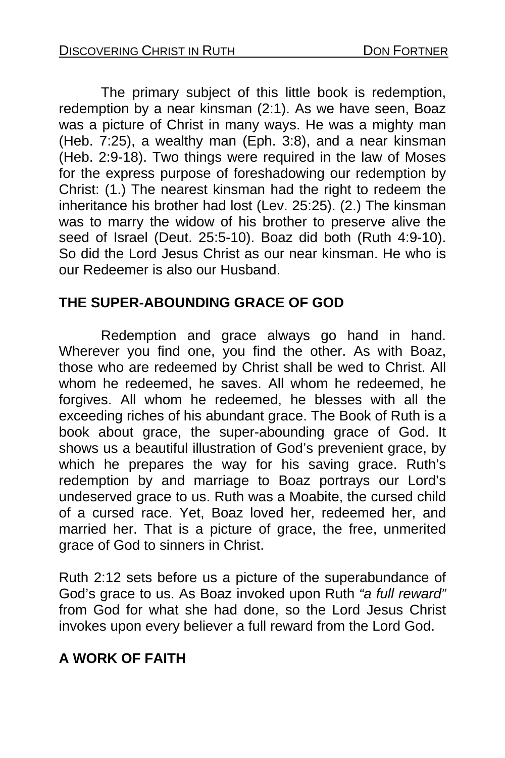The primary subject of this little book is redemption, redemption by a near kinsman (2:1). As we have seen, Boaz was a picture of Christ in many ways. He was a mighty man (Heb. 7:25), a wealthy man (Eph. 3:8), and a near kinsman (Heb. 2:9-18). Two things were required in the law of Moses for the express purpose of foreshadowing our redemption by Christ: (1.) The nearest kinsman had the right to redeem the inheritance his brother had lost (Lev. 25:25). (2.) The kinsman was to marry the widow of his brother to preserve alive the seed of Israel (Deut. 25:5-10). Boaz did both (Ruth 4:9-10). So did the Lord Jesus Christ as our near kinsman. He who is our Redeemer is also our Husband.

### **THE SUPER-ABOUNDING GRACE OF GOD**

Redemption and grace always go hand in hand. Wherever you find one, you find the other. As with Boaz, those who are redeemed by Christ shall be wed to Christ. All whom he redeemed, he saves. All whom he redeemed, he forgives. All whom he redeemed, he blesses with all the exceeding riches of his abundant grace. The Book of Ruth is a book about grace, the super-abounding grace of God. It shows us a beautiful illustration of God's prevenient grace, by which he prepares the way for his saving grace. Ruth's redemption by and marriage to Boaz portrays our Lord's undeserved grace to us. Ruth was a Moabite, the cursed child of a cursed race. Yet, Boaz loved her, redeemed her, and married her. That is a picture of grace, the free, unmerited grace of God to sinners in Christ.

Ruth 2:12 sets before us a picture of the superabundance of God's grace to us. As Boaz invoked upon Ruth *"a full reward"*  from God for what she had done, so the Lord Jesus Christ invokes upon every believer a full reward from the Lord God.

### **A WORK OF FAITH**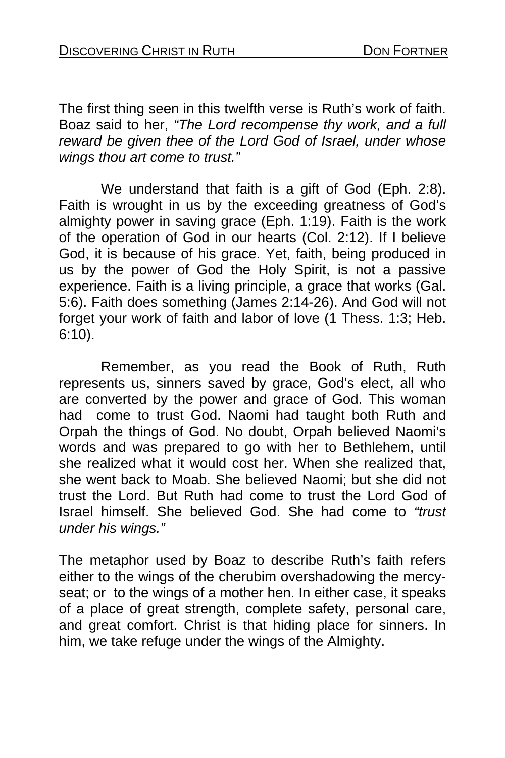The first thing seen in this twelfth verse is Ruth's work of faith. Boaz said to her, *"The Lord recompense thy work, and a full reward be given thee of the Lord God of Israel, under whose wings thou art come to trust."* 

We understand that faith is a gift of God (Eph. 2:8). Faith is wrought in us by the exceeding greatness of God's almighty power in saving grace (Eph. 1:19). Faith is the work of the operation of God in our hearts (Col. 2:12). If I believe God, it is because of his grace. Yet, faith, being produced in us by the power of God the Holy Spirit, is not a passive experience. Faith is a living principle, a grace that works (Gal. 5:6). Faith does something (James 2:14-26). And God will not forget your work of faith and labor of love (1 Thess. 1:3; Heb. 6:10).

 Remember, as you read the Book of Ruth, Ruth represents us, sinners saved by grace, God's elect, all who are converted by the power and grace of God. This woman had come to trust God. Naomi had taught both Ruth and Orpah the things of God. No doubt, Orpah believed Naomi's words and was prepared to go with her to Bethlehem, until she realized what it would cost her. When she realized that, she went back to Moab. She believed Naomi; but she did not trust the Lord. But Ruth had come to trust the Lord God of Israel himself. She believed God. She had come to *"trust under his wings."* 

The metaphor used by Boaz to describe Ruth's faith refers either to the wings of the cherubim overshadowing the mercyseat; or to the wings of a mother hen. In either case, it speaks of a place of great strength, complete safety, personal care, and great comfort. Christ is that hiding place for sinners. In him, we take refuge under the wings of the Almighty.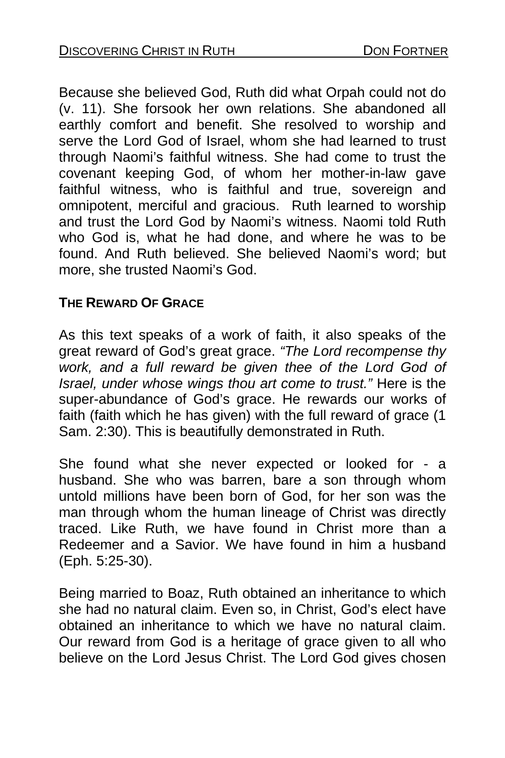Because she believed God, Ruth did what Orpah could not do (v. 11). She forsook her own relations. She abandoned all earthly comfort and benefit. She resolved to worship and serve the Lord God of Israel, whom she had learned to trust through Naomi's faithful witness. She had come to trust the covenant keeping God, of whom her mother-in-law gave faithful witness, who is faithful and true, sovereign and omnipotent, merciful and gracious. Ruth learned to worship and trust the Lord God by Naomi's witness. Naomi told Ruth who God is, what he had done, and where he was to be found. And Ruth believed. She believed Naomi's word; but more, she trusted Naomi's God.

#### **THE REWARD OF GRACE**

As this text speaks of a work of faith, it also speaks of the great reward of God's great grace. *"The Lord recompense thy work, and a full reward be given thee of the Lord God of Israel, under whose wings thou art come to trust."* Here is the super-abundance of God's grace. He rewards our works of faith (faith which he has given) with the full reward of grace (1 Sam. 2:30). This is beautifully demonstrated in Ruth.

She found what she never expected or looked for - a husband. She who was barren, bare a son through whom untold millions have been born of God, for her son was the man through whom the human lineage of Christ was directly traced. Like Ruth, we have found in Christ more than a Redeemer and a Savior. We have found in him a husband (Eph. 5:25-30).

Being married to Boaz, Ruth obtained an inheritance to which she had no natural claim. Even so, in Christ, God's elect have obtained an inheritance to which we have no natural claim. Our reward from God is a heritage of grace given to all who believe on the Lord Jesus Christ. The Lord God gives chosen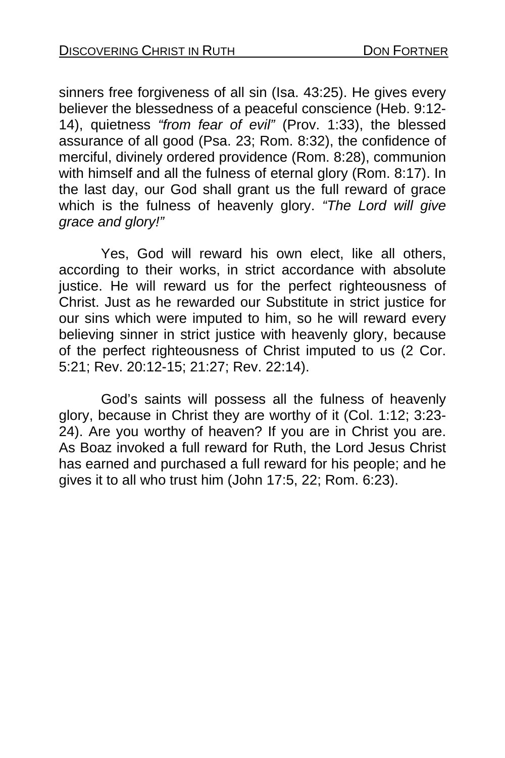sinners free forgiveness of all sin (Isa. 43:25). He gives every believer the blessedness of a peaceful conscience (Heb. 9:12- 14), quietness *"from fear of evil"* (Prov. 1:33), the blessed assurance of all good (Psa. 23; Rom. 8:32), the confidence of merciful, divinely ordered providence (Rom. 8:28), communion with himself and all the fulness of eternal glory (Rom. 8:17). In the last day, our God shall grant us the full reward of grace which is the fulness of heavenly glory. *"The Lord will give grace and glory!"*

Yes, God will reward his own elect, like all others, according to their works, in strict accordance with absolute justice. He will reward us for the perfect righteousness of Christ. Just as he rewarded our Substitute in strict justice for our sins which were imputed to him, so he will reward every believing sinner in strict justice with heavenly glory, because of the perfect righteousness of Christ imputed to us (2 Cor. 5:21; Rev. 20:12-15; 21:27; Rev. 22:14).

 God's saints will possess all the fulness of heavenly glory, because in Christ they are worthy of it (Col. 1:12; 3:23- 24). Are you worthy of heaven? If you are in Christ you are. As Boaz invoked a full reward for Ruth, the Lord Jesus Christ has earned and purchased a full reward for his people; and he gives it to all who trust him (John 17:5, 22; Rom. 6:23).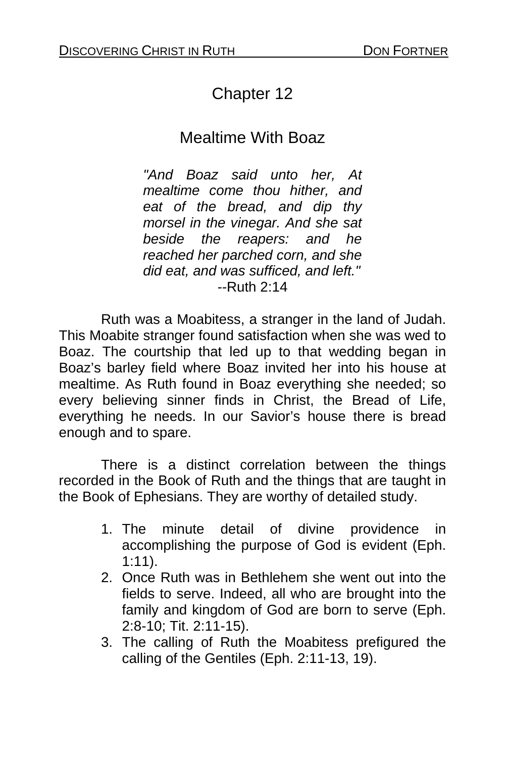# Chapter 12

## Mealtime With Boaz

*"And Boaz said unto her, At mealtime come thou hither, and eat of the bread, and dip thy morsel in the vinegar. And she sat beside the reapers: and he reached her parched corn, and she did eat, and was sufficed, and left." --*Ruth 2:14

Ruth was a Moabitess, a stranger in the land of Judah. This Moabite stranger found satisfaction when she was wed to Boaz. The courtship that led up to that wedding began in Boaz's barley field where Boaz invited her into his house at mealtime. As Ruth found in Boaz everything she needed; so every believing sinner finds in Christ, the Bread of Life, everything he needs. In our Savior's house there is bread enough and to spare.

There is a distinct correlation between the things recorded in the Book of Ruth and the things that are taught in the Book of Ephesians. They are worthy of detailed study.

- 1. The minute detail of divine providence in accomplishing the purpose of God is evident (Eph. 1:11).
- 2. Once Ruth was in Bethlehem she went out into the fields to serve. Indeed, all who are brought into the family and kingdom of God are born to serve (Eph. 2:8-10; Tit. 2:11-15).
- 3. The calling of Ruth the Moabitess prefigured the calling of the Gentiles (Eph. 2:11-13, 19).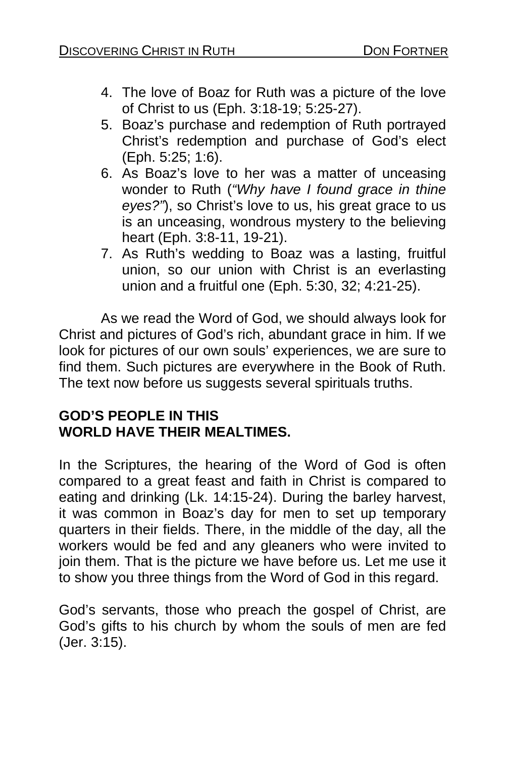- 4. The love of Boaz for Ruth was a picture of the love of Christ to us (Eph. 3:18-19; 5:25-27).
- 5. Boaz's purchase and redemption of Ruth portrayed Christ's redemption and purchase of God's elect (Eph. 5:25; 1:6).
- 6. As Boaz's love to her was a matter of unceasing wonder to Ruth (*"Why have I found grace in thine eyes?"*), so Christ's love to us, his great grace to us is an unceasing, wondrous mystery to the believing heart (Eph. 3:8-11, 19-21).
- 7. As Ruth's wedding to Boaz was a lasting, fruitful union. so our union with Christ is an everlasting union and a fruitful one (Eph. 5:30, 32; 4:21-25).

As we read the Word of God, we should always look for Christ and pictures of God's rich, abundant grace in him. If we look for pictures of our own souls' experiences, we are sure to find them. Such pictures are everywhere in the Book of Ruth. The text now before us suggests several spirituals truths.

### **GOD'S PEOPLE IN THIS WORLD HAVE THEIR MEALTIMES.**

In the Scriptures, the hearing of the Word of God is often compared to a great feast and faith in Christ is compared to eating and drinking (Lk. 14:15-24). During the barley harvest, it was common in Boaz's day for men to set up temporary quarters in their fields. There, in the middle of the day, all the workers would be fed and any gleaners who were invited to join them. That is the picture we have before us. Let me use it to show you three things from the Word of God in this regard.

God's servants, those who preach the gospel of Christ, are God's gifts to his church by whom the souls of men are fed (Jer. 3:15).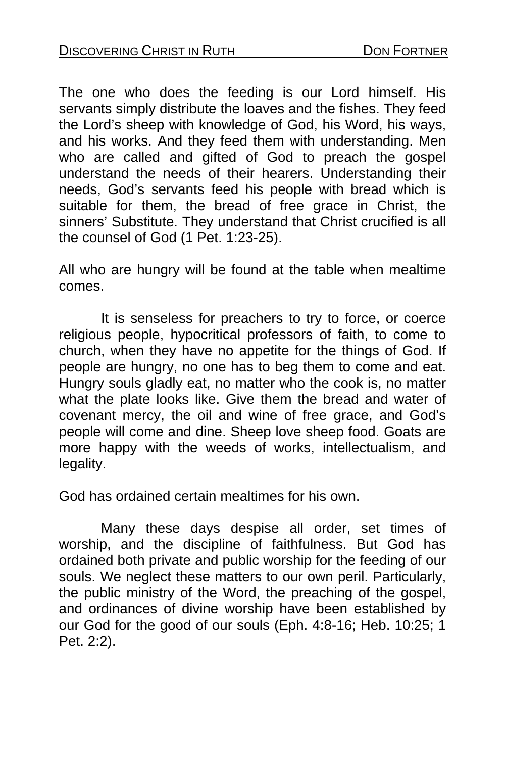The one who does the feeding is our Lord himself. His servants simply distribute the loaves and the fishes. They feed the Lord's sheep with knowledge of God, his Word, his ways, and his works. And they feed them with understanding. Men who are called and gifted of God to preach the gospel understand the needs of their hearers. Understanding their needs, God's servants feed his people with bread which is suitable for them, the bread of free grace in Christ, the sinners' Substitute. They understand that Christ crucified is all the counsel of God (1 Pet. 1:23-25).

All who are hungry will be found at the table when mealtime comes.

 It is senseless for preachers to try to force, or coerce religious people, hypocritical professors of faith, to come to church, when they have no appetite for the things of God. If people are hungry, no one has to beg them to come and eat. Hungry souls gladly eat, no matter who the cook is, no matter what the plate looks like. Give them the bread and water of covenant mercy, the oil and wine of free grace, and God's people will come and dine. Sheep love sheep food. Goats are more happy with the weeds of works, intellectualism, and legality.

God has ordained certain mealtimes for his own.

Many these days despise all order, set times of worship, and the discipline of faithfulness. But God has ordained both private and public worship for the feeding of our souls. We neglect these matters to our own peril. Particularly, the public ministry of the Word, the preaching of the gospel, and ordinances of divine worship have been established by our God for the good of our souls (Eph. 4:8-16; Heb. 10:25; 1 Pet. 2:2).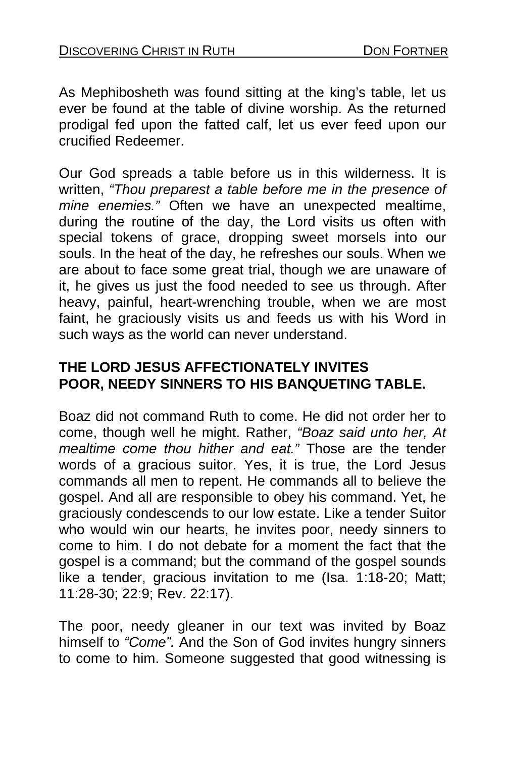As Mephibosheth was found sitting at the king's table, let us ever be found at the table of divine worship. As the returned prodigal fed upon the fatted calf, let us ever feed upon our crucified Redeemer.

Our God spreads a table before us in this wilderness. It is written, *"Thou preparest a table before me in the presence of mine enemies."* Often we have an unexpected mealtime, during the routine of the day, the Lord visits us often with special tokens of grace, dropping sweet morsels into our souls. In the heat of the day, he refreshes our souls. When we are about to face some great trial, though we are unaware of it, he gives us just the food needed to see us through. After heavy, painful, heart-wrenching trouble, when we are most faint, he graciously visits us and feeds us with his Word in such ways as the world can never understand.

### **THE LORD JESUS AFFECTIONATELY INVITES POOR, NEEDY SINNERS TO HIS BANQUETING TABLE.**

Boaz did not command Ruth to come. He did not order her to come, though well he might. Rather, *"Boaz said unto her, At mealtime come thou hither and eat."* Those are the tender words of a gracious suitor. Yes, it is true, the Lord Jesus commands all men to repent. He commands all to believe the gospel. And all are responsible to obey his command. Yet, he graciously condescends to our low estate. Like a tender Suitor who would win our hearts, he invites poor, needy sinners to come to him. I do not debate for a moment the fact that the gospel is a command; but the command of the gospel sounds like a tender, gracious invitation to me (Isa. 1:18-20; Matt; 11:28-30; 22:9; Rev. 22:17).

The poor, needy gleaner in our text was invited by Boaz himself to *"Come".* And the Son of God invites hungry sinners to come to him. Someone suggested that good witnessing is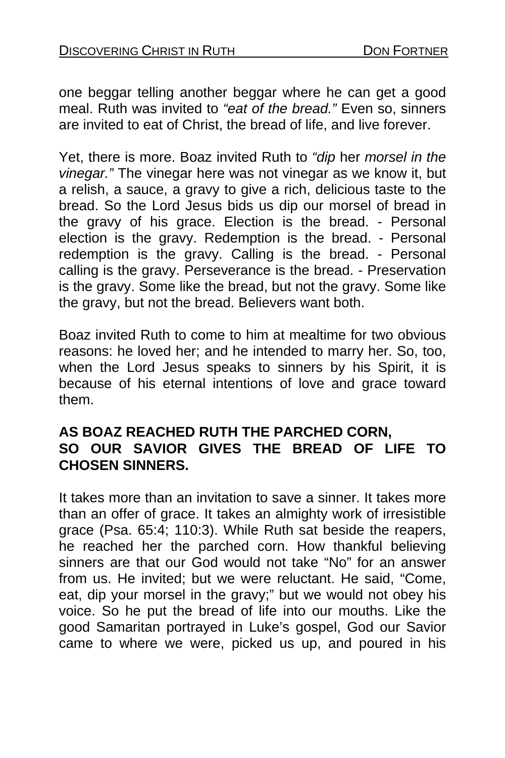one beggar telling another beggar where he can get a good meal. Ruth was invited to *"eat of the bread."* Even so, sinners are invited to eat of Christ, the bread of life, and live forever.

Yet, there is more. Boaz invited Ruth to *"dip* her *morsel in the vinegar."* The vinegar here was not vinegar as we know it, but a relish, a sauce, a gravy to give a rich, delicious taste to the bread. So the Lord Jesus bids us dip our morsel of bread in the gravy of his grace. Election is the bread. - Personal election is the gravy. Redemption is the bread. - Personal redemption is the gravy. Calling is the bread. - Personal calling is the gravy. Perseverance is the bread. - Preservation is the gravy. Some like the bread, but not the gravy. Some like the gravy, but not the bread. Believers want both.

Boaz invited Ruth to come to him at mealtime for two obvious reasons: he loved her; and he intended to marry her. So, too, when the Lord Jesus speaks to sinners by his Spirit, it is because of his eternal intentions of love and grace toward them.

### **AS BOAZ REACHED RUTH THE PARCHED CORN, SO OUR SAVIOR GIVES THE BREAD OF LIFE TO CHOSEN SINNERS.**

It takes more than an invitation to save a sinner. It takes more than an offer of grace. It takes an almighty work of irresistible grace (Psa. 65:4; 110:3). While Ruth sat beside the reapers, he reached her the parched corn. How thankful believing sinners are that our God would not take "No" for an answer from us. He invited; but we were reluctant. He said, "Come, eat, dip your morsel in the gravy;" but we would not obey his voice. So he put the bread of life into our mouths. Like the good Samaritan portrayed in Luke's gospel, God our Savior came to where we were, picked us up, and poured in his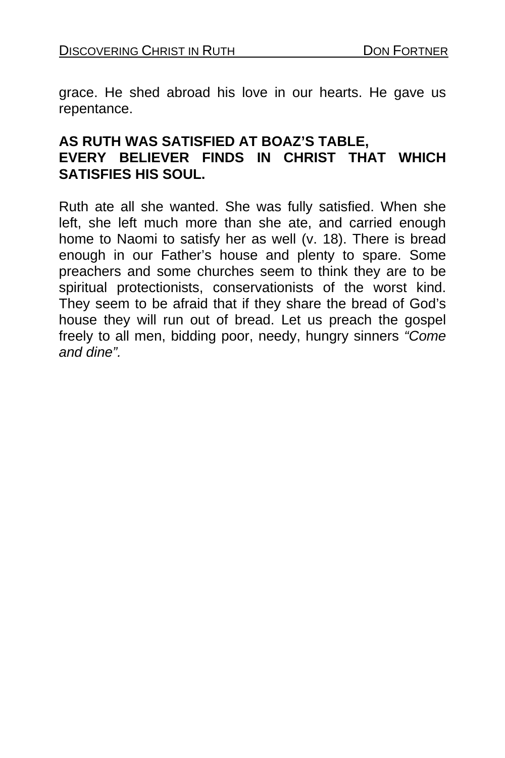grace. He shed abroad his love in our hearts. He gave us repentance.

#### **AS RUTH WAS SATISFIED AT BOAZ'S TABLE, EVERY BELIEVER FINDS IN CHRIST THAT WHICH SATISFIES HIS SOUL.**

Ruth ate all she wanted. She was fully satisfied. When she left, she left much more than she ate, and carried enough home to Naomi to satisfy her as well (v. 18). There is bread enough in our Father's house and plenty to spare. Some preachers and some churches seem to think they are to be spiritual protectionists, conservationists of the worst kind. They seem to be afraid that if they share the bread of God's house they will run out of bread. Let us preach the gospel freely to all men, bidding poor, needy, hungry sinners *"Come and dine".*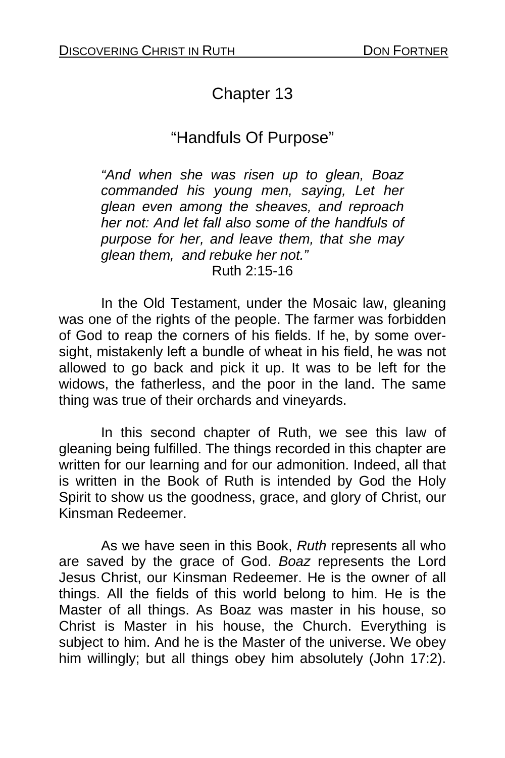# Chapter 13

# "Handfuls Of Purpose"

*"And when she was risen up to glean, Boaz commanded his young men, saying, Let her glean even among the sheaves, and reproach her not: And let fall also some of the handfuls of purpose for her, and leave them, that she may glean them, and rebuke her not."*  Ruth 2:15-16

In the Old Testament, under the Mosaic law, gleaning was one of the rights of the people. The farmer was forbidden of God to reap the corners of his fields. If he, by some oversight, mistakenly left a bundle of wheat in his field, he was not allowed to go back and pick it up. It was to be left for the widows, the fatherless, and the poor in the land. The same thing was true of their orchards and vineyards.

In this second chapter of Ruth, we see this law of gleaning being fulfilled. The things recorded in this chapter are written for our learning and for our admonition. Indeed, all that is written in the Book of Ruth is intended by God the Holy Spirit to show us the goodness, grace, and glory of Christ, our Kinsman Redeemer.

As we have seen in this Book, *Ruth* represents all who are saved by the grace of God. *Boaz* represents the Lord Jesus Christ, our Kinsman Redeemer. He is the owner of all things. All the fields of this world belong to him. He is the Master of all things. As Boaz was master in his house, so Christ is Master in his house, the Church. Everything is subject to him. And he is the Master of the universe. We obey him willingly; but all things obey him absolutely (John 17:2).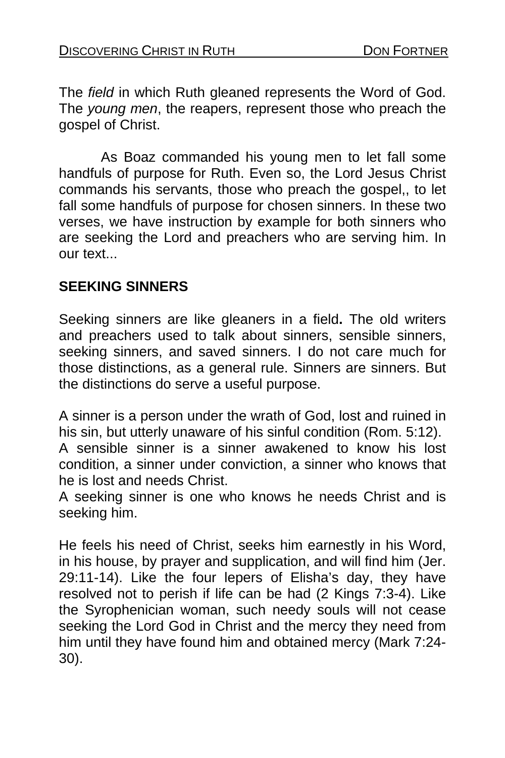The *field* in which Ruth gleaned represents the Word of God. The *young men*, the reapers, represent those who preach the gospel of Christ.

As Boaz commanded his young men to let fall some handfuls of purpose for Ruth. Even so, the Lord Jesus Christ commands his servants, those who preach the gospel,, to let fall some handfuls of purpose for chosen sinners. In these two verses, we have instruction by example for both sinners who are seeking the Lord and preachers who are serving him. In our text...

#### **SEEKING SINNERS**

Seeking sinners are like gleaners in a field**.** The old writers and preachers used to talk about sinners, sensible sinners, seeking sinners, and saved sinners. I do not care much for those distinctions, as a general rule. Sinners are sinners. But the distinctions do serve a useful purpose.

A sinner is a person under the wrath of God, lost and ruined in his sin, but utterly unaware of his sinful condition (Rom. 5:12).

A sensible sinner is a sinner awakened to know his lost condition, a sinner under conviction, a sinner who knows that he is lost and needs Christ.

A seeking sinner is one who knows he needs Christ and is seeking him.

He feels his need of Christ, seeks him earnestly in his Word, in his house, by prayer and supplication, and will find him (Jer. 29:11-14). Like the four lepers of Elisha's day, they have resolved not to perish if life can be had (2 Kings 7:3-4). Like the Syrophenician woman, such needy souls will not cease seeking the Lord God in Christ and the mercy they need from him until they have found him and obtained mercy (Mark 7:24- 30).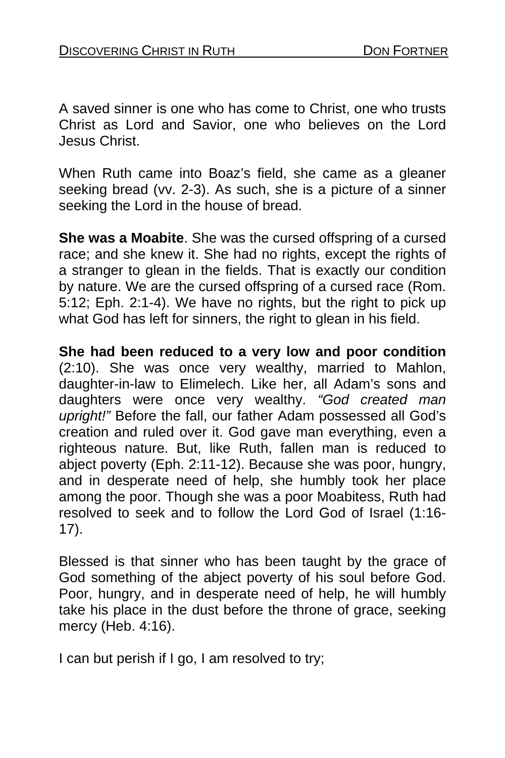A saved sinner is one who has come to Christ, one who trusts Christ as Lord and Savior, one who believes on the Lord Jesus Christ.

When Ruth came into Boaz's field, she came as a gleaner seeking bread (vv. 2-3). As such, she is a picture of a sinner seeking the Lord in the house of bread.

**She was a Moabite**. She was the cursed offspring of a cursed race; and she knew it. She had no rights, except the rights of a stranger to glean in the fields. That is exactly our condition by nature. We are the cursed offspring of a cursed race (Rom. 5:12; Eph. 2:1-4). We have no rights, but the right to pick up what God has left for sinners, the right to glean in his field.

**She had been reduced to a very low and poor condition**  (2:10). She was once very wealthy, married to Mahlon, daughter-in-law to Elimelech. Like her, all Adam's sons and daughters were once very wealthy. *"God created man upright!"* Before the fall, our father Adam possessed all God's creation and ruled over it. God gave man everything, even a righteous nature. But, like Ruth, fallen man is reduced to abject poverty (Eph. 2:11-12). Because she was poor, hungry, and in desperate need of help, she humbly took her place among the poor. Though she was a poor Moabitess, Ruth had resolved to seek and to follow the Lord God of Israel (1:16- 17).

Blessed is that sinner who has been taught by the grace of God something of the abject poverty of his soul before God. Poor, hungry, and in desperate need of help, he will humbly take his place in the dust before the throne of grace, seeking mercy (Heb. 4:16).

I can but perish if I go, I am resolved to try;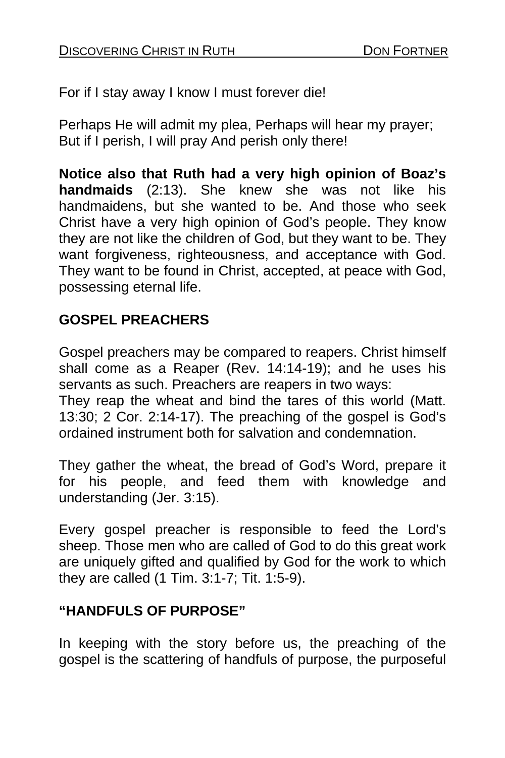For if I stay away I know I must forever die!

Perhaps He will admit my plea, Perhaps will hear my prayer; But if I perish, I will pray And perish only there!

**Notice also that Ruth had a very high opinion of Boaz's handmaids** (2:13). She knew she was not like his handmaidens, but she wanted to be. And those who seek Christ have a very high opinion of God's people. They know they are not like the children of God, but they want to be. They want forgiveness, righteousness, and acceptance with God. They want to be found in Christ, accepted, at peace with God, possessing eternal life.

### **GOSPEL PREACHERS**

Gospel preachers may be compared to reapers. Christ himself shall come as a Reaper (Rev. 14:14-19); and he uses his servants as such. Preachers are reapers in two ways:

They reap the wheat and bind the tares of this world (Matt. 13:30; 2 Cor. 2:14-17). The preaching of the gospel is God's ordained instrument both for salvation and condemnation.

They gather the wheat, the bread of God's Word, prepare it for his people, and feed them with knowledge and understanding (Jer. 3:15).

Every gospel preacher is responsible to feed the Lord's sheep. Those men who are called of God to do this great work are uniquely gifted and qualified by God for the work to which they are called (1 Tim. 3:1-7; Tit. 1:5-9).

### **"HANDFULS OF PURPOSE"**

In keeping with the story before us, the preaching of the gospel is the scattering of handfuls of purpose, the purposeful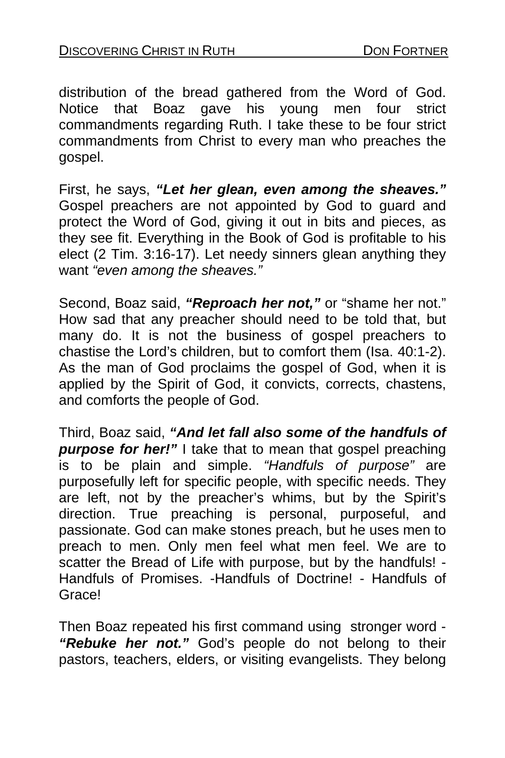distribution of the bread gathered from the Word of God. Notice that Boaz gave his young men four strict commandments regarding Ruth. I take these to be four strict commandments from Christ to every man who preaches the gospel.

First, he says, *"Let her glean, even among the sheaves."*  Gospel preachers are not appointed by God to guard and protect the Word of God, giving it out in bits and pieces, as they see fit. Everything in the Book of God is profitable to his elect (2 Tim. 3:16-17). Let needy sinners glean anything they want *"even among the sheaves."* 

Second, Boaz said, *"Reproach her not,"* or "shame her not." How sad that any preacher should need to be told that, but many do. It is not the business of gospel preachers to chastise the Lord's children, but to comfort them (Isa. 40:1-2). As the man of God proclaims the gospel of God, when it is applied by the Spirit of God, it convicts, corrects, chastens, and comforts the people of God.

Third, Boaz said, *"And let fall also some of the handfuls of purpose for her!"* I take that to mean that gospel preaching is to be plain and simple. *"Handfuls of purpose"* are purposefully left for specific people, with specific needs. They are left, not by the preacher's whims, but by the Spirit's direction. True preaching is personal, purposeful, and passionate. God can make stones preach, but he uses men to preach to men. Only men feel what men feel. We are to scatter the Bread of Life with purpose, but by the handfuls! - Handfuls of Promises. -Handfuls of Doctrine! - Handfuls of Grace!

Then Boaz repeated his first command using stronger word - *"Rebuke her not."* God's people do not belong to their pastors, teachers, elders, or visiting evangelists. They belong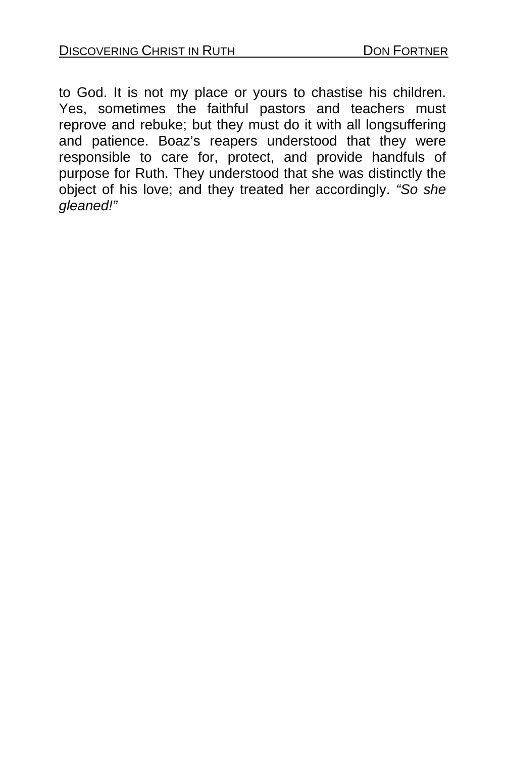to God. It is not my place or yours to chastise his children. Yes, sometimes the faithful pastors and teachers must reprove and rebuke; but they must do it with all longsuffering and patience. Boaz's reapers understood that they were responsible to care for, protect, and provide handfuls of purpose for Ruth. They understood that she was distinctly the object of his love; and they treated her accordingly. *"So she gleaned!"*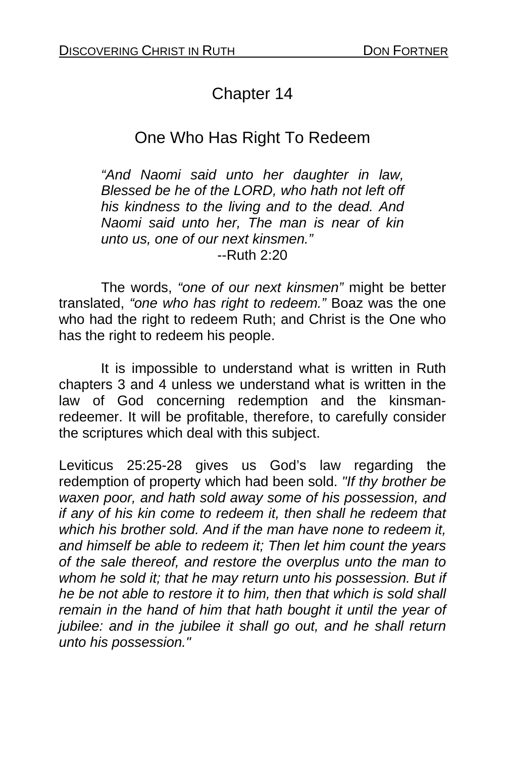# Chapter 14

# One Who Has Right To Redeem

*"And Naomi said unto her daughter in law, Blessed be he of the LORD, who hath not left off his kindness to the living and to the dead. And Naomi said unto her, The man is near of kin unto us, one of our next kinsmen."*  --Ruth 2:20

 The words, *"one of our next kinsmen"* might be better translated, *"one who has right to redeem."* Boaz was the one who had the right to redeem Ruth; and Christ is the One who has the right to redeem his people.

It is impossible to understand what is written in Ruth chapters 3 and 4 unless we understand what is written in the law of God concerning redemption and the kinsmanredeemer. It will be profitable, therefore, to carefully consider the scriptures which deal with this subject.

Leviticus 25:25-28 gives us God's law regarding the redemption of property which had been sold. *"If thy brother be waxen poor, and hath sold away some of his possession, and if any of his kin come to redeem it, then shall he redeem that which his brother sold. And if the man have none to redeem it, and himself be able to redeem it; Then let him count the years of the sale thereof, and restore the overplus unto the man to whom he sold it; that he may return unto his possession. But if he be not able to restore it to him, then that which is sold shall remain in the hand of him that hath bought it until the year of jubilee: and in the jubilee it shall go out, and he shall return unto his possession."*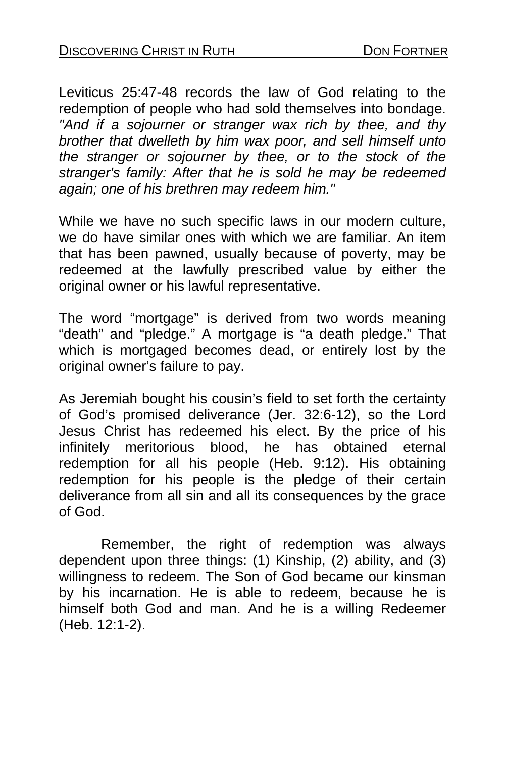Leviticus 25:47-48 records the law of God relating to the redemption of people who had sold themselves into bondage. *"And if a sojourner or stranger wax rich by thee, and thy brother that dwelleth by him wax poor, and sell himself unto the stranger or sojourner by thee, or to the stock of the stranger's family: After that he is sold he may be redeemed again; one of his brethren may redeem him."* 

While we have no such specific laws in our modern culture, we do have similar ones with which we are familiar. An item that has been pawned, usually because of poverty, may be redeemed at the lawfully prescribed value by either the original owner or his lawful representative.

The word "mortgage" is derived from two words meaning "death" and "pledge." A mortgage is "a death pledge." That which is mortgaged becomes dead, or entirely lost by the original owner's failure to pay.

As Jeremiah bought his cousin's field to set forth the certainty of God's promised deliverance (Jer. 32:6-12), so the Lord Jesus Christ has redeemed his elect. By the price of his infinitely meritorious blood, he has obtained eternal redemption for all his people (Heb. 9:12). His obtaining redemption for his people is the pledge of their certain deliverance from all sin and all its consequences by the grace of God.

 Remember, the right of redemption was always dependent upon three things: (1) Kinship, (2) ability, and (3) willingness to redeem. The Son of God became our kinsman by his incarnation. He is able to redeem, because he is himself both God and man. And he is a willing Redeemer (Heb. 12:1-2).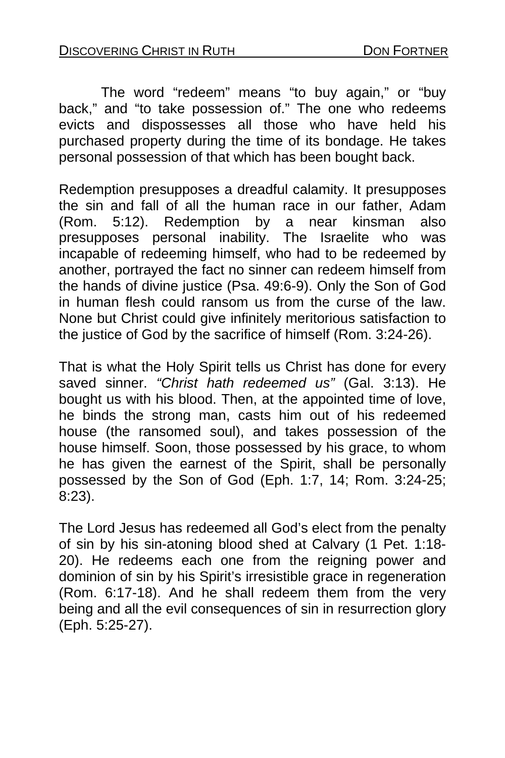The word "redeem" means "to buy again," or "buy back," and "to take possession of." The one who redeems evicts and dispossesses all those who have held his purchased property during the time of its bondage. He takes personal possession of that which has been bought back.

Redemption presupposes a dreadful calamity. It presupposes the sin and fall of all the human race in our father, Adam (Rom. 5:12). Redemption by a near kinsman also presupposes personal inability. The Israelite who was incapable of redeeming himself, who had to be redeemed by another, portrayed the fact no sinner can redeem himself from the hands of divine justice (Psa. 49:6-9). Only the Son of God in human flesh could ransom us from the curse of the law. None but Christ could give infinitely meritorious satisfaction to the justice of God by the sacrifice of himself (Rom. 3:24-26).

That is what the Holy Spirit tells us Christ has done for every saved sinner. *"Christ hath redeemed us"* (Gal. 3:13). He bought us with his blood. Then, at the appointed time of love, he binds the strong man, casts him out of his redeemed house (the ransomed soul), and takes possession of the house himself. Soon, those possessed by his grace, to whom he has given the earnest of the Spirit, shall be personally possessed by the Son of God (Eph. 1:7, 14; Rom. 3:24-25; 8:23).

The Lord Jesus has redeemed all God's elect from the penalty of sin by his sin-atoning blood shed at Calvary (1 Pet. 1:18- 20). He redeems each one from the reigning power and dominion of sin by his Spirit's irresistible grace in regeneration (Rom. 6:17-18). And he shall redeem them from the very being and all the evil consequences of sin in resurrection glory (Eph. 5:25-27).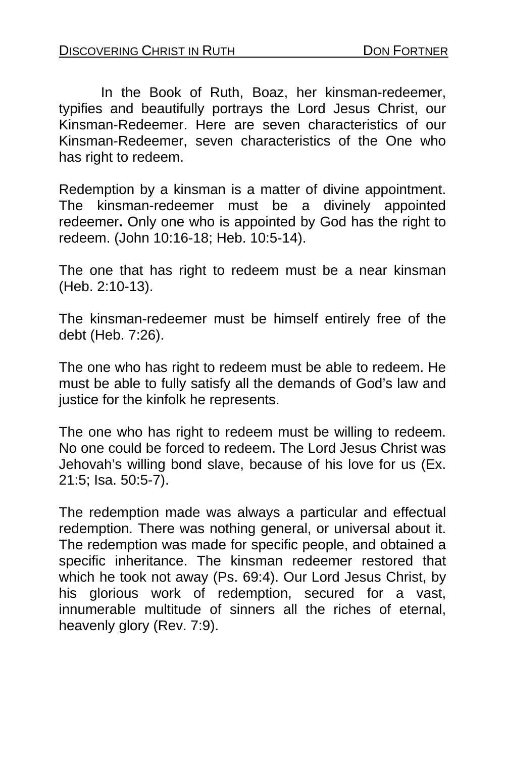In the Book of Ruth, Boaz, her kinsman-redeemer, typifies and beautifully portrays the Lord Jesus Christ, our Kinsman-Redeemer. Here are seven characteristics of our Kinsman-Redeemer, seven characteristics of the One who has right to redeem.

Redemption by a kinsman is a matter of divine appointment. The kinsman-redeemer must be a divinely appointed redeemer**.** Only one who is appointed by God has the right to redeem. (John 10:16-18; Heb. 10:5-14).

The one that has right to redeem must be a near kinsman (Heb. 2:10-13).

The kinsman-redeemer must be himself entirely free of the debt (Heb. 7:26).

The one who has right to redeem must be able to redeem. He must be able to fully satisfy all the demands of God's law and justice for the kinfolk he represents.

The one who has right to redeem must be willing to redeem. No one could be forced to redeem. The Lord Jesus Christ was Jehovah's willing bond slave, because of his love for us (Ex. 21:5; Isa. 50:5-7).

The redemption made was always a particular and effectual redemption. There was nothing general, or universal about it. The redemption was made for specific people, and obtained a specific inheritance. The kinsman redeemer restored that which he took not away (Ps. 69:4). Our Lord Jesus Christ, by his glorious work of redemption, secured for a vast, innumerable multitude of sinners all the riches of eternal, heavenly glory (Rev. 7:9).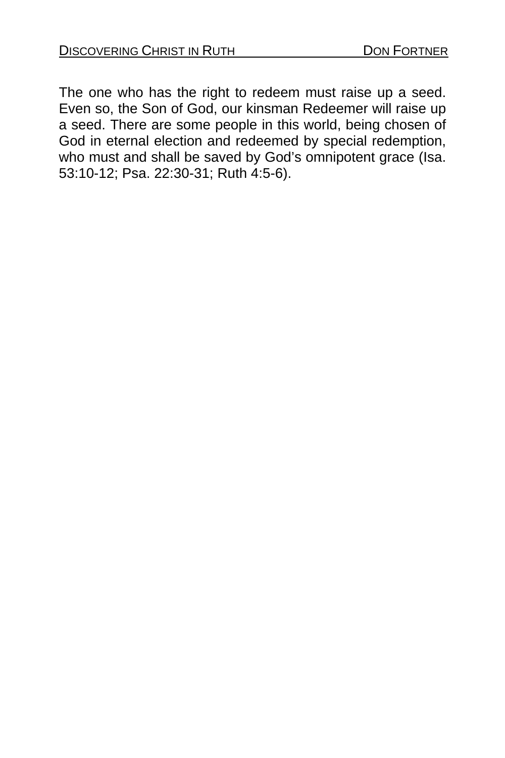The one who has the right to redeem must raise up a seed. Even so, the Son of God, our kinsman Redeemer will raise up a seed. There are some people in this world, being chosen of God in eternal election and redeemed by special redemption, who must and shall be saved by God's omnipotent grace (Isa. 53:10-12; Psa. 22:30-31; Ruth 4:5-6).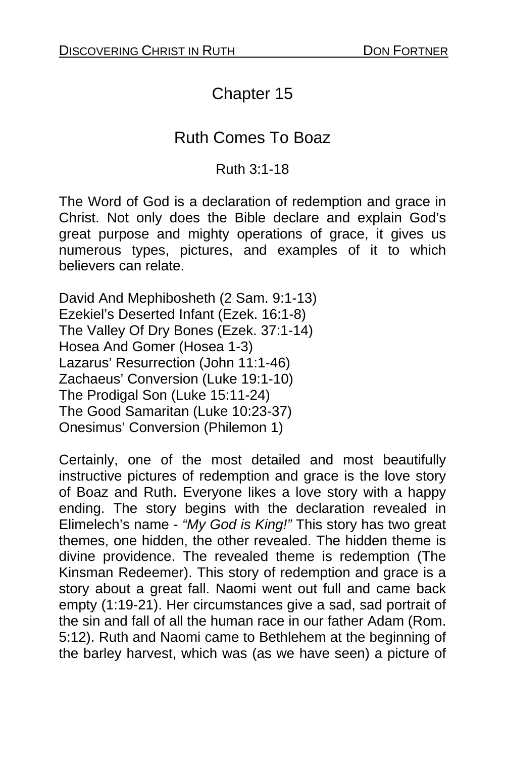# Chapter 15

## Ruth Comes To Boaz

#### Ruth 3:1-18

The Word of God is a declaration of redemption and grace in Christ. Not only does the Bible declare and explain God's great purpose and mighty operations of grace, it gives us numerous types, pictures, and examples of it to which believers can relate.

David And Mephibosheth (2 Sam. 9:1-13) Ezekiel's Deserted Infant (Ezek. 16:1-8) The Valley Of Dry Bones (Ezek. 37:1-14) Hosea And Gomer (Hosea 1-3) Lazarus' Resurrection (John 11:1-46) Zachaeus' Conversion (Luke 19:1-10) The Prodigal Son (Luke 15:11-24) The Good Samaritan (Luke 10:23-37) Onesimus' Conversion (Philemon 1)

Certainly, one of the most detailed and most beautifully instructive pictures of redemption and grace is the love story of Boaz and Ruth. Everyone likes a love story with a happy ending. The story begins with the declaration revealed in Elimelech's name - *"My God is King!"* This story has two great themes, one hidden, the other revealed. The hidden theme is divine providence. The revealed theme is redemption (The Kinsman Redeemer). This story of redemption and grace is a story about a great fall. Naomi went out full and came back empty (1:19-21). Her circumstances give a sad, sad portrait of the sin and fall of all the human race in our father Adam (Rom. 5:12). Ruth and Naomi came to Bethlehem at the beginning of the barley harvest, which was (as we have seen) a picture of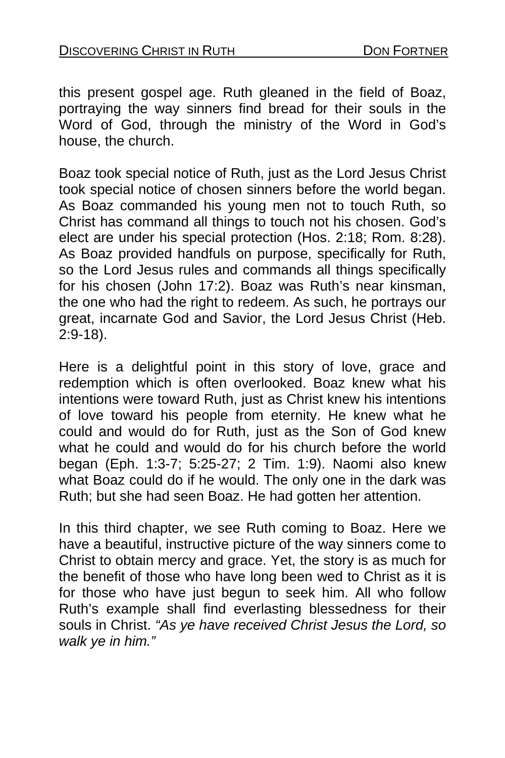this present gospel age. Ruth gleaned in the field of Boaz, portraying the way sinners find bread for their souls in the Word of God, through the ministry of the Word in God's house, the church.

Boaz took special notice of Ruth, just as the Lord Jesus Christ took special notice of chosen sinners before the world began. As Boaz commanded his young men not to touch Ruth, so Christ has command all things to touch not his chosen. God's elect are under his special protection (Hos. 2:18; Rom. 8:28). As Boaz provided handfuls on purpose, specifically for Ruth, so the Lord Jesus rules and commands all things specifically for his chosen (John 17:2). Boaz was Ruth's near kinsman, the one who had the right to redeem. As such, he portrays our great, incarnate God and Savior, the Lord Jesus Christ (Heb. 2:9-18).

Here is a delightful point in this story of love, grace and redemption which is often overlooked. Boaz knew what his intentions were toward Ruth, just as Christ knew his intentions of love toward his people from eternity. He knew what he could and would do for Ruth, just as the Son of God knew what he could and would do for his church before the world began (Eph. 1:3-7; 5:25-27; 2 Tim. 1:9). Naomi also knew what Boaz could do if he would. The only one in the dark was Ruth; but she had seen Boaz. He had gotten her attention.

In this third chapter, we see Ruth coming to Boaz. Here we have a beautiful, instructive picture of the way sinners come to Christ to obtain mercy and grace. Yet, the story is as much for the benefit of those who have long been wed to Christ as it is for those who have just begun to seek him. All who follow Ruth's example shall find everlasting blessedness for their souls in Christ. *"As ye have received Christ Jesus the Lord, so walk ye in him."*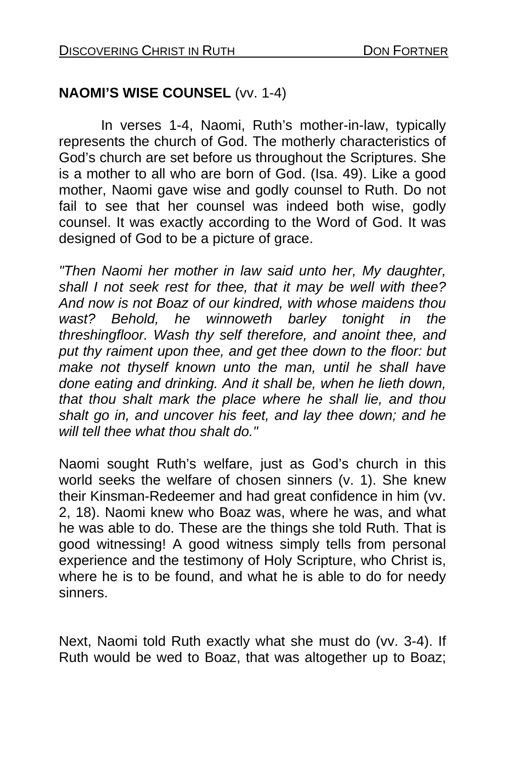### **NAOMI'S WISE COUNSEL** (vv. 1-4)

 In verses 1-4, Naomi, Ruth's mother-in-law, typically represents the church of God. The motherly characteristics of God's church are set before us throughout the Scriptures. She is a mother to all who are born of God. (Isa. 49). Like a good mother, Naomi gave wise and godly counsel to Ruth. Do not fail to see that her counsel was indeed both wise, godly counsel. It was exactly according to the Word of God. It was designed of God to be a picture of grace.

*"Then Naomi her mother in law said unto her, My daughter, shall I not seek rest for thee, that it may be well with thee? And now is not Boaz of our kindred, with whose maidens thou wast? Behold, he winnoweth barley tonight in the threshingfloor. Wash thy self therefore, and anoint thee, and put thy raiment upon thee, and get thee down to the floor: but make not thyself known unto the man, until he shall have done eating and drinking. And it shall be, when he lieth down, that thou shalt mark the place where he shall lie, and thou shalt go in, and uncover his feet, and lay thee down; and he will tell thee what thou shalt do."* 

Naomi sought Ruth's welfare, just as God's church in this world seeks the welfare of chosen sinners (v. 1). She knew their Kinsman-Redeemer and had great confidence in him (vv. 2, 18). Naomi knew who Boaz was, where he was, and what he was able to do. These are the things she told Ruth. That is good witnessing! A good witness simply tells from personal experience and the testimony of Holy Scripture, who Christ is, where he is to be found, and what he is able to do for needy sinners.

Next, Naomi told Ruth exactly what she must do (vv. 3-4). If Ruth would be wed to Boaz, that was altogether up to Boaz;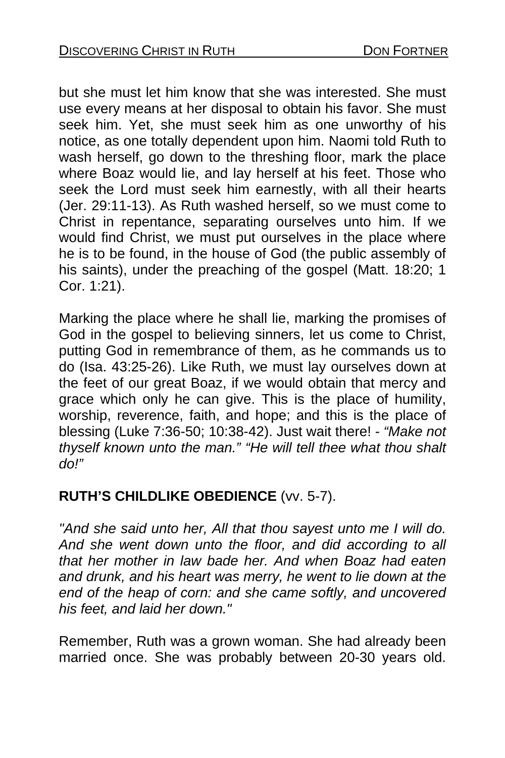but she must let him know that she was interested. She must use every means at her disposal to obtain his favor. She must seek him. Yet, she must seek him as one unworthy of his notice, as one totally dependent upon him. Naomi told Ruth to wash herself, go down to the threshing floor, mark the place where Boaz would lie, and lay herself at his feet. Those who seek the Lord must seek him earnestly, with all their hearts (Jer. 29:11-13). As Ruth washed herself, so we must come to Christ in repentance, separating ourselves unto him. If we would find Christ, we must put ourselves in the place where he is to be found, in the house of God (the public assembly of his saints), under the preaching of the gospel (Matt. 18:20; 1 Cor. 1:21).

Marking the place where he shall lie, marking the promises of God in the gospel to believing sinners, let us come to Christ, putting God in remembrance of them, as he commands us to do (Isa. 43:25-26). Like Ruth, we must lay ourselves down at the feet of our great Boaz, if we would obtain that mercy and grace which only he can give. This is the place of humility, worship, reverence, faith, and hope; and this is the place of blessing (Luke 7:36-50; 10:38-42). Just wait there! - *"Make not thyself known unto the man." "He will tell thee what thou shalt do!"*

### **RUTH'S CHILDLIKE OBEDIENCE** (vv. 5-7).

*"And she said unto her, All that thou sayest unto me I will do. And she went down unto the floor, and did according to all that her mother in law bade her. And when Boaz had eaten and drunk, and his heart was merry, he went to lie down at the end of the heap of corn: and she came softly, and uncovered his feet, and laid her down."* 

Remember, Ruth was a grown woman. She had already been married once. She was probably between 20-30 years old.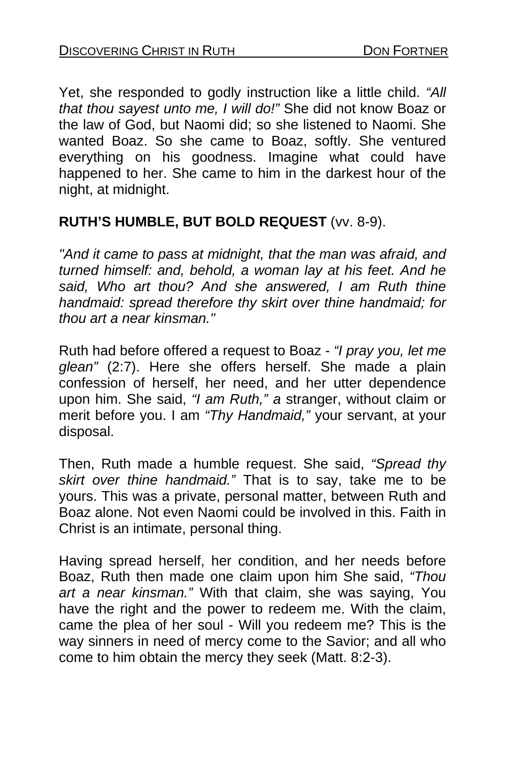Yet, she responded to godly instruction like a little child. *"All that thou sayest unto me, I will do!"* She did not know Boaz or the law of God, but Naomi did; so she listened to Naomi. She wanted Boaz. So she came to Boaz, softly. She ventured everything on his goodness. Imagine what could have happened to her. She came to him in the darkest hour of the night, at midnight.

### **RUTH'S HUMBLE, BUT BOLD REQUEST** (vv. 8-9).

*"And it came to pass at midnight, that the man was afraid, and turned himself: and, behold, a woman lay at his feet. And he said, Who art thou? And she answered, I am Ruth thine handmaid: spread therefore thy skirt over thine handmaid; for thou art a near kinsman."* 

Ruth had before offered a request to Boaz - *"I pray you, let me glean"* (2:7). Here she offers herself. She made a plain confession of herself, her need, and her utter dependence upon him. She said, *"I am Ruth," a* stranger, without claim or merit before you. I am *"Thy Handmaid,"* your servant, at your disposal.

Then, Ruth made a humble request. She said, *"Spread thy skirt over thine handmaid."* That is to say, take me to be yours. This was a private, personal matter, between Ruth and Boaz alone. Not even Naomi could be involved in this. Faith in Christ is an intimate, personal thing.

Having spread herself, her condition, and her needs before Boaz, Ruth then made one claim upon him She said, *"Thou art a near kinsman."* With that claim, she was saying, You have the right and the power to redeem me. With the claim, came the plea of her soul - Will you redeem me? This is the way sinners in need of mercy come to the Savior; and all who come to him obtain the mercy they seek (Matt. 8:2-3).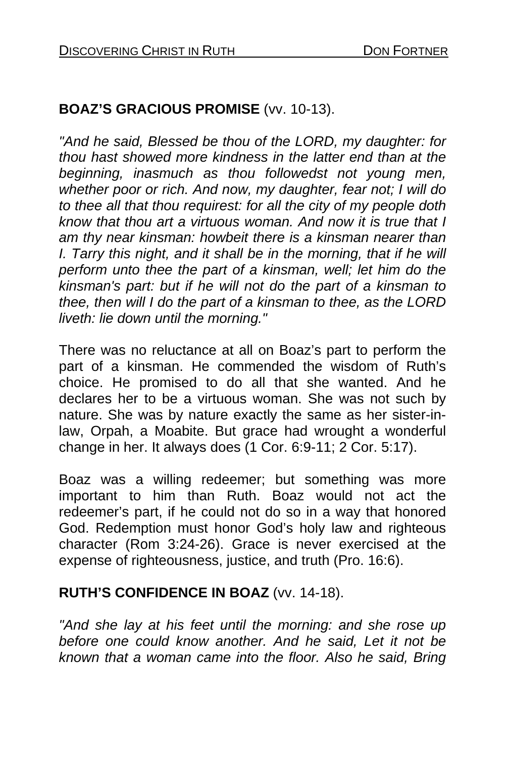### **BOAZ'S GRACIOUS PROMISE** (vv. 10-13).

*"And he said, Blessed be thou of the LORD, my daughter: for thou hast showed more kindness in the latter end than at the beginning, inasmuch as thou followedst not young men, whether poor or rich. And now, my daughter, fear not; I will do to thee all that thou requirest: for all the city of my people doth know that thou art a virtuous woman. And now it is true that I am thy near kinsman: howbeit there is a kinsman nearer than I. Tarry this night, and it shall be in the morning, that if he will perform unto thee the part of a kinsman, well; let him do the kinsman's part: but if he will not do the part of a kinsman to thee, then will I do the part of a kinsman to thee, as the LORD liveth: lie down until the morning."* 

There was no reluctance at all on Boaz's part to perform the part of a kinsman. He commended the wisdom of Ruth's choice. He promised to do all that she wanted. And he declares her to be a virtuous woman. She was not such by nature. She was by nature exactly the same as her sister-inlaw, Orpah, a Moabite. But grace had wrought a wonderful change in her. It always does (1 Cor. 6:9-11; 2 Cor. 5:17).

Boaz was a willing redeemer; but something was more important to him than Ruth. Boaz would not act the redeemer's part, if he could not do so in a way that honored God. Redemption must honor God's holy law and righteous character (Rom 3:24-26). Grace is never exercised at the expense of righteousness, justice, and truth (Pro. 16:6).

#### **RUTH'S CONFIDENCE IN BOAZ** (vv. 14-18).

*"And she lay at his feet until the morning: and she rose up before one could know another. And he said, Let it not be known that a woman came into the floor. Also he said, Bring*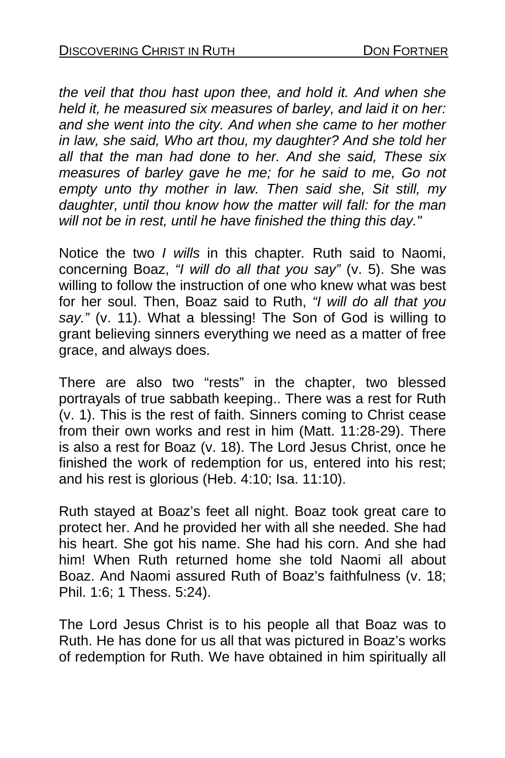*the veil that thou hast upon thee, and hold it. And when she held it, he measured six measures of barley, and laid it on her: and she went into the city. And when she came to her mother in law, she said, Who art thou, my daughter? And she told her all that the man had done to her. And she said, These six measures of barley gave he me; for he said to me, Go not empty unto thy mother in law. Then said she, Sit still, my daughter, until thou know how the matter will fall: for the man will not be in rest, until he have finished the thing this day."* 

Notice the two *I wills* in this chapter*.* Ruth said to Naomi, concerning Boaz, *"I will do all that you say"* (v. 5). She was willing to follow the instruction of one who knew what was best for her soul. Then, Boaz said to Ruth, *"I will do all that you say."* (v. 11). What a blessing! The Son of God is willing to grant believing sinners everything we need as a matter of free grace, and always does.

There are also two "rests" in the chapter, two blessed portrayals of true sabbath keeping.. There was a rest for Ruth (v. 1). This is the rest of faith. Sinners coming to Christ cease from their own works and rest in him (Matt. 11:28-29). There is also a rest for Boaz (v. 18). The Lord Jesus Christ, once he finished the work of redemption for us, entered into his rest; and his rest is glorious (Heb. 4:10; Isa. 11:10).

Ruth stayed at Boaz's feet all night. Boaz took great care to protect her. And he provided her with all she needed. She had his heart. She got his name. She had his corn. And she had him! When Ruth returned home she told Naomi all about Boaz. And Naomi assured Ruth of Boaz's faithfulness (v. 18; Phil. 1:6; 1 Thess. 5:24).

The Lord Jesus Christ is to his people all that Boaz was to Ruth. He has done for us all that was pictured in Boaz's works of redemption for Ruth. We have obtained in him spiritually all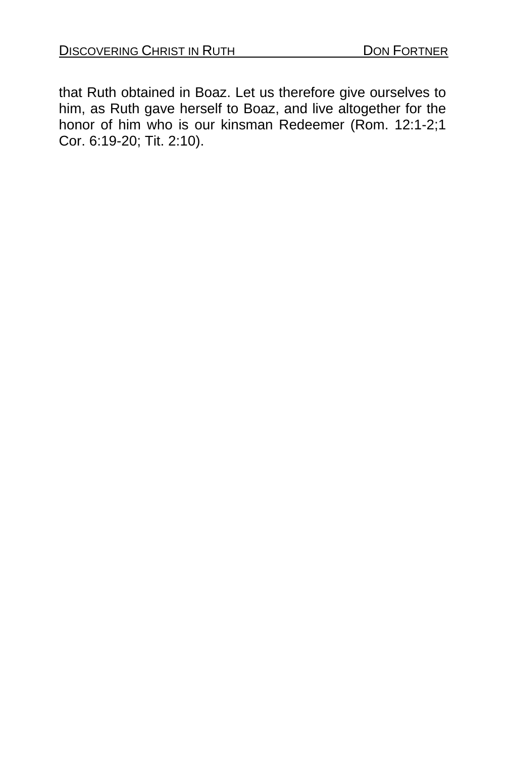that Ruth obtained in Boaz. Let us therefore give ourselves to him, as Ruth gave herself to Boaz, and live altogether for the honor of him who is our kinsman Redeemer (Rom. 12:1-2;1 Cor. 6:19-20; Tit. 2:10).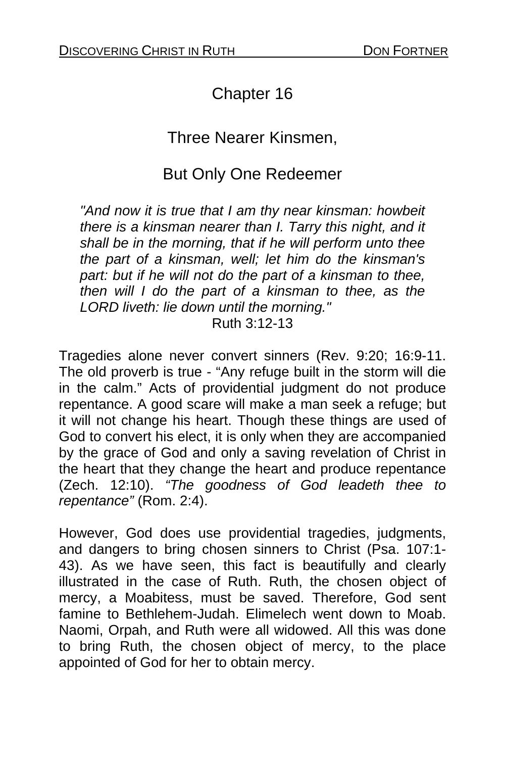# Chapter 16

## Three Nearer Kinsmen,

## But Only One Redeemer

*"And now it is true that I am thy near kinsman: howbeit there is a kinsman nearer than I. Tarry this night, and it shall be in the morning, that if he will perform unto thee the part of a kinsman, well; let him do the kinsman's part: but if he will not do the part of a kinsman to thee, then will I do the part of a kinsman to thee, as the LORD liveth: lie down until the morning."*  Ruth 3:12-13

Tragedies alone never convert sinners (Rev. 9:20; 16:9-11. The old proverb is true - "Any refuge built in the storm will die in the calm." Acts of providential judgment do not produce repentance. A good scare will make a man seek a refuge; but it will not change his heart. Though these things are used of God to convert his elect, it is only when they are accompanied by the grace of God and only a saving revelation of Christ in the heart that they change the heart and produce repentance (Zech. 12:10). *"The goodness of God leadeth thee to repentance"* (Rom. 2:4).

However, God does use providential tragedies, judgments, and dangers to bring chosen sinners to Christ (Psa. 107:1- 43). As we have seen, this fact is beautifully and clearly illustrated in the case of Ruth. Ruth, the chosen object of mercy, a Moabitess, must be saved. Therefore, God sent famine to Bethlehem-Judah. Elimelech went down to Moab. Naomi, Orpah, and Ruth were all widowed. All this was done to bring Ruth, the chosen object of mercy, to the place appointed of God for her to obtain mercy.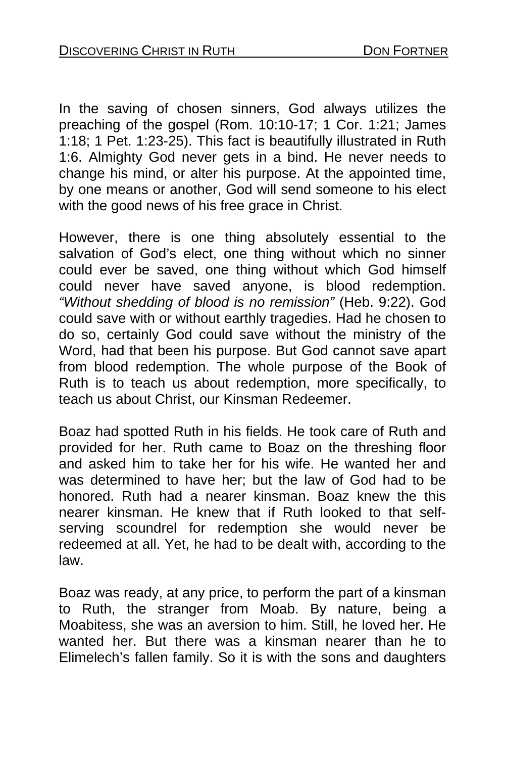In the saving of chosen sinners, God always utilizes the preaching of the gospel (Rom. 10:10-17; 1 Cor. 1:21; James 1:18; 1 Pet. 1:23-25). This fact is beautifully illustrated in Ruth 1:6. Almighty God never gets in a bind. He never needs to change his mind, or alter his purpose. At the appointed time, by one means or another, God will send someone to his elect with the good news of his free grace in Christ.

However, there is one thing absolutely essential to the salvation of God's elect, one thing without which no sinner could ever be saved, one thing without which God himself could never have saved anyone, is blood redemption. *"Without shedding of blood is no remission"* (Heb. 9:22). God could save with or without earthly tragedies. Had he chosen to do so, certainly God could save without the ministry of the Word, had that been his purpose. But God cannot save apart from blood redemption. The whole purpose of the Book of Ruth is to teach us about redemption, more specifically, to teach us about Christ, our Kinsman Redeemer.

Boaz had spotted Ruth in his fields. He took care of Ruth and provided for her. Ruth came to Boaz on the threshing floor and asked him to take her for his wife. He wanted her and was determined to have her; but the law of God had to be honored. Ruth had a nearer kinsman. Boaz knew the this nearer kinsman. He knew that if Ruth looked to that selfserving scoundrel for redemption she would never be redeemed at all. Yet, he had to be dealt with, according to the law.

Boaz was ready, at any price, to perform the part of a kinsman to Ruth, the stranger from Moab. By nature, being a Moabitess, she was an aversion to him. Still, he loved her. He wanted her. But there was a kinsman nearer than he to Elimelech's fallen family. So it is with the sons and daughters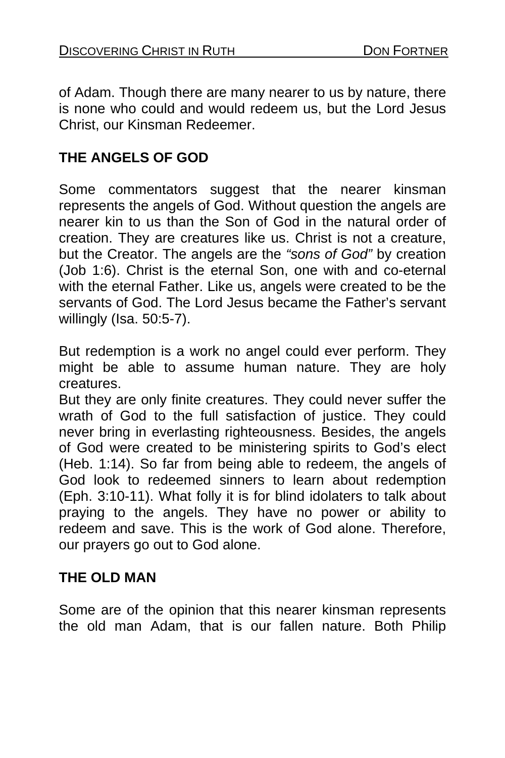of Adam. Though there are many nearer to us by nature, there is none who could and would redeem us, but the Lord Jesus Christ, our Kinsman Redeemer.

## **THE ANGELS OF GOD**

Some commentators suggest that the nearer kinsman represents the angels of God. Without question the angels are nearer kin to us than the Son of God in the natural order of creation. They are creatures like us. Christ is not a creature, but the Creator. The angels are the *"sons of God"* by creation (Job 1:6). Christ is the eternal Son, one with and co-eternal with the eternal Father. Like us, angels were created to be the servants of God. The Lord Jesus became the Father's servant willingly (Isa. 50:5-7).

But redemption is a work no angel could ever perform. They might be able to assume human nature. They are holy creatures.

But they are only finite creatures. They could never suffer the wrath of God to the full satisfaction of justice. They could never bring in everlasting righteousness. Besides, the angels of God were created to be ministering spirits to God's elect (Heb. 1:14). So far from being able to redeem, the angels of God look to redeemed sinners to learn about redemption (Eph. 3:10-11). What folly it is for blind idolaters to talk about praying to the angels. They have no power or ability to redeem and save. This is the work of God alone. Therefore, our prayers go out to God alone.

## **THE OLD MAN**

Some are of the opinion that this nearer kinsman represents the old man Adam, that is our fallen nature. Both Philip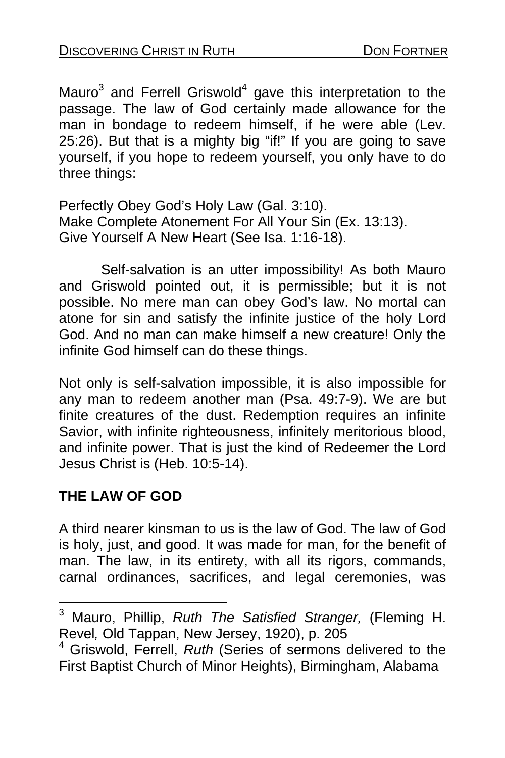Mauro<sup>3</sup> and Ferrell Griswold<sup>4</sup> gave this interpretation to the passage. The law of God certainly made allowance for the man in bondage to redeem himself, if he were able (Lev. 25:26). But that is a mighty big "if!" If you are going to save yourself, if you hope to redeem yourself, you only have to do three things:

Perfectly Obey God's Holy Law (Gal. 3:10). Make Complete Atonement For All Your Sin (Ex. 13:13). Give Yourself A New Heart (See Isa. 1:16-18).

 Self-salvation is an utter impossibility! As both Mauro and Griswold pointed out, it is permissible; but it is not possible. No mere man can obey God's law. No mortal can atone for sin and satisfy the infinite justice of the holy Lord God. And no man can make himself a new creature! Only the infinite God himself can do these things.

Not only is self-salvation impossible, it is also impossible for any man to redeem another man (Psa. 49:7-9). We are but finite creatures of the dust. Redemption requires an infinite Savior, with infinite righteousness, infinitely meritorious blood, and infinite power. That is just the kind of Redeemer the Lord Jesus Christ is (Heb. 10:5-14).

## **THE LAW OF GOD**

A third nearer kinsman to us is the law of God. The law of God is holy, just, and good. It was made for man, for the benefit of man. The law, in its entirety, with all its rigors, commands, carnal ordinances, sacrifices, and legal ceremonies, was

 3 Mauro, Phillip, *Ruth The Satisfied Stranger,* (Fleming H. Revel*,* Old Tappan, New Jersey, 1920), p. 205

<sup>4</sup> Griswold, Ferrell, *Ruth* (Series of sermons delivered to the First Baptist Church of Minor Heights), Birmingham, Alabama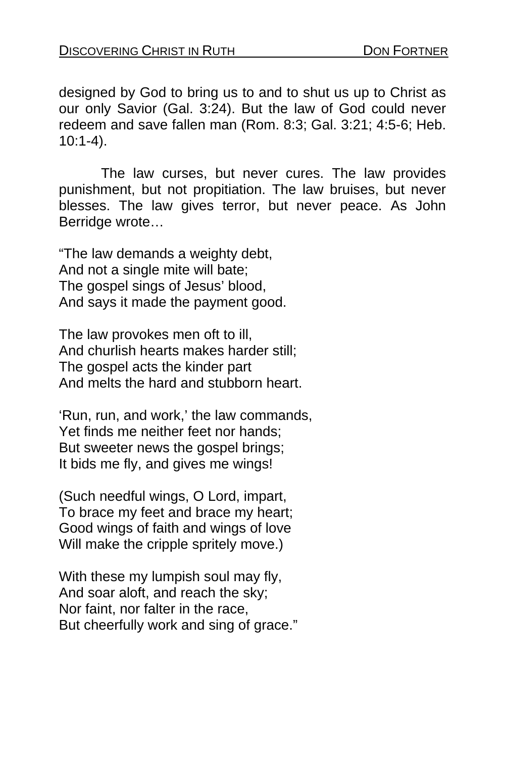designed by God to bring us to and to shut us up to Christ as our only Savior (Gal. 3:24). But the law of God could never redeem and save fallen man (Rom. 8:3; Gal. 3:21; 4:5-6; Heb. 10:1-4).

 The law curses, but never cures. The law provides punishment, but not propitiation. The law bruises, but never blesses. The law gives terror, but never peace. As John Berridge wrote…

"The law demands a weighty debt, And not a single mite will bate; The gospel sings of Jesus' blood, And says it made the payment good.

The law provokes men oft to ill, And churlish hearts makes harder still; The gospel acts the kinder part And melts the hard and stubborn heart.

'Run, run, and work,' the law commands, Yet finds me neither feet nor hands; But sweeter news the gospel brings; It bids me fly, and gives me wings!

(Such needful wings, O Lord, impart, To brace my feet and brace my heart; Good wings of faith and wings of love Will make the cripple spritely move.)

With these my lumpish soul may fly, And soar aloft, and reach the sky; Nor faint, nor falter in the race, But cheerfully work and sing of grace."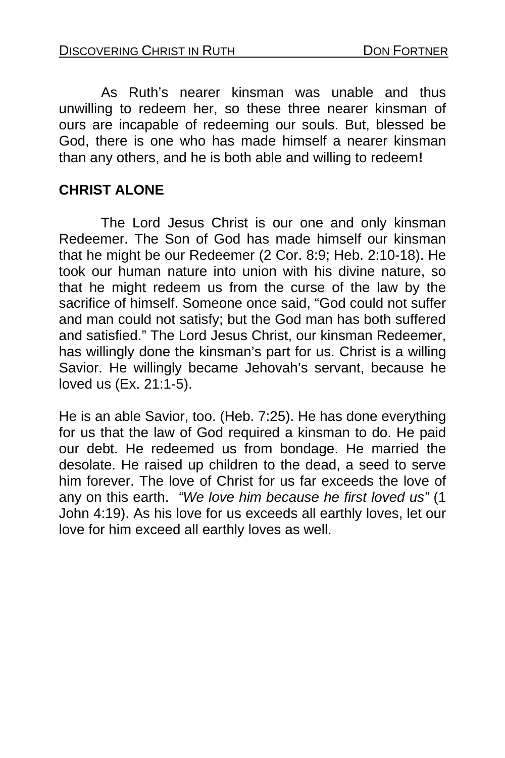As Ruth's nearer kinsman was unable and thus unwilling to redeem her, so these three nearer kinsman of ours are incapable of redeeming our souls. But, blessed be God, there is one who has made himself a nearer kinsman than any others, and he is both able and willing to redeem**!** 

## **CHRIST ALONE**

The Lord Jesus Christ is our one and only kinsman Redeemer. The Son of God has made himself our kinsman that he might be our Redeemer (2 Cor. 8:9; Heb. 2:10-18). He took our human nature into union with his divine nature, so that he might redeem us from the curse of the law by the sacrifice of himself. Someone once said, "God could not suffer and man could not satisfy; but the God man has both suffered and satisfied." The Lord Jesus Christ, our kinsman Redeemer, has willingly done the kinsman's part for us. Christ is a willing Savior. He willingly became Jehovah's servant, because he loved us (Ex. 21:1-5).

He is an able Savior, too. (Heb. 7:25). He has done everything for us that the law of God required a kinsman to do. He paid our debt. He redeemed us from bondage. He married the desolate. He raised up children to the dead, a seed to serve him forever. The love of Christ for us far exceeds the love of any on this earth. *"We love him because he first loved us"* (1 John 4:19). As his love for us exceeds all earthly loves, let our love for him exceed all earthly loves as well.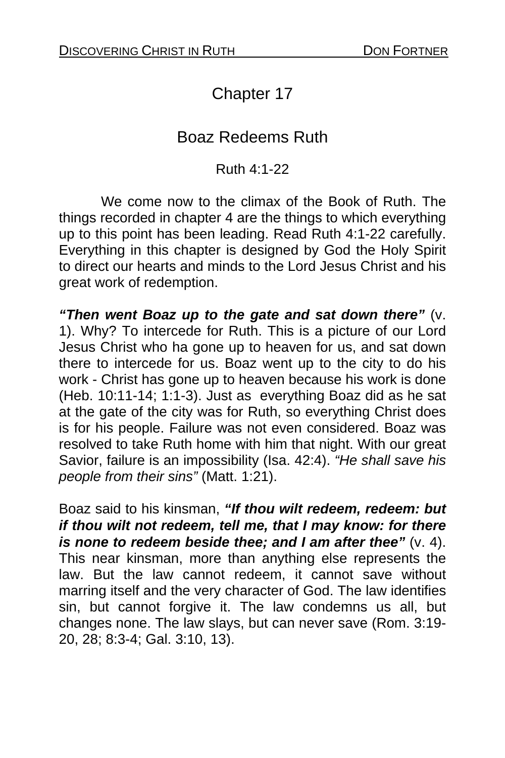# Chapter 17

## Boaz Redeems Ruth

#### Ruth 4:1-22

 We come now to the climax of the Book of Ruth. The things recorded in chapter 4 are the things to which everything up to this point has been leading. Read Ruth 4:1-22 carefully. Everything in this chapter is designed by God the Holy Spirit to direct our hearts and minds to the Lord Jesus Christ and his great work of redemption.

*"Then went Boaz up to the gate and sat down there"* (v. 1). Why? To intercede for Ruth. This is a picture of our Lord Jesus Christ who ha gone up to heaven for us, and sat down there to intercede for us. Boaz went up to the city to do his work - Christ has gone up to heaven because his work is done (Heb. 10:11-14; 1:1-3). Just as everything Boaz did as he sat at the gate of the city was for Ruth, so everything Christ does is for his people. Failure was not even considered. Boaz was resolved to take Ruth home with him that night. With our great Savior, failure is an impossibility (Isa. 42:4). *"He shall save his people from their sins"* (Matt. 1:21).

Boaz said to his kinsman, *"If thou wilt redeem, redeem: but if thou wilt not redeem, tell me, that I may know: for there is none to redeem beside thee; and I am after thee"* (v. 4). This near kinsman, more than anything else represents the law. But the law cannot redeem, it cannot save without marring itself and the very character of God. The law identifies sin, but cannot forgive it. The law condemns us all, but changes none. The law slays, but can never save (Rom. 3:19- 20, 28; 8:3-4; Gal. 3:10, 13).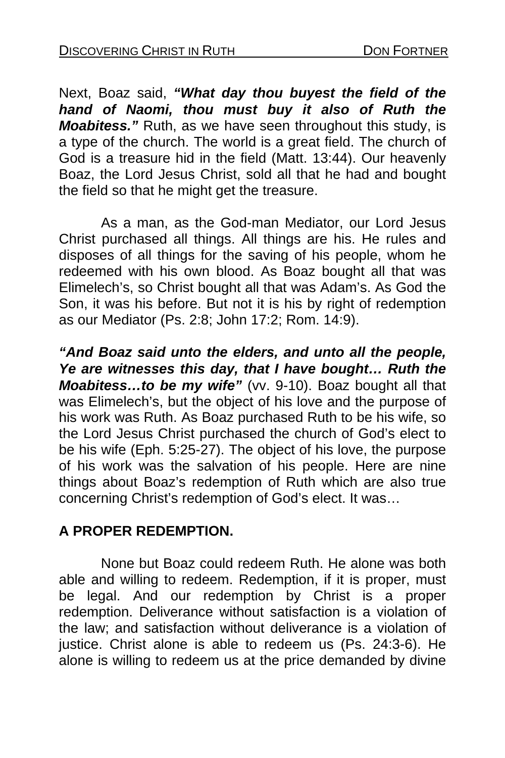Next, Boaz said, *"What day thou buyest the field of the hand of Naomi, thou must buy it also of Ruth the Moabitess."* Ruth, as we have seen throughout this study, is a type of the church. The world is a great field. The church of God is a treasure hid in the field (Matt. 13:44). Our heavenly Boaz, the Lord Jesus Christ, sold all that he had and bought the field so that he might get the treasure.

 As a man, as the God-man Mediator, our Lord Jesus Christ purchased all things. All things are his. He rules and disposes of all things for the saving of his people, whom he redeemed with his own blood. As Boaz bought all that was Elimelech's, so Christ bought all that was Adam's. As God the Son, it was his before. But not it is his by right of redemption as our Mediator (Ps. 2:8; John 17:2; Rom. 14:9).

*"And Boaz said unto the elders, and unto all the people, Ye are witnesses this day, that I have bought… Ruth the Moabitess…to be my wife"* (vv. 9-10). Boaz bought all that was Elimelech's, but the object of his love and the purpose of his work was Ruth. As Boaz purchased Ruth to be his wife, so the Lord Jesus Christ purchased the church of God's elect to be his wife (Eph. 5:25-27). The object of his love, the purpose of his work was the salvation of his people. Here are nine things about Boaz's redemption of Ruth which are also true concerning Christ's redemption of God's elect. It was…

## **A PROPER REDEMPTION.**

None but Boaz could redeem Ruth. He alone was both able and willing to redeem. Redemption, if it is proper, must be legal. And our redemption by Christ is a proper redemption. Deliverance without satisfaction is a violation of the law; and satisfaction without deliverance is a violation of justice. Christ alone is able to redeem us (Ps. 24:3-6). He alone is willing to redeem us at the price demanded by divine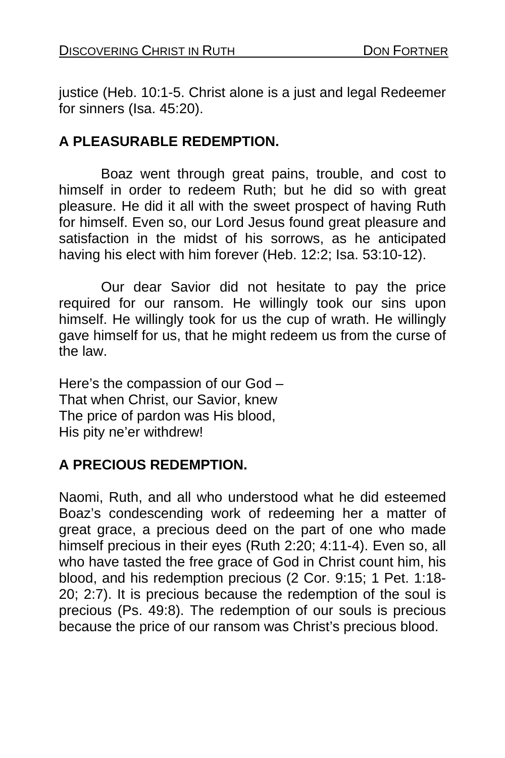justice (Heb. 10:1-5. Christ alone is a just and legal Redeemer for sinners (Isa. 45:20).

#### **A PLEASURABLE REDEMPTION.**

Boaz went through great pains, trouble, and cost to himself in order to redeem Ruth; but he did so with great pleasure. He did it all with the sweet prospect of having Ruth for himself. Even so, our Lord Jesus found great pleasure and satisfaction in the midst of his sorrows, as he anticipated having his elect with him forever (Heb. 12:2; Isa. 53:10-12).

 Our dear Savior did not hesitate to pay the price required for our ransom. He willingly took our sins upon himself. He willingly took for us the cup of wrath. He willingly gave himself for us, that he might redeem us from the curse of the law.

Here's the compassion of our God – That when Christ, our Savior, knew The price of pardon was His blood, His pity ne'er withdrew!

## **A PRECIOUS REDEMPTION.**

Naomi, Ruth, and all who understood what he did esteemed Boaz's condescending work of redeeming her a matter of great grace, a precious deed on the part of one who made himself precious in their eyes (Ruth 2:20; 4:11-4). Even so, all who have tasted the free grace of God in Christ count him, his blood, and his redemption precious (2 Cor. 9:15; 1 Pet. 1:18- 20; 2:7). It is precious because the redemption of the soul is precious (Ps. 49:8). The redemption of our souls is precious because the price of our ransom was Christ's precious blood.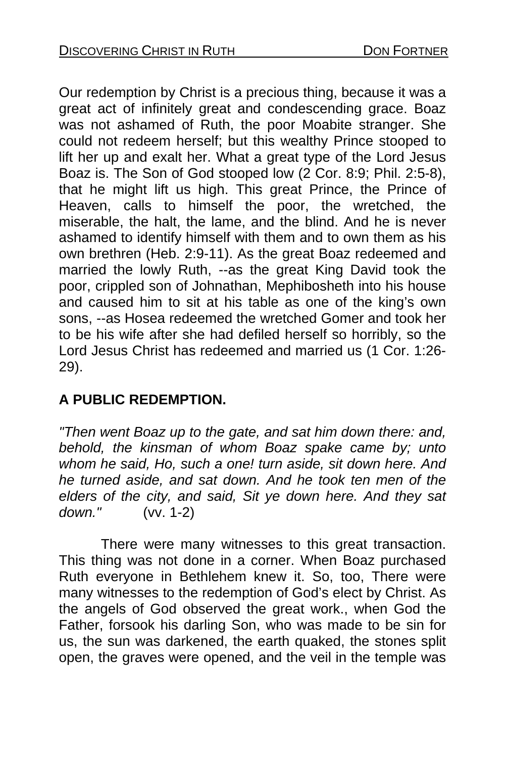Our redemption by Christ is a precious thing, because it was a great act of infinitely great and condescending grace. Boaz was not ashamed of Ruth, the poor Moabite stranger. She could not redeem herself; but this wealthy Prince stooped to lift her up and exalt her. What a great type of the Lord Jesus Boaz is. The Son of God stooped low (2 Cor. 8:9; Phil. 2:5-8), that he might lift us high. This great Prince, the Prince of Heaven, calls to himself the poor, the wretched, the miserable, the halt, the lame, and the blind. And he is never ashamed to identify himself with them and to own them as his own brethren (Heb. 2:9-11). As the great Boaz redeemed and married the lowly Ruth, --as the great King David took the poor, crippled son of Johnathan, Mephibosheth into his house and caused him to sit at his table as one of the king's own sons, --as Hosea redeemed the wretched Gomer and took her to be his wife after she had defiled herself so horribly, so the Lord Jesus Christ has redeemed and married us (1 Cor. 1:26- 29).

## **A PUBLIC REDEMPTION.**

*"Then went Boaz up to the gate, and sat him down there: and, behold, the kinsman of whom Boaz spake came by; unto whom he said, Ho, such a one! turn aside, sit down here. And he turned aside, and sat down. And he took ten men of the elders of the city, and said, Sit ye down here. And they sat down."* (vv. 1-2)

 There were many witnesses to this great transaction. This thing was not done in a corner. When Boaz purchased Ruth everyone in Bethlehem knew it. So, too, There were many witnesses to the redemption of God's elect by Christ. As the angels of God observed the great work., when God the Father, forsook his darling Son, who was made to be sin for us, the sun was darkened, the earth quaked, the stones split open, the graves were opened, and the veil in the temple was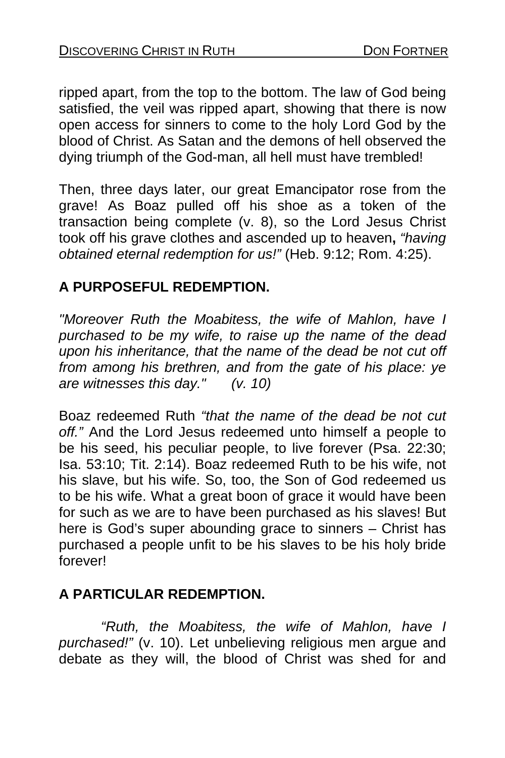ripped apart, from the top to the bottom. The law of God being satisfied, the veil was ripped apart, showing that there is now open access for sinners to come to the holy Lord God by the blood of Christ. As Satan and the demons of hell observed the dying triumph of the God-man, all hell must have trembled!

Then, three days later, our great Emancipator rose from the grave! As Boaz pulled off his shoe as a token of the transaction being complete (v. 8), so the Lord Jesus Christ took off his grave clothes and ascended up to heaven**,** *"having obtained eternal redemption for us!"* (Heb. 9:12; Rom. 4:25).

## **A PURPOSEFUL REDEMPTION.**

*"Moreover Ruth the Moabitess, the wife of Mahlon, have I purchased to be my wife, to raise up the name of the dead upon his inheritance, that the name of the dead be not cut off from among his brethren, and from the gate of his place: ye are witnesses this day." (v. 10)* 

Boaz redeemed Ruth *"that the name of the dead be not cut off."* And the Lord Jesus redeemed unto himself a people to be his seed, his peculiar people, to live forever (Psa. 22:30; Isa. 53:10; Tit. 2:14). Boaz redeemed Ruth to be his wife, not his slave, but his wife. So, too, the Son of God redeemed us to be his wife. What a great boon of grace it would have been for such as we are to have been purchased as his slaves! But here is God's super abounding grace to sinners – Christ has purchased a people unfit to be his slaves to be his holy bride forever!

## **A PARTICULAR REDEMPTION.**

*"Ruth, the Moabitess, the wife of Mahlon, have I purchased!"* (v. 10). Let unbelieving religious men argue and debate as they will, the blood of Christ was shed for and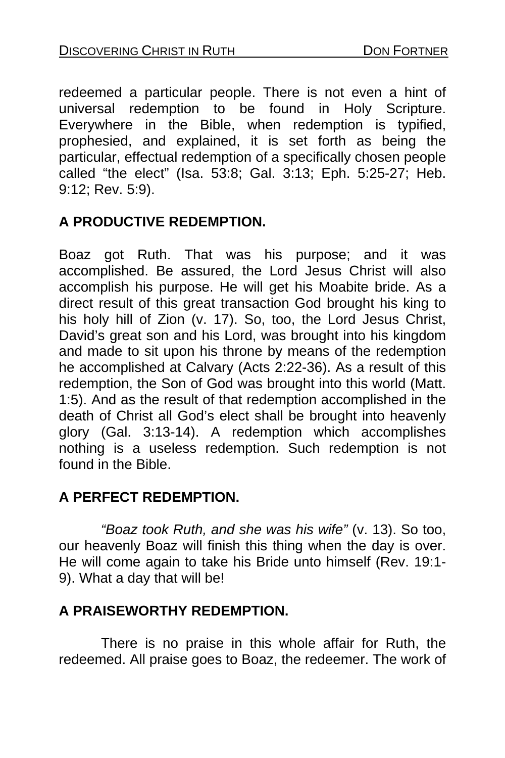redeemed a particular people. There is not even a hint of universal redemption to be found in Holy Scripture. Everywhere in the Bible, when redemption is typified, prophesied, and explained, it is set forth as being the particular, effectual redemption of a specifically chosen people called "the elect" (Isa. 53:8; Gal. 3:13; Eph. 5:25-27; Heb. 9:12; Rev. 5:9).

## **A PRODUCTIVE REDEMPTION.**

Boaz got Ruth. That was his purpose; and it was accomplished. Be assured, the Lord Jesus Christ will also accomplish his purpose. He will get his Moabite bride. As a direct result of this great transaction God brought his king to his holy hill of Zion (v. 17). So, too, the Lord Jesus Christ, David's great son and his Lord, was brought into his kingdom and made to sit upon his throne by means of the redemption he accomplished at Calvary (Acts 2:22-36). As a result of this redemption, the Son of God was brought into this world (Matt. 1:5). And as the result of that redemption accomplished in the death of Christ all God's elect shall be brought into heavenly glory (Gal. 3:13-14). A redemption which accomplishes nothing is a useless redemption. Such redemption is not found in the Bible.

## **A PERFECT REDEMPTION.**

*"Boaz took Ruth, and she was his wife"* (v. 13). So too, our heavenly Boaz will finish this thing when the day is over. He will come again to take his Bride unto himself (Rev. 19:1- 9). What a day that will be!

## **A PRAISEWORTHY REDEMPTION.**

 There is no praise in this whole affair for Ruth, the redeemed. All praise goes to Boaz, the redeemer. The work of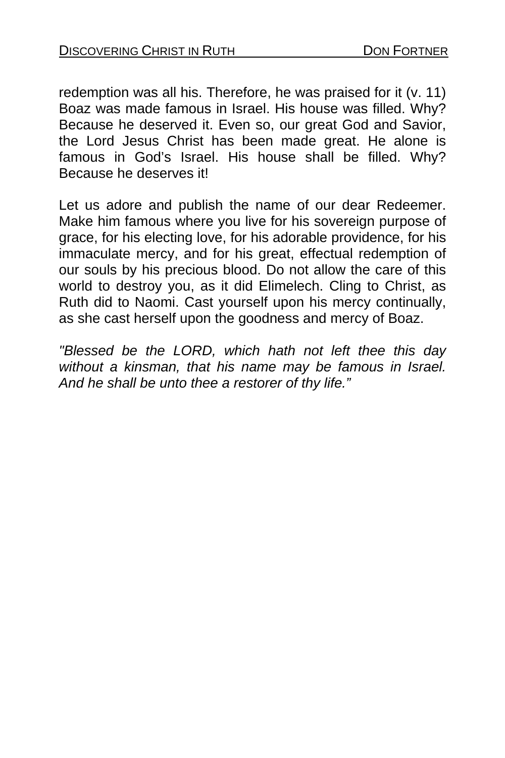redemption was all his. Therefore, he was praised for it (v. 11) Boaz was made famous in Israel. His house was filled. Why? Because he deserved it. Even so, our great God and Savior, the Lord Jesus Christ has been made great. He alone is famous in God's Israel. His house shall be filled. Why? Because he deserves it!

Let us adore and publish the name of our dear Redeemer. Make him famous where you live for his sovereign purpose of grace, for his electing love, for his adorable providence, for his immaculate mercy, and for his great, effectual redemption of our souls by his precious blood. Do not allow the care of this world to destroy you, as it did Elimelech. Cling to Christ, as Ruth did to Naomi. Cast yourself upon his mercy continually, as she cast herself upon the goodness and mercy of Boaz.

*"Blessed be the LORD, which hath not left thee this day without a kinsman, that his name may be famous in Israel. And he shall be unto thee a restorer of thy life."*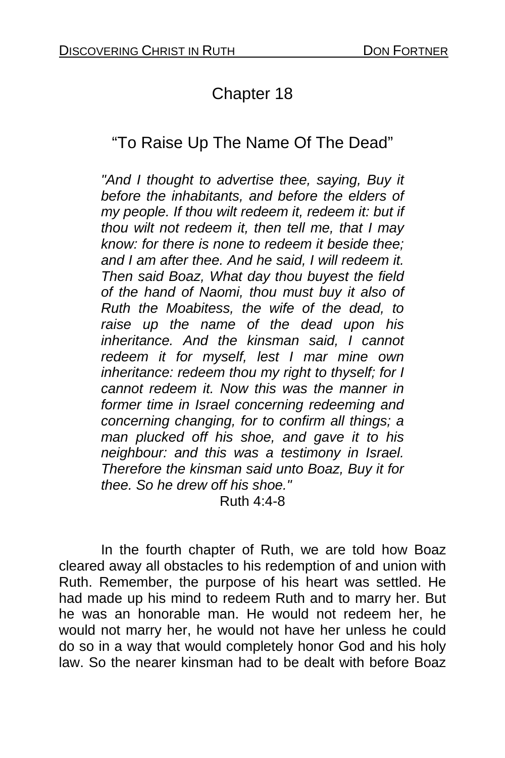# Chapter 18

# "To Raise Up The Name Of The Dead"

*"And I thought to advertise thee, saying, Buy it before the inhabitants, and before the elders of my people. If thou wilt redeem it, redeem it: but if thou wilt not redeem it, then tell me, that I may know: for there is none to redeem it beside thee; and I am after thee. And he said, I will redeem it. Then said Boaz, What day thou buyest the field of the hand of Naomi, thou must buy it also of Ruth the Moabitess, the wife of the dead, to raise up the name of the dead upon his inheritance. And the kinsman said, I cannot redeem it for myself, lest I mar mine own inheritance: redeem thou my right to thyself; for I cannot redeem it. Now this was the manner in former time in Israel concerning redeeming and concerning changing, for to confirm all things; a man plucked off his shoe, and gave it to his neighbour: and this was a testimony in Israel. Therefore the kinsman said unto Boaz, Buy it for thee. So he drew off his shoe."* 

Ruth 4:4-8

 In the fourth chapter of Ruth, we are told how Boaz cleared away all obstacles to his redemption of and union with Ruth. Remember, the purpose of his heart was settled. He had made up his mind to redeem Ruth and to marry her. But he was an honorable man. He would not redeem her, he would not marry her, he would not have her unless he could do so in a way that would completely honor God and his holy law. So the nearer kinsman had to be dealt with before Boaz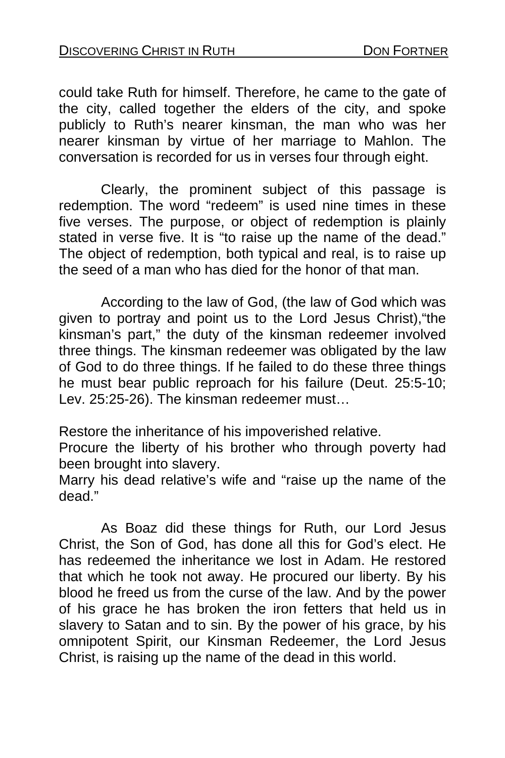could take Ruth for himself. Therefore, he came to the gate of the city, called together the elders of the city, and spoke publicly to Ruth's nearer kinsman, the man who was her nearer kinsman by virtue of her marriage to Mahlon. The conversation is recorded for us in verses four through eight.

 Clearly, the prominent subject of this passage is redemption. The word "redeem" is used nine times in these five verses. The purpose, or object of redemption is plainly stated in verse five. It is "to raise up the name of the dead." The object of redemption, both typical and real, is to raise up the seed of a man who has died for the honor of that man.

 According to the law of God, (the law of God which was given to portray and point us to the Lord Jesus Christ),"the kinsman's part," the duty of the kinsman redeemer involved three things. The kinsman redeemer was obligated by the law of God to do three things. If he failed to do these three things he must bear public reproach for his failure (Deut. 25:5-10; Lev. 25:25-26). The kinsman redeemer must…

Restore the inheritance of his impoverished relative.

Procure the liberty of his brother who through poverty had been brought into slavery.

Marry his dead relative's wife and "raise up the name of the dead."

 As Boaz did these things for Ruth, our Lord Jesus Christ, the Son of God, has done all this for God's elect. He has redeemed the inheritance we lost in Adam. He restored that which he took not away. He procured our liberty. By his blood he freed us from the curse of the law. And by the power of his grace he has broken the iron fetters that held us in slavery to Satan and to sin. By the power of his grace, by his omnipotent Spirit, our Kinsman Redeemer, the Lord Jesus Christ, is raising up the name of the dead in this world.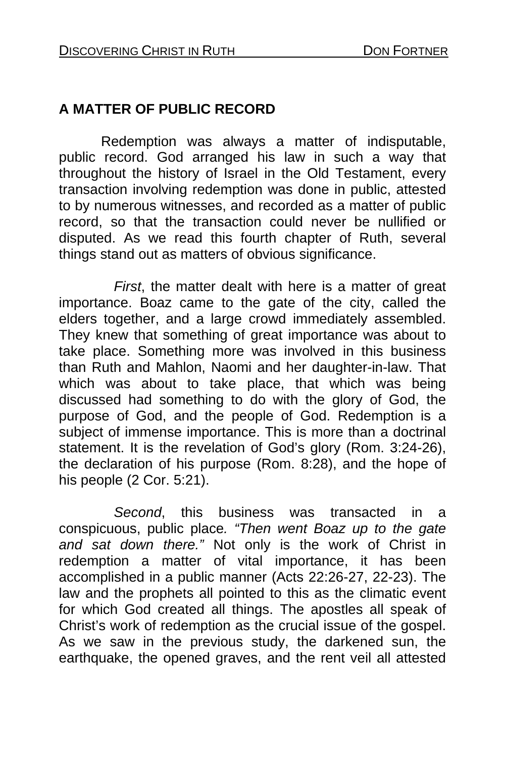## **A MATTER OF PUBLIC RECORD**

 Redemption was always a matter of indisputable, public record. God arranged his law in such a way that throughout the history of Israel in the Old Testament, every transaction involving redemption was done in public, attested to by numerous witnesses, and recorded as a matter of public record, so that the transaction could never be nullified or disputed. As we read this fourth chapter of Ruth, several things stand out as matters of obvious significance.

 *First*, the matter dealt with here is a matter of great importance. Boaz came to the gate of the city, called the elders together, and a large crowd immediately assembled. They knew that something of great importance was about to take place. Something more was involved in this business than Ruth and Mahlon, Naomi and her daughter-in-law. That which was about to take place, that which was being discussed had something to do with the glory of God, the purpose of God, and the people of God. Redemption is a subject of immense importance. This is more than a doctrinal statement. It is the revelation of God's glory (Rom. 3:24-26), the declaration of his purpose (Rom. 8:28), and the hope of his people (2 Cor. 5:21).

 *Second*, this business was transacted in a conspicuous, public place*. "Then went Boaz up to the gate and sat down there."* Not only is the work of Christ in redemption a matter of vital importance, it has been accomplished in a public manner (Acts 22:26-27, 22-23). The law and the prophets all pointed to this as the climatic event for which God created all things. The apostles all speak of Christ's work of redemption as the crucial issue of the gospel. As we saw in the previous study, the darkened sun, the earthquake, the opened graves, and the rent veil all attested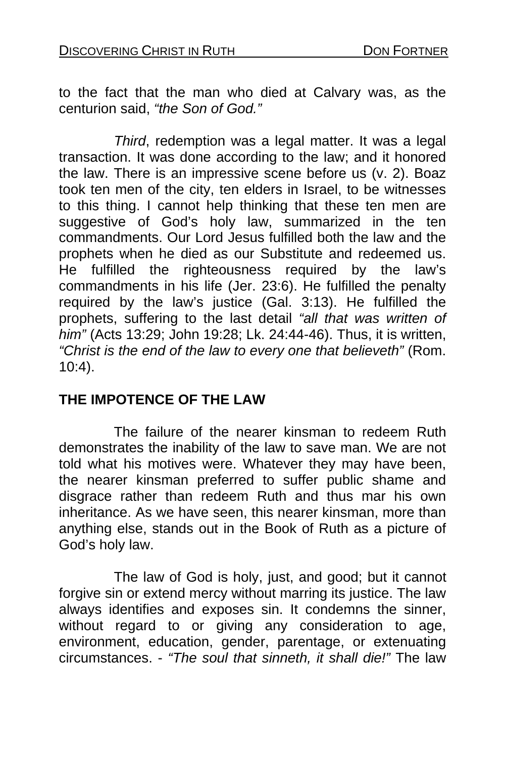to the fact that the man who died at Calvary was, as the centurion said, *"the Son of God."* 

 *Third*, redemption was a legal matter. It was a legal transaction. It was done according to the law; and it honored the law. There is an impressive scene before us (v. 2). Boaz took ten men of the city, ten elders in Israel, to be witnesses to this thing. I cannot help thinking that these ten men are suggestive of God's holy law, summarized in the ten commandments. Our Lord Jesus fulfilled both the law and the prophets when he died as our Substitute and redeemed us. He fulfilled the righteousness required by the law's commandments in his life (Jer. 23:6). He fulfilled the penalty required by the law's justice (Gal. 3:13). He fulfilled the prophets, suffering to the last detail *"all that was written of him"* (Acts 13:29; John 19:28; Lk. 24:44-46). Thus, it is written, *"Christ is the end of the law to every one that believeth"* (Rom. 10:4).

## **THE IMPOTENCE OF THE LAW**

 The failure of the nearer kinsman to redeem Ruth demonstrates the inability of the law to save man. We are not told what his motives were. Whatever they may have been, the nearer kinsman preferred to suffer public shame and disgrace rather than redeem Ruth and thus mar his own inheritance. As we have seen, this nearer kinsman, more than anything else, stands out in the Book of Ruth as a picture of God's holy law.

 The law of God is holy, just, and good; but it cannot forgive sin or extend mercy without marring its justice. The law always identifies and exposes sin. It condemns the sinner, without regard to or giving any consideration to age, environment, education, gender, parentage, or extenuating circumstances. - *"The soul that sinneth, it shall die!"* The law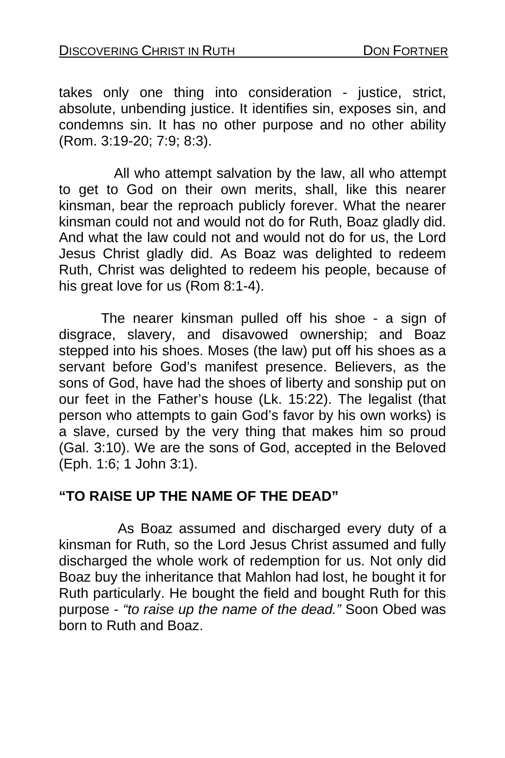takes only one thing into consideration - justice, strict, absolute, unbending justice. It identifies sin, exposes sin, and condemns sin. It has no other purpose and no other ability (Rom. 3:19-20; 7:9; 8:3).

 All who attempt salvation by the law, all who attempt to get to God on their own merits, shall, like this nearer kinsman, bear the reproach publicly forever. What the nearer kinsman could not and would not do for Ruth, Boaz gladly did. And what the law could not and would not do for us, the Lord Jesus Christ gladly did. As Boaz was delighted to redeem Ruth, Christ was delighted to redeem his people, because of his great love for us (Rom 8:1-4).

 The nearer kinsman pulled off his shoe - a sign of disgrace, slavery, and disavowed ownership; and Boaz stepped into his shoes. Moses (the law) put off his shoes as a servant before God's manifest presence. Believers, as the sons of God, have had the shoes of liberty and sonship put on our feet in the Father's house (Lk. 15:22). The legalist (that person who attempts to gain God's favor by his own works) is a slave, cursed by the very thing that makes him so proud (Gal. 3:10). We are the sons of God, accepted in the Beloved (Eph. 1:6; 1 John 3:1).

## **"TO RAISE UP THE NAME OF THE DEAD"**

 As Boaz assumed and discharged every duty of a kinsman for Ruth, so the Lord Jesus Christ assumed and fully discharged the whole work of redemption for us. Not only did Boaz buy the inheritance that Mahlon had lost, he bought it for Ruth particularly. He bought the field and bought Ruth for this purpose - *"to raise up the name of the dead."* Soon Obed was born to Ruth and Boaz.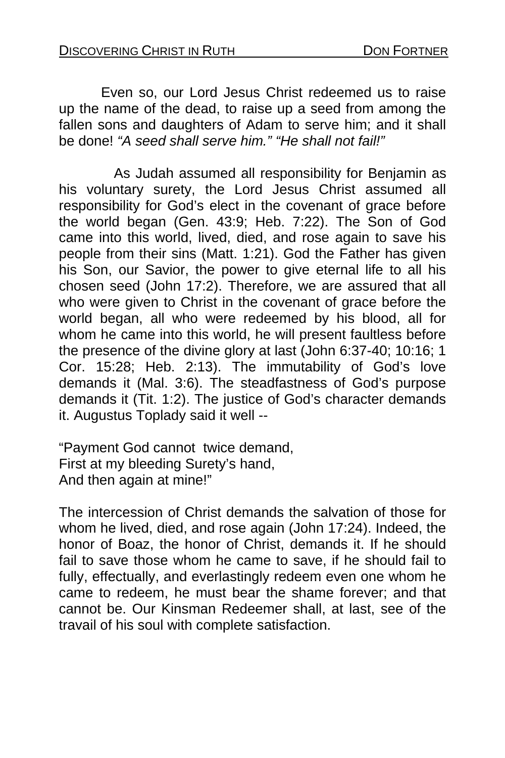Even so, our Lord Jesus Christ redeemed us to raise up the name of the dead, to raise up a seed from among the fallen sons and daughters of Adam to serve him; and it shall be done! *"A seed shall serve him." "He shall not fail!"* 

 As Judah assumed all responsibility for Benjamin as his voluntary surety, the Lord Jesus Christ assumed all responsibility for God's elect in the covenant of grace before the world began (Gen. 43:9; Heb. 7:22). The Son of God came into this world, lived, died, and rose again to save his people from their sins (Matt. 1:21). God the Father has given his Son, our Savior, the power to give eternal life to all his chosen seed (John 17:2). Therefore, we are assured that all who were given to Christ in the covenant of grace before the world began, all who were redeemed by his blood, all for whom he came into this world, he will present faultless before the presence of the divine glory at last (John 6:37-40; 10:16; 1 Cor. 15:28; Heb. 2:13). The immutability of God's love demands it (Mal. 3:6). The steadfastness of God's purpose demands it (Tit. 1:2). The justice of God's character demands it. Augustus Toplady said it well --

"Payment God cannot twice demand, First at my bleeding Surety's hand, And then again at mine!"

The intercession of Christ demands the salvation of those for whom he lived, died, and rose again (John 17:24). Indeed, the honor of Boaz, the honor of Christ, demands it. If he should fail to save those whom he came to save, if he should fail to fully, effectually, and everlastingly redeem even one whom he came to redeem, he must bear the shame forever; and that cannot be. Our Kinsman Redeemer shall, at last, see of the travail of his soul with complete satisfaction.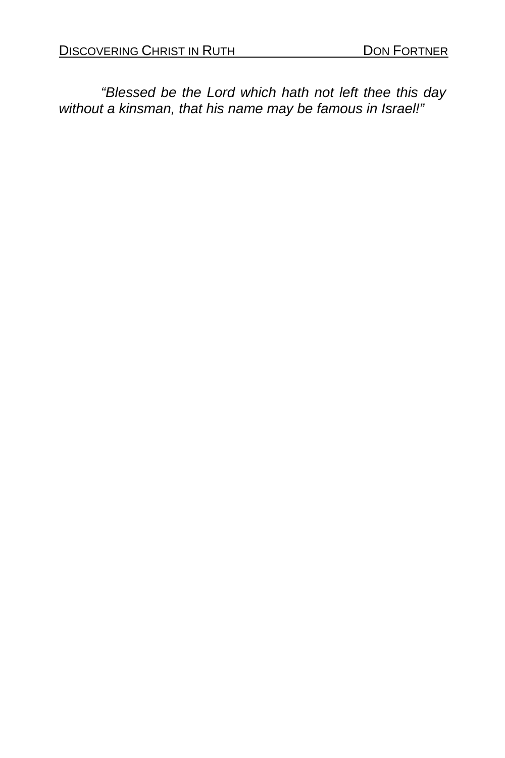*"Blessed be the Lord which hath not left thee this day without a kinsman, that his name may be famous in Israel!"*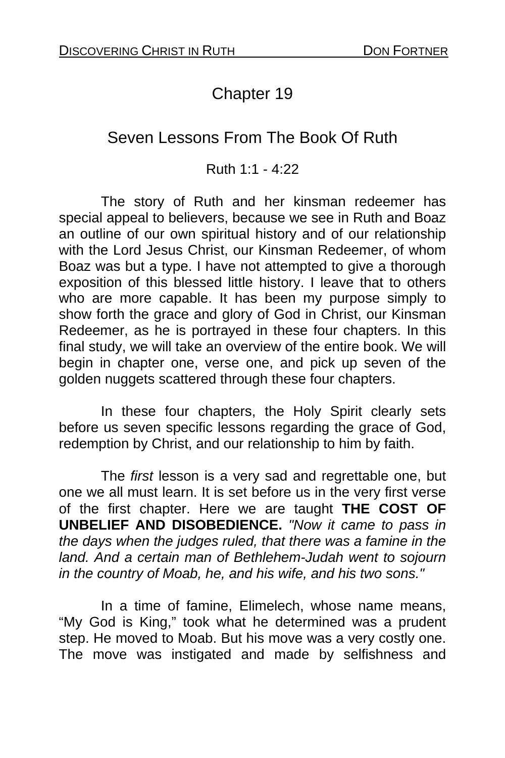# Chapter 19

## Seven Lessons From The Book Of Ruth

#### Ruth 1:1 - 4:22

The story of Ruth and her kinsman redeemer has special appeal to believers, because we see in Ruth and Boaz an outline of our own spiritual history and of our relationship with the Lord Jesus Christ, our Kinsman Redeemer, of whom Boaz was but a type. I have not attempted to give a thorough exposition of this blessed little history. I leave that to others who are more capable. It has been my purpose simply to show forth the grace and glory of God in Christ, our Kinsman Redeemer, as he is portrayed in these four chapters. In this final study, we will take an overview of the entire book. We will begin in chapter one, verse one, and pick up seven of the golden nuggets scattered through these four chapters.

In these four chapters, the Holy Spirit clearly sets before us seven specific lessons regarding the grace of God, redemption by Christ, and our relationship to him by faith.

The *first* lesson is a very sad and regrettable one, but one we all must learn. It is set before us in the very first verse of the first chapter. Here we are taught **THE COST OF UNBELIEF AND DISOBEDIENCE.** *"Now it came to pass in the days when the judges ruled, that there was a famine in the land. And a certain man of Bethlehem-Judah went to sojourn in the country of Moab, he, and his wife, and his two sons."* 

In a time of famine, Elimelech, whose name means, "My God is King," took what he determined was a prudent step. He moved to Moab. But his move was a very costly one. The move was instigated and made by selfishness and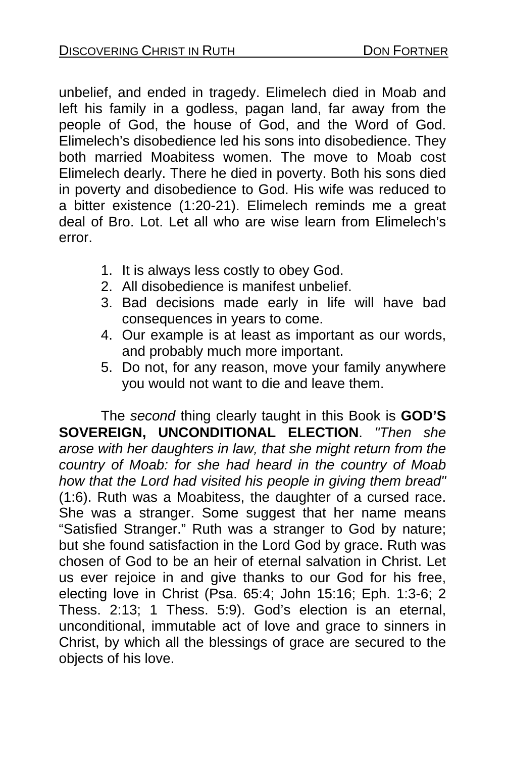unbelief, and ended in tragedy. Elimelech died in Moab and left his family in a godless, pagan land, far away from the people of God, the house of God, and the Word of God. Elimelech's disobedience led his sons into disobedience. They both married Moabitess women. The move to Moab cost Elimelech dearly. There he died in poverty. Both his sons died in poverty and disobedience to God. His wife was reduced to a bitter existence (1:20-21). Elimelech reminds me a great deal of Bro. Lot. Let all who are wise learn from Elimelech's error.

- 1. It is always less costly to obey God.
- 2. All disobedience is manifest unbelief.
- 3. Bad decisions made early in life will have bad consequences in years to come.
- 4. Our example is at least as important as our words, and probably much more important.
- 5. Do not, for any reason, move your family anywhere you would not want to die and leave them.

The *second* thing clearly taught in this Book is **GOD'S SOVEREIGN, UNCONDITIONAL ELECTION**. *"Then she arose with her daughters in law, that she might return from the country of Moab: for she had heard in the country of Moab how that the Lord had visited his people in giving them bread"* (1:6). Ruth was a Moabitess, the daughter of a cursed race. She was a stranger. Some suggest that her name means "Satisfied Stranger." Ruth was a stranger to God by nature; but she found satisfaction in the Lord God by grace. Ruth was chosen of God to be an heir of eternal salvation in Christ. Let us ever rejoice in and give thanks to our God for his free, electing love in Christ (Psa. 65:4; John 15:16; Eph. 1:3-6; 2 Thess. 2:13; 1 Thess. 5:9). God's election is an eternal, unconditional, immutable act of love and grace to sinners in Christ, by which all the blessings of grace are secured to the objects of his love.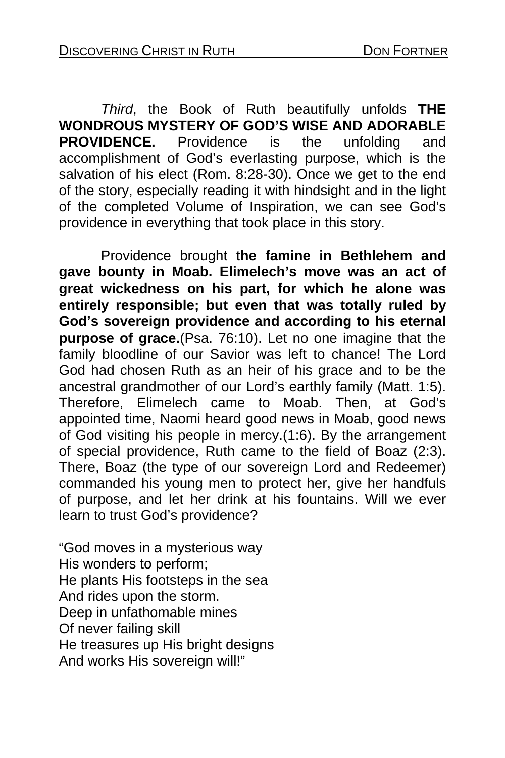*Third*, the Book of Ruth beautifully unfolds **THE WONDROUS MYSTERY OF GOD'S WISE AND ADORABLE PROVIDENCE.** Providence is the unfolding and accomplishment of God's everlasting purpose, which is the salvation of his elect (Rom. 8:28-30). Once we get to the end of the story, especially reading it with hindsight and in the light of the completed Volume of Inspiration, we can see God's providence in everything that took place in this story.

Providence brought t**he famine in Bethlehem and gave bounty in Moab. Elimelech's move was an act of great wickedness on his part, for which he alone was entirely responsible; but even that was totally ruled by God's sovereign providence and according to his eternal purpose of grace.**(Psa. 76:10). Let no one imagine that the family bloodline of our Savior was left to chance! The Lord God had chosen Ruth as an heir of his grace and to be the ancestral grandmother of our Lord's earthly family (Matt. 1:5). Therefore, Elimelech came to Moab. Then, at God's appointed time, Naomi heard good news in Moab, good news of God visiting his people in mercy.(1:6). By the arrangement of special providence, Ruth came to the field of Boaz (2:3). There, Boaz (the type of our sovereign Lord and Redeemer) commanded his young men to protect her, give her handfuls of purpose, and let her drink at his fountains. Will we ever learn to trust God's providence?

"God moves in a mysterious way His wonders to perform; He plants His footsteps in the sea And rides upon the storm. Deep in unfathomable mines Of never failing skill He treasures up His bright designs And works His sovereign will!"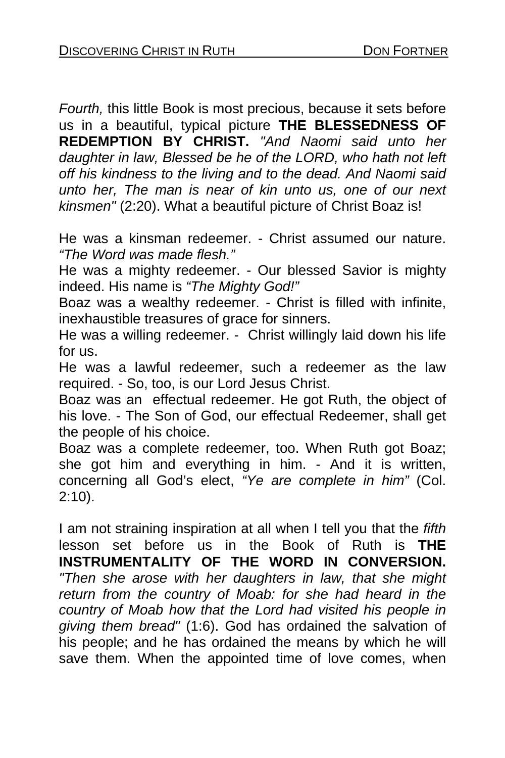*Fourth,* this little Book is most precious, because it sets before us in a beautiful, typical picture **THE BLESSEDNESS OF REDEMPTION BY CHRIST.** *"And Naomi said unto her daughter in law, Blessed be he of the LORD, who hath not left off his kindness to the living and to the dead. And Naomi said unto her, The man is near of kin unto us, one of our next kinsmen"* (2:20). What a beautiful picture of Christ Boaz is!

He was a kinsman redeemer. - Christ assumed our nature. *"The Word was made flesh."*

He was a mighty redeemer. - Our blessed Savior is mighty indeed. His name is *"The Mighty God!"*

Boaz was a wealthy redeemer. - Christ is filled with infinite, inexhaustible treasures of grace for sinners.

He was a willing redeemer. - Christ willingly laid down his life for us.

He was a lawful redeemer, such a redeemer as the law required. - So, too, is our Lord Jesus Christ.

Boaz was an effectual redeemer. He got Ruth, the object of his love. - The Son of God, our effectual Redeemer, shall get the people of his choice.

Boaz was a complete redeemer, too. When Ruth got Boaz; she got him and everything in him. - And it is written, concerning all God's elect, *"Ye are complete in him"* (Col. 2:10).

I am not straining inspiration at all when I tell you that the *fifth* lesson set before us in the Book of Ruth is **THE INSTRUMENTALITY OF THE WORD IN CONVERSION.**  *"Then she arose with her daughters in law, that she might return from the country of Moab: for she had heard in the country of Moab how that the Lord had visited his people in giving them bread"* (1:6). God has ordained the salvation of his people; and he has ordained the means by which he will save them. When the appointed time of love comes, when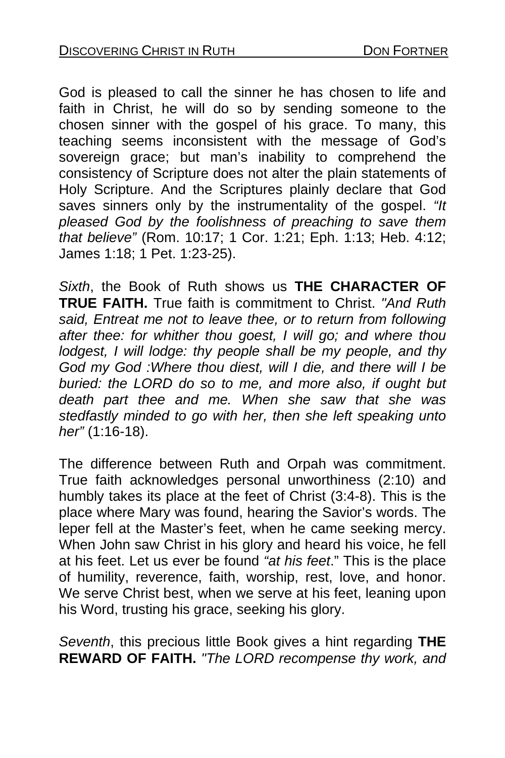God is pleased to call the sinner he has chosen to life and faith in Christ, he will do so by sending someone to the chosen sinner with the gospel of his grace. To many, this teaching seems inconsistent with the message of God's sovereign grace; but man's inability to comprehend the consistency of Scripture does not alter the plain statements of Holy Scripture. And the Scriptures plainly declare that God saves sinners only by the instrumentality of the gospel. *"It pleased God by the foolishness of preaching to save them that believe"* (Rom. 10:17; 1 Cor. 1:21; Eph. 1:13; Heb. 4:12; James 1:18; 1 Pet. 1:23-25).

*Sixth*, the Book of Ruth shows us **THE CHARACTER OF TRUE FAITH.** True faith is commitment to Christ. *"And Ruth said, Entreat me not to leave thee, or to return from following after thee: for whither thou goest, I will go; and where thou lodgest, I will lodge: thy people shall be my people, and thy God my God :Where thou diest, will I die, and there will I be buried: the LORD do so to me, and more also, if ought but death part thee and me. When she saw that she was stedfastly minded to go with her, then she left speaking unto her"* (1:16-18).

The difference between Ruth and Orpah was commitment. True faith acknowledges personal unworthiness (2:10) and humbly takes its place at the feet of Christ (3:4-8). This is the place where Mary was found, hearing the Savior's words. The leper fell at the Master's feet, when he came seeking mercy. When John saw Christ in his glory and heard his voice, he fell at his feet. Let us ever be found *"at his feet*." This is the place of humility, reverence, faith, worship, rest, love, and honor. We serve Christ best, when we serve at his feet, leaning upon his Word, trusting his grace, seeking his glory.

*Seventh*, this precious little Book gives a hint regarding **THE REWARD OF FAITH.** *"The LORD recompense thy work, and*